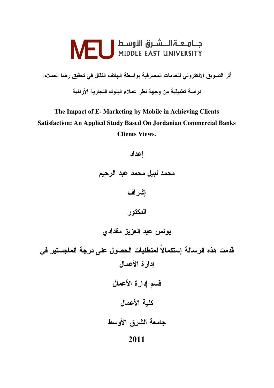# جـــامــعـــة الــــشــرق الأوســط | NEU<br>MIDDLE EAST UNIVERSITY

أثر التسويق الالكتروني للخدمات المصرفية بواسطة الهاتف النقال في تحقيق رضا العملاء:

در اسة تطبيقية من وجهة نظر عملاء البنوك التجارية الأردنية

The Impact of E-Marketing by Mobile in Achieving Clients **Satisfaction: An Applied Study Based On Jordanian Commercial Banks Clients Views.** 

احداد

محمد نبيل محمد عبد الرحيم

إشراف

الدكتور

يونس عبد العزيز مقدادى

قدمت هذه الرسالة إستكمالاً لمتطلبات الحصول على درجة الماجستير في إدارة الأعمال قسم إدارة الأعمال كلية الأعمال جامعة الشرق الأوسط 2011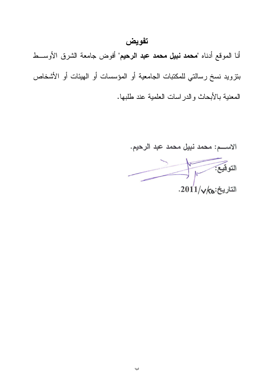### تفويض

أنا الموقع أدناه "محمد نبيل محمد عبد الرحيم" أفوض جامعة الشرق الأوســط بنزويد نسخ رسالتي للمكتبات الجامعية أو المؤسسات أو الهيئات أو الأشخاص المعنية بالأبحاث والدراسات العلمية عند طلبها.

الاســــم: محمد نبيل محمد عبد الرحيم. التوقيع:  $.2011/\sqrt{\kappa}$ التاريخ:ه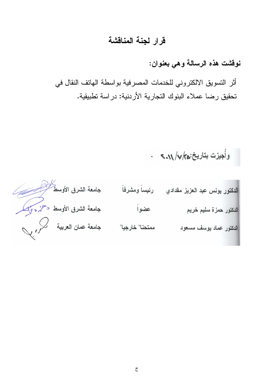### قرار لجنة المناقشة

نوفشت هذه الرسالة وهي بعنوان:

أثر التسويق الالكتروني للخدمات المصرفية بواسطة الهاتف النقال في تحقيق رضا عملاء البنوك التجارية الأردنية: دراسة تطبيقية.

وأجيزت بتاريخ:ه/٧/٢٠.٥ .

| جامعة الشرق الأوسط المستكر   | رئيساً ومشرفاً  | الدكتور يونس عبد العزيز مقدادي |
|------------------------------|-----------------|--------------------------------|
| جامعة الشرق الأوسط دحزه وإنك | عضواً           | الدكتور حمزة سليم خريم         |
| جامعة عمان العربية كمحروبي   | ممتحنا" خارجيا" | الدكتور عماد يوسف مسعود        |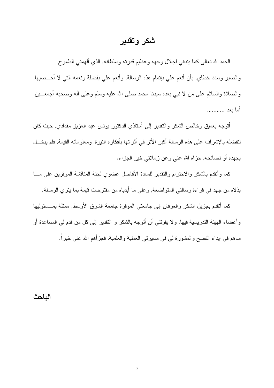### شكر وتقدير

الحمد لله تعالى كما ينبغي لجلال وجهه وعظيم قدرته وسلطانه, الذي ألهمني الطموح و الصبر وسدد خطاي, بأن أنعم على بإتمام هذه الر سالة, و أنعم على بفضلة و نعمه التي لا أحــصبيها, والصلاة والسلام على من لا نبي بعده سيدنا محمد صلى الله عليه وسلم وعلى أله وصحبه أجمعـــين, أما ىعد ,,,,,,,,,,,,

أنوجه بعميق وخالص الشكر والنقدير إلى أستاذي الدكتور بونس عبد العزيز مقدادي, حيث كان لنفضله بالإشراف على هذه الرسالة أكبر الأثر في أثرائها بأفكاره النيرة, ومعلوماته القيمة, فلم يبخـــل بجهده أو نصائحه, جزاه الله عني وعن زملائي خير الجزاء.

كما وأتقدم بالشكر والاحترام والتقدير للسادة الأفاضل عضوى لجنة المناقشة الموقرين على مسا بذلاه من جهد في قر اءة ر سالتي المتو اضعة, و علي ما أبدياه من مقتر حات قيمة بما يثر ي الر سالة.

كما أتقدم بجزيل الشكر والعرفان إلى جامعتي الموفرة جامعة الشرق الأوسط, ممثلة بمــسئوليها وأعضاء الهيئة الندريسية فيها, ولا يفونني أن أنوجه بالشكر و النقدير إلى كل من قدم لي المساعدة أو ساهم في إبداء النصح والمشورة لي في مسيرتي العملية والعلمية, فجزأهم الله عني خيراً.

الباحث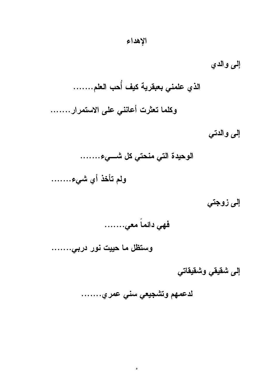إلى والدي الذي علمني بعبقرية كيف أُحب العلم....... وكلما تعثرت أعانني على الاستمرار ……. إلى والدتى الوحيدة التي منحتي كل شـــيء....... ولم تأخذ أي شيء.......

إلى زوجتي

فهي دائماً معي…….

وستظل ما حييت نور دربي.......

إلى شقيقي وشقيقاتي

لدعمهم وتشجيعي سني عمري........

 $\bullet$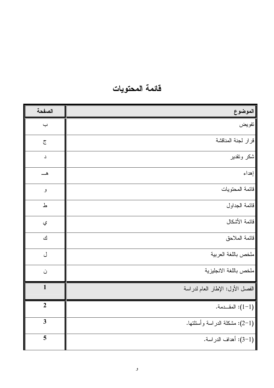| الصفحة         | الموضوع                          |  |
|----------------|----------------------------------|--|
| $\div$         | تفويض                            |  |
| $\tilde{c}$    | قرار لجنة المناقشة               |  |
| د              | شكر وتقدير                       |  |
|                | إهداء                            |  |
| و              | قائمة المحتويات                  |  |
| ط              | قائمة الجداول                    |  |
| ي              | قائمة الأشكال                    |  |
| ك              | فائمة الملاحق                    |  |
| ل              | ملخص باللغة العربية              |  |
| ن              | ملخص باللغة الانجليزية           |  |
| $\mathbf{1}$   | الفصل الأول: الإطار العام لدراسة |  |
| $\overline{2}$ | المقـــدمة. $(1-1)$              |  |
| $\mathbf{3}$   | (1–2): مشكلة الدراسة وأسئلتها.   |  |
| 5              | [(1-3): أهداف الدراسة.           |  |

## فائمة المحتويات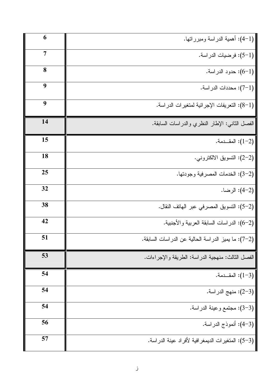| 6  | (1–4): أهمية الدراسة ومبرراتها.                     |
|----|-----------------------------------------------------|
| 7  | (1–5): فرضيات الدراسة.                              |
| 8  | (1–6): حدود الدراسة.                                |
| 9  | (1–7): محددات الدر اسة.                             |
| 9  | (1–8): النعريفات الإجرائية لمنغيرات الدراسة.        |
| 14 | الفصل الثاني: الإطار النظري والدراسات السابقة.      |
| 15 | المقـــدمة. $(1-2)$                                 |
| 18 | (2–2): النسويق الالكترونـي.                         |
| 25 | (2-3): الخدمات المصرفية وجودتها.                    |
| 32 | (2–4): الرضا.                                       |
| 38 | (2–5): التسويق المصرفي عبر الهاتف النقال.           |
| 42 | (2–6): الدراسات السابقة العربية والأجنبية.          |
| 51 | (2–7): ما يميز الدراسة الحالية عن الدراسات السابقة. |
| 53 | الفصل الثالث: منهجية الدراسة: الطريقة والإجراءات.   |
| 54 | (3−1): المقــدمة.                                   |
| 54 | (3–2): منهج الدراسة.                                |
| 54 | (3-3): مجتمع وعينة الدراسة.                         |
| 56 | (3–4): أنموذج الدراسة.                              |
| 57 | (3–5): المتغيرات الديمغر افية لأفراد عينة الدراسة.  |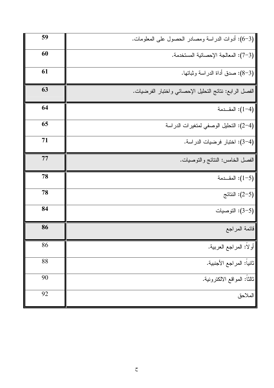| 59 | (3–6): أدوات الدراسة ومصادر الحصول على المعلومات.      |
|----|--------------------------------------------------------|
| 60 | (3–7): المعالجة الإحصائية المستخدمة.                   |
| 61 | (3–8): صدق أداة الدراسة وثباتها.                       |
| 63 | الفصل الرابع: نتائج التحليل الإحصائي واختبار الفرضيات. |
| 64 | المقـــدمة $(1-4)$                                     |
| 65 | (4–2): التحليل الوصفى لمتغيرات الدراسة                 |
| 71 | (4–3): اختبار فرضيات الدراسة.                          |
| 77 | الفصل الخامس: النتائج والنوصيات.                       |
| 78 | المقـــدمة: (1-5)                                      |
| 78 | النتائج (2–5): $(2-5)$                                 |
| 84 | (5–3): التوصيات                                        |
| 86 | قائمة المراجع                                          |
| 86 | أولاً: المراجع العربية.                                |
| 88 | تانياً: المراجع الأجنبية.                              |
| 90 | ثالثًا: المواقع الالكترونية.                           |
| 92 | الملاحق                                                |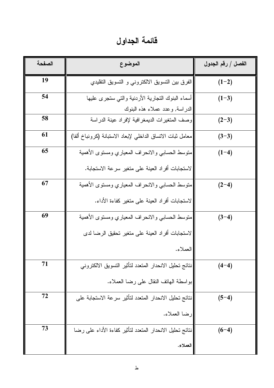فائمة الجداول

| الصفحة | الموضوع                                                                          | الفصل / رقم الجدول |
|--------|----------------------------------------------------------------------------------|--------------------|
| 19     | الفرق بين التسويق الالكتروني و التسويق التقليدي                                  | $(1-2)$            |
| 54     | أسماء البنوك النجارية الأردنية والنى سنجرى عليها                                 | $(1-3)$            |
| 58     | الدراسة, وعدد عملاء هذه البنوك<br>وصف المتغيرات الديمغر افية لإفراد عينة الدراسة | $(2-3)$            |
| 61     | معامل ثبات الاتساق الداخلي لإبعاد الاستبانة (كرونباخ ألفا)                       | $(3-3)$            |
| 65     | منوسط الحسابي والانحراف المعياري ومسنوى الأهمية                                  | $(1-4)$            |
|        | لاستجابات أفراد العينة على متغير سرعة الاستجابة.                                 |                    |
| 67     | منوسط الحسابي والانحراف المعياري ومستوى الأهمية                                  | $(2-4)$            |
|        | لاستجابات أفراد العينة على متغير كفاءة الأداء.                                   |                    |
| 69     | منوسط الحسابى والانحراف المعياري ومسنوى الأهمية                                  | $(3-4)$            |
|        | لاستجابات أفراد العينة على متغير تحقيق الرضا لدى                                 |                    |
|        | العملاء.                                                                         |                    |
| 71     | نتائج تحليل الانحدار المنعدد لتأثير التسويق الالكتروني                           | $(4-4)$            |
|        | بواسطة الـهانف النقال علـى رضـا الـعملاء.                                        |                    |
| 72     | نتائج تحليل الانحدار المتعدد لتأثير سرعة الاستجابة على                           | $(5-4)$            |
|        | رضا العملاء.                                                                     |                    |
| 73     | نتائج تحليل الانحدار المتعدد لتأثير كفاءة الأداء على رضا                         | $(6-4)$            |
|        | العملاء.                                                                         |                    |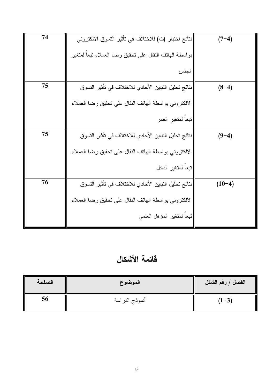| 74 | نتائج اختبار (ت) للاختلاف في تأثير التسوق الالكتروني    | $(7-4)$  |
|----|---------------------------------------------------------|----------|
|    | ابواسطة الهانف النقال على نحقيق رضا العملاء نبعا لمنغير |          |
|    | الجنس                                                   |          |
| 75 | نتائج تحليل التباين الأحادي للاختلاف في تأثير التسوق    | $(8-4)$  |
|    | الالكتروني بواسطة الهانف النقال على نحقيق رضا العملاء   |          |
|    | تبعا لمتغير العمر                                       |          |
| 75 | نتائج تحليل النباين الأحادي للاختلاف في تأثير التسوق    | $(9-4)$  |
|    | الالكتروني بواسطة الهانف النقال على نحقيق رضا العملاء   |          |
|    | تبعا لمتغير الدخل                                       |          |
| 76 | نتائج تحليل التباين الأحادي للاختلاف في تأثير التسوق    | $(10-4)$ |
|    | الالكتروني بواسطة الهانف النقال على نحقيق رضا العملاء   |          |
|    | تبعا لمتغير المؤهل العلمي                               |          |

فآئمة الأشكال

| الصفحة | الموضوع        | الفصل / رقم الشكل |
|--------|----------------|-------------------|
| 56     | أنموذج الدراسة | $(1-3)$           |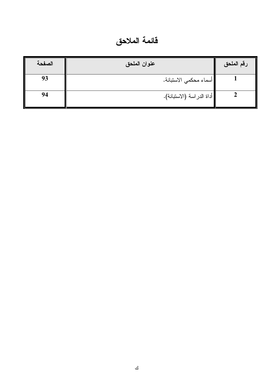فائمة الملاحق

| الصفحة | عنوان الملحق              | رقم الملحق |
|--------|---------------------------|------------|
| 93     | أسماء محكمى الاستبانة.    |            |
| 94     | أداة الدراسة (الاستبانة). |            |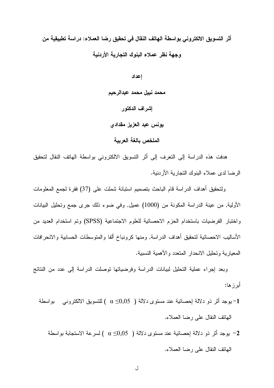أثر التسويق الالكتروني بواسطة الهاتف النقال في تحقيق رضا العملاء: دراسة تطبيقية من وجهة نظر عملاء البنوك التجارية الأردنية

> إعداد محمد نبيل محمد عبدالرحيم إشراف الدكتور يونس عبد العزيز مقدادي الملخص بالغة العربية

هدفت هذه الدراسة إلى التعرف إلى أثر التسويق الالكتروني بواسطة الهاتف النقال لتحقيق الرضا لدى عملاء البنوك التجارية الأردنية.

ولتحقيق أهداف الدراسة قام الباحث بتصميم استبانة شملت علىي (37) فقرة لجمع المعلومات الأولية, من عينة الدراسة المكونة من (1000) عميل, وفي ضوء ذلك جرى جمع ونحليل البيانات واختبار الفرضيات باستخدام الحزم الاحصائية للعلوم الاجتماعية (SPSS) وتم استخدام العديد من الأساليب الاحصائية لتحقيق أهداف الدراسة, ومنها كرونباخ ألفا والمتوسطات الحسابية والانحرافات المعبار بة وتحليل الانحدار المتعدد والأهمية النسبية.

وبعد إجراء عملية النحليل لبيانات الدر اسة وفر ضياتها نوصلت الدر اسة إلى عدد من النتائج أبر ز ها:

- 1- بوجد أثر ذو دلالة اِحصائية عند مستوى دلالة ( 50,05) d ) للتسويق الالكتروني بواسطة الهانف النقال على رضا العملاء.
	- يوجد أثر ذو دلالة إحصائية عند مستوى دلالة (  $0.05\pm0.0$  ) لسرعة الاستجابة بواسطة  $-2$ الهانف النقال على رضا العملاء.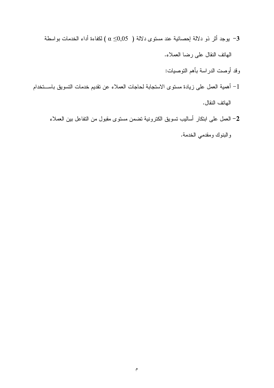- يوجد أثر ذو دلالة إحصائية عند مستوى دلالة (  $0.05$ ك ) لكفاءة أداء الخدمات بواسطة  $-3$ المهاتف النقال على رضا العملاء.
	- وقد أوصت الدراسة بأهم التوصيات:
- 1– أهمية العمل على زيادة مستوى الاستجابة لحاجات العملاء عن تقديم خدمات التسويق باســـتخدام الـهانف النقال.
	- 2– العمل على ابنكار أساليب تسويق الكترونية تضمن مستوى مقبول من التفاعل بين العملاء

والبنوك ومقدمي الخدمة.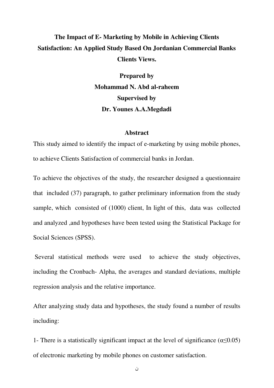### **The Impact of E- Marketing by Mobile in Achieving Clients Satisfaction: An Applied Study Based On Jordanian Commercial Banks Clients Views.**

 **Prepared by Mohammad N. Abd al-raheem Supervised by Dr. Younes A.A.Megdadi** 

#### **Abstract**

This study aimed to identify the impact of e-marketing by using mobile phones, to achieve Clients Satisfaction of commercial banks in Jordan.

To achieve the objectives of the study, the researcher designed a questionnaire that included (37) paragraph, to gather preliminary information from the study sample, which consisted of (1000) client, In light of this, data was collected and analyzed ,and hypotheses have been tested using the Statistical Package for Social Sciences (SPSS).

 Several statistical methods were used to achieve the study objectives, including the Cronbach- Alpha, the averages and standard deviations, multiple regression analysis and the relative importance.

After analyzing study data and hypotheses, the study found a number of results including:

1- There is a statistically significant impact at the level of significance ( $\alpha \le 0.05$ ) of electronic marketing by mobile phones on customer satisfaction.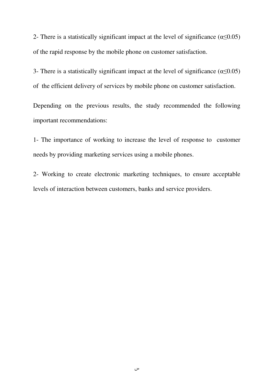2- There is a statistically significant impact at the level of significance ( $\alpha \le 0.05$ ) of the rapid response by the mobile phone on customer satisfaction.

3- There is a statistically significant impact at the level of significance ( $\alpha \le 0.05$ ) of the efficient delivery of services by mobile phone on customer satisfaction.

Depending on the previous results, the study recommended the following important recommendations:

1- The importance of working to increase the level of response to customer needs by providing marketing services using a mobile phones.

2- Working to create electronic marketing techniques, to ensure acceptable levels of interaction between customers, banks and service providers.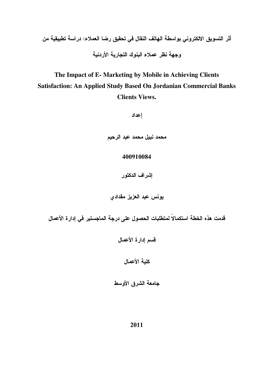The Impact of E- Marketing by Mobile in Achieving Clients Satisfaction: An Applied Study Based On Jordanian Commercial Banks **Clients Views.** 

إعداد

محمد نبيل محمد عبد الرحيم

#### 400910084

إشراف الدكتور

يونس عبد العزيز مقدادي

قدمت هذه الخطة استكمالاً لمتطلبات الحصول على درجة الماجستير في إدارة الأعمال

قسم إدارة الأعمال

كلية الأعمال

جامعة الشرق الأوسط

2011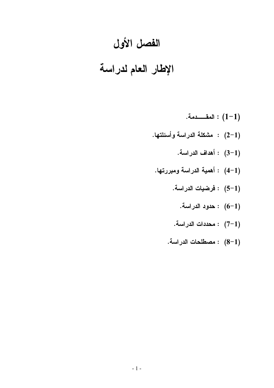# الفصل الأول

# الإطار العام لدراسة

- 
- : 2-1) مشكلة الدراسة وأسئلتها.
	- .<br>(1-3) : أهداف الدراسة.
- (1-4) : أهمية الدراسة ومبررتها.
	- (1–5) : فرضيات الدراسة.
		- (1–6) : حدود الدراسة.
	-
	- مصطلحات الدراسة.  $(8-1)$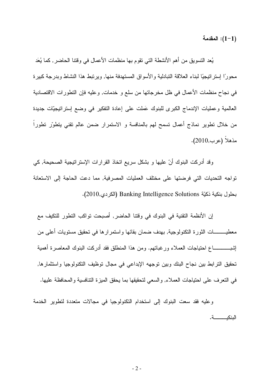المقدمة: (1-1)

يُعد النسويق من أهم الأنشطة التي نقوم بها منظمات الأعمال في وقتنا الحاضر , كما يُعَد محورًا إستراتيجيًا لبناء العلاقة التبادلية والأسواق المستهدفة منها, ويرتبط هذا النشاط وبدرجة كبيرة في نجاح منظمات الأعمال في ظل مخرجاتها من سلع و خدمات, وعليه فإن النظورات الاقتصادية العالمية وعمليات الإندماج الكبرى للبنوك عَملت على إعادة التفكير في وضع إسترانيجيَّات جديدة من خلال نطوير نماذج أعمال تسمح لمهم بالمنافسة و الاستمرار ضمن عالم نقنى بتطوَّر نطوراً مذهلاً (عرب,2010).

وقد أدركت البنوك أنّ عليها و بشكل سريع اتخاذ القرارات الإسترانتيجية الصحيحة, كي تواجه التحديات التي فرضتها على مختلف العمليات المصرفية, مما دعت الحاجة إلى الاستعانة بطول بنكية ذكيّة Banking Intelligence Solutions (الكردي,2010).

إن الأنظمة التقنية في البنوك في وقتنا الحاضر , أصبحت تواكب التطور للتكيف مع معطيـــــــــات الثورة النكنولوجية, بهدف ضمان بقائها واستمرارها في نحقيق مستويات أعلى من إشبـــــــــــــاع احتياجات العملاء ورغباتهم. ومن هذا المنطلق فقد أدركت البنوك المعاصرة أهمية تحقيق الترابط بين نجاح البنك وبين توجهه الإبداعي في مجال توظيف التكنولوجيا واستثمارها, في النعرف على احتياجات العملاء, والسعى لتحقيقها بما يحقق المبزة التنافسية والمحافظة عليها.

وعليه فقد سعت البنوك إلى استخدام التكنولوجيا في مجالات متعددة لتطوير الخدمة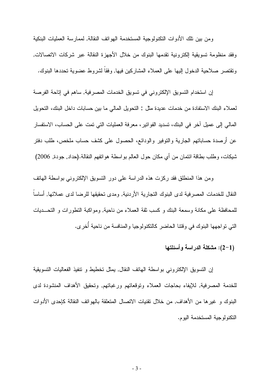و من بين تلك الأدو ات التكنو لو جية المستخدمة الـهو اتف النقالة, لممار سة العمليات البنكية وفقد منظومة تسويقية الكترونية تقدمها البنوك من خلال الأجهزة النقالة عبر شركات الاتصالات, ونقتصر صلاحية الدخول إليها على العملاء المشاركين فيها, وفقا لشروط عضوية تحددها البنوك.

إن استخدام التسويق الإلكتروني في تسويق الخدمات المصرفية, ساهم في إناحة الفرصة لعملاء البنك الاستفادة من خدمات عديدة مثل : النحويل المالي ما بين حسابات داخل البنك، النحويل المالي إلى عميل آخر في البنك، تسديد الفواتير، معرفة العمليات التي تمت على الحساب، الاستفسار عن أرصدة حساباتهم الجارية والنوفير والودائع، الحصول على كشف حساب ملخص، طلب دفنر شيكات، وطلب بطاقة ائتمان من أي مكان حول العالم بواسطة هواتفهم النقالة.(حداد, جودة, 2006)

ومن هذا المنطلق فقد ركزت هذه الدراسة على دور النسويق الإلكتروني بواسطة الهاتف النقال للخدمات المصر فية لدى البنوك النجارية الأردنية, ومدى تحقيقها للرضا لدى عملائها, أساساً للمحافظة على مكانة وسمعة البنك و كسب نقة العملاء من ناحية, ومواكبة النطورات و التحــديات التي نواجهها البنوك في وقتنا الحاضر كالتكنولوجيا والمنافسة من ناحية أخرى.

(1–2): مشكلة الدراسة وأسئلتها

إن التسويق الإلكتروني بواسطة الهاتف النقال, يمثل تخطيط و نتفيذ الفعاليات التسويقية للخدمة المصرفية, للإيفاء بحاجات العملاء ونوقعاتهم ورغباتهم, وتحقيق الأهداف المنشودة لدى البنوك و غير ها من الأهداف, من خلال نقنيات الاتصال المتعلقة بالهواتف النقالة كإحدى الأدوات التكنولوجية المستخدمة اليوم.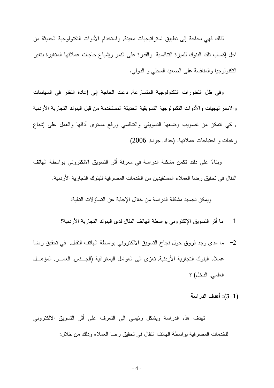لذلك فهي بحاجة إلى نطبيق استراتيجيات معينة, واستخدام الأدوات التكنولوجية الحديثة من اجل إكساب نلك البنوك للميزة النتافسية, والقدرة على النمو وإشباع حاجات عملائها المتغيرة بتغير النكنولوجيا والمنافسة على الصعيد المحلبي و الدولبي.

وفي ظل النظورات النكنولوجية المتسارعة, دعت الحاجة إلى إعادة النظر في السياسات و الاستر اتيجيات و الأدو ات التكنو لوجية النسو يقية الحديثة المستخدمة من قبل البنوك التجارية الأردنية , كمي نتمكن من نصويب وضعها النسويقي والننافسي ورفع مسنوى أدائها والعمل علىي إشباع رغبات و احتياجات عملائها. (حداد, جودة, 2006)

وبناءً على ذلك نكمن مشكلة الدراسة في معرفة أثر التسويق الالكتروني بواسطة الهاتف النقال في تحقيق رضا العملاء المستفيدين من الخدمات المصر فية للبنوك التجارية الأردنية.

و بمكن تجسيد مشكلة الدر اسة من خلال الإجابة عن النساؤ لات التالية:

1– ما أثر التسويق الإلكتروني بواسطة الهاتف النقال لدى البنوك التجارية الأردنية؟

2– ما مدى وجد فروق حول نجاح التسويق الالكتروني بواسطة الهاتف النقال, في تحقيق رضا عملاء البنوك التجارية الأردنية, تعزى الى العوامل اليمغرافية (الجــنس, العمـــر, المؤهـــل العلمي, الدخل) ؟

(1–3): أهدف الدراسة

تهدف هذه الدراسة وبشكل رئيسي الى التعرف على أثر التسويق الالكتروني للخدمات المصرفية بواسطة الهاتف النقال في تحقيق رضا العملاء وذلك من خلال: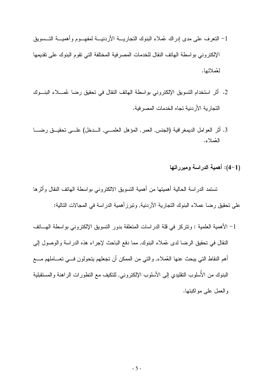- 1– التعرف على مدى إدراك عُملاء البنوك التجاريــــة الأردنيــــة لمفهــــوم وأهميــــة التـــسويق الإلكتر وني بو اسطة الهاتف النقال للخدمات المصر فبة المختلفة التي تقوم البنوك على تقديمها لعُملائها.
- 2. أثر استخدام التسويق الإلكتروني بواسطة الهاتف النقال في تحقيق رضا عُمـــلاء البنـــوك التجار بة الأر دنبة تجاه الخدمات المصر فبة.
- 3. أثر العوامل الديمغرافية (الجنس, العمر, المؤهل العلمـــي, الـــدخل) علـــي تحقيـــق رضــــا العُملاءِ.
	- (1–4): أهمية الدراسة ومبرراتها

تستمد الدراسة الحالية أهميتها من أهمية التسويق الالكتروني بواسطة الهاتف النقال وأثرها على تحقيق رضا عملاء البنوك التجارية الأردنية, وتبرز أهمية الدراسة في المجالات التالية:

1– الأهمية العلمية : ونتركز في قلة الدراسات المتعلقة بدور التسويق الإلكتروني بواسطة الهـــاتف النقال في تحقيق الرضا لدى عُملاء البنوك, مما دفع الباحث لإجراء هذه الدراسة والوصول إلى أهم النقاط التي يبحث عنها العُملاء, والتي من الممكن أن تجعلهم يتحولون فـــي تعـــاملهم مــــع البنوك من الأسلوب النقليدي إلى الأسلوب الإلكتروني, للنكيف مع النطورات الراهنة والمستقبلية والعمل على مواكبتها.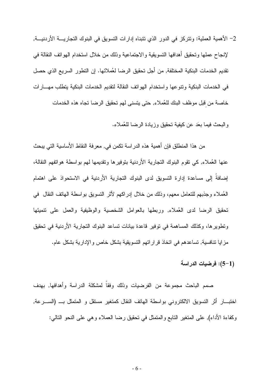2– الأهمية العملية: ونتركز في الدور الذي نتبناه إدارات التسويق في البنوك التجاريـــة الأردنيـــة, لإنجاح عملها وتحقيق أهدافها التسويقية والاجتماعية وذلك من خلال استخدام الهواتف النقالة في تقديم الخدمات البنكية المختلفة, من أجل تحقيق الرضا لعُملائها. إن النطور السريع الذي حصل في الخدمات البنكية ونتوعها واستخدام الهواتف النقالة لتقديم الخدمات البنكية يتطلب مهـــارات خاصة من قبل موظف البنك للعُملاء, حتى يتسنى لهم تحقيق الرضا تجاه هذه الخدمات

و البحث فيما بعَد عن كيفية تحقيق وزيادة الرضا للعُملاء.

من هذا المنطلق فإن أهمية هذه الدر اسة تكمن في, معرفة النقاط الأساسية التي يبحث عنها العُملاء, كي تقوم البنوك التجارية الأردنية بتوفيرها وتقديمها لهم بواسطة هواتفهم النقالة، إضافةُ إلى مساعدة إدارة التسويق لدى البنوك التجارية الأردنية في الاستحواذ على اهتمام العُملاء وجذبهم للنعامل معهم، وذلك من خلال إدراكهم لأثر التسويق بواسطة الهانف النقال ً في تحقيق الرضا لدى العُملاء, وربطها بالعوامل الشخصية والوظيفية والعمل على نتميتها ونطويرها، وكذلك المساهمة في نوفير قاعدة بيانات نساعد البنوك النجارية الأردنية في نحقيق مزايا تنافسية, تساعدهم في اتخاذ قراراتهم التسويقية بشكل خاص والإدارية بشكل عام.

(1–5): فرضيات الدراسة

صمم الباحث مجموعة من الفرضيات وذلك وفقاً لمشكلة الدراسة وأهدافها, بهدف اختبـــار أثر التسويق الالكترونـي بواسطة الـهاتف النقال كمتغير مستقل و المتمثل بـــ (الســــرعة, وكفاءة الأداء), على المتغير النابع والمتمثل في نحقيق رضا العملاء وهي على النحو النالبي: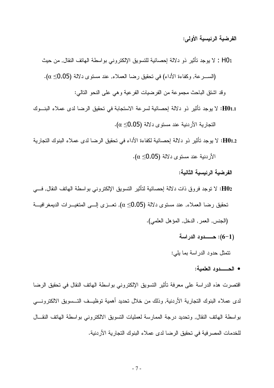الفرضية الرئيسية الأولى:

H01 : لا يوجد نأثير ذو دلالة إحصائية للتسويق الإلكتروني بواسطة الهاتف النقال, من حيث (الســـرعة, وكفاءة الأداء) في تحقيق رضا العملاء, عند مستوى دلالة (0.05≥ α).

وقد اشتق الباحث مجموعة من الفرضيات الفرعية وهي على النحو التالي:

H01.1: لا يوجد تأثير ذو دلالة إحصائية لسرعة الاستجابة في تحقيق الرضا لدى عملاء البنـــوك  $\alpha \leq 0.05$  النجار بة الأر دنية عند مستوى دلالة (0.05 $\alpha \leq$ 

H01.2: لا يوجد تأثير ذو دلالة إحصائية لكفاءة الأداء في تحقيق الرضا لدى عملاء البنوك التجارية  $\alpha \leq 0.05$  الأردنية عند مستوى دلالة (0.05 $\alpha$ 

الفر ضبة الرئيسية الثانية:

- H02: لا توجد فروق ذات دلالة إحصائية لتأثير التسويق الإلكتروني بواسطة الهاتف النقال, فـــي تحقيق رضا العملاء, عند مستوى دلالة (Ω\_O.05), تعـــزي الـــي المتغيـــرات الديمغرافيـــة (الجنس, العمر, الدخل, المؤهل العلمي).
	-

نتمثل حدود الدراسة بما يلي:

• الحــــدود العلمية:

اقتصرت هذه الدراسة على معرفة تأثير التسويق الإلكتروني بواسطة الهاتف النقال في تحقيق الرضا لدى عملاء البنوك التجارية الأردنية, وذلك من خلال تحديد أهمية توظيــف التــسويق الالكترونـــي بواسطة الهاتف النقال, وتحديد درجة الممارسة لعمليات التسويق الالكتروني بواسطة الهاتف النقسال للخدمات المصر فية في تحقيق الرضا لدى عملاء البنوك التجارية الأردنية.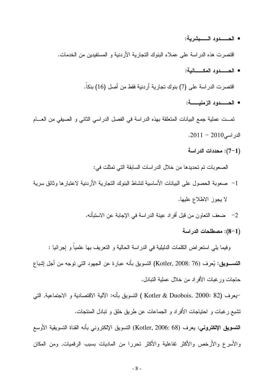- الحـــــدود الــــــبشرية: اقتصرت هذه الدراسة على عملاء البنوك التجارية الأردنية و المستفيدين من الخدمات. • الحـــــدود المكـــــانبة: اقتصرت الدراسة على (7) بنوك تجارية أردنية فقط من أصل (16) بنكا. • الحـــــــدود الزمنيــــــــة: تمـــت عملية جمع البيانات المتعلقة بهذه الدراسة في الفصل الدراسي الثاني و الصبفي من العــــام  $.2011 - 2010$ الدر اسی (1–7): محددات الدراسة الصعوبات تم تحديدها من خلال الدراسات السابقة التي تمثلت في:
- 1– صعوبة الحصول على البيانات الأساسية لنشاط البنوك التجارية الأردنية لاعتبارها وثائق سرية لا يجوز الاطلاع عليها.
	- 2– ضعف التعاون من قبل أفراد عينة الدراسة في الإجابة عن الاستبأنه.
		- (1–8): مصطلحات الدراسة

وفيما يلِّي استعراض الكلمات الدليلية في الدراسة الحالية و النعريف بها علمياً و إجرائيا : التســـــــــويق: يُـعرف (Kotler, 2008: 76) التسويق بأنه عبارة عن الجهود التي توجه من أجل إشباع حاجات ورغبات الأفر اد من خلال عملبة التنادل.

–يعرف (Kotler & Duobois, 2000: 82 ) النسويق بأنه: الآلية الاقتصادية و الاجتماعية, التي تشبع رغبات و احتياجات الأفراد و الجماعات عن طريق خلق و تبادل المنتجات.

التسويق الإلكتروني: يعرف (Kotler, 2006: 68) التسويق الإلكتروني بأنه القناة التسويقية الأوسع والأسرع والأرخص والأكثر نفاعلية والأكثر تحررا من الماديات بسبب الرقميات, ومن المكان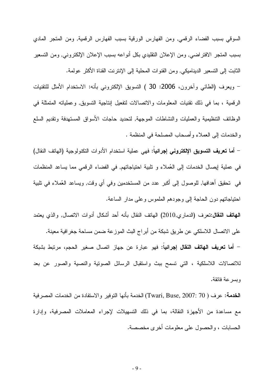السوقي بسبب الفضاء الرقمي, ومن الفهارس الورقية بسبب الفهارس الرقمية, ومن المنجر المادي بسبب المتجر الافتراضي, ومن الإعلان التقليدي بكل أنواعه بسبب الإعلان الإلكتروني, ومن التسعير الثابت إلى التسعير الديناميكي, ومن القنوات المحلية إلى الإنترنت القناة الأكثر عولمة.

– ويعرف (الطائي وأخرون، 2006: 30 ) التسويق الإلكتروني بأنه: الاستخدام الأمثل للتقنيات الرُّقِمية ، بما في ذلك نقنيات المعلومات والاتصالات لتفعيل إنتاجية التسويق, وعملياته المتمثَّلة في الوظائف التنظيمية والعمليات والنشاطات الموجهة, لتحديد حاجات الأسواق المستهدفة وتقديم السلع والخدمات إلى العملاء وأصحاب المصلحة في المنظمة .

– أما تعريف التسويق الإلكتروني إجرائياً: فهي عملية استخدام الأدوات التكنولوجية (الهاتف النقال) في عملية إيصال الخدمات إلى العُملاء و نلبية احتياجاتهم, في الفضاء الرقمي مما يساعد المنظمات في تحقيق أهدافها, للوصول إلى أكبر عدد من المستخدمين وفي أي وقت, ويساعد العُملاء في تلبية احتياجاتهم دون الحاجة إلى وجودهم الملموس وعلى مدار الساعة.

ا**لـهاتف النـقال:**تعرف (الدماري,2010) الـهاتف النقال بأنـه أحد أشكال أدوات الاتصـال, والذي يعتمد على الاتصال اللاسلكي عن طريق شبكة من أبراج البث الموزعة ضمن مساحة جغرافية معينة. – أما **تعريف الهاتف النقال إجرائيا:** فهو عبارة عن جهاز اتصال صغير الحجم، مرتبط بشبكة للانصالات اللاسلكية ، التي تسمح ببث واستقبال الرسائل الصونية والنصية والصور عن بعد وبسر عة فائقة.

الغدمة: عرف ( Twari, Buse, 2007: 70) الخدمة بأنها التوفير والاستفادة من الخدمات المصرفية مع مساعدة من الأجهزة النقالة، بما في ذلك التسهيلات لإجراء المعاملات المصرفية، وإدارة الحسابات ، والحصول على معلومات أخرى مخصصة.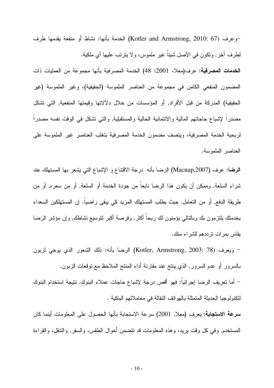-وعرف (Kotler and Armstrong, 2010: 67) الخدمة بأنها: نشاط أو منفعة يقدمها طرف لطرف أخر, ونكون في الأصل شيئاً غير ملموس، ولا يترتب عليها أي ملكية. ا**لخدمات المصرفية:** عرف(معلا، 2001: 48) الخدمة المصرفية بأنها مجموعة من العمليات ذات المضمون المنفعي الكامن في مجموعة من العناصر الملموسة (الحقيقية)، وغير الملموسة (غير الحقيقية) المدركة من قبل الأفراد, أو المؤسسات من خلال دلالاتها وقيمتها المنفعية, التي تشكل مصدرًا لإشباع حاجاتهم المالية والائتمانية الحالية والمستقبلية, والتي تشكل في الوقت نفسه مصدرًا لربحية الخدمة المصرفية، ويتصف مضمون الخدمة المصرفية بتغلب العناصر غير الملموسة على العناصر الملموسة.

ا**لرضا:** عرف (Macnap,2007) الرضا بأنه درجة الاقتناع و الإشباع التي يشعر بها المستهلك عند شراء السلعة, وممكن أن يكون هذا الرضا نابعا من جودة الخدمة أو السلعة, أو من سعره, أو من طريقة الدفع, أو من التعامل, حيث يطلب المستهلك المزيد كي يبقى راضيا. إن المستهلكين السعداء بخدمنك بلنزمون بك وبالنالي يؤمنون لك ربحاً أكثر, وفرصة أكبر لنوسيع نشاطك, وإن مؤشر الرضا بقاس بمر ات تر ددهم للشر اء منك.

– ويعرف (Kotler, Armstrong, 2003: 78) الرضا بأنه: ذلك الشعور الذي يوحي لزبون بالسرور أو عدم السرور, الذي ينتج عند مقارنة أداء المنتج الملاحظ مع نوقعات الزبون.

– أما تعريف الرضا إجرائيا: فهو أقص درجة لإشباع حاجات عملاء البنوك, نتيجة استخدام البنوك لتكنولوجيا الحديثة المنمثلة بالهواتف النقالة في معاملاتهم البنكية .

**سرعة الاستجابة: يعرف (مع**لا, 2001) سرعة الاستجابة بأنها الحصول على المعلومات أينما كان المستخدم, وفي كل وقت بريد، وهذه المعلومات قد نتضمن أحوال الطقس، والسفر, والنتقل، والقراءة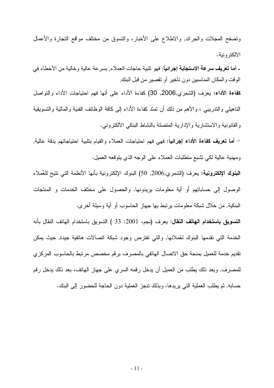وتصفح المجلات والجرائد, والاطلاع على الأخبار، والتسوق من مختلف مواقع التجارة والأعمال الالكتر ونبة.

ـ أ**ما تعريف سرعة الاستجابة إجرائياً**: فهو تلبية حاجات العملاء<sub>،</sub> بسر عة عالية وخالية من الأخطاء في الوقت والمكان المناسبين دون تأخير أو تقصير من قبل البنك

كمفاءة الأداء: بعرف (الشمري,2006, 30) كفاءة الأداء على أنها فهم احتياجات الأداء والنواصل التاهيلي و التدريبي ، و الأهم من ذلك أن تمتد كفاءة الأداء إلى كافة الوظائف الفنية و المالية و التسويقية والقانونية والاستشارية والإدارية المتصلة بالنشاط البنكي الالكتروني.

– أ**ما تعريف كفاءة الأداء إجرائي**اً: فهي فهم احتياجات العملاء والقيام بنابية احتياجاتهم بدقة عالية, ومهنية عالية لكي تشبع متطلبات العملاء على الوجه الذي يتوقعه العميل.

البنوك الإلكترونية: يعرف (الشمري,2006, 50) البنوك الإلكترونية بأنها الأنظمة التي نتيح للعُملاء الوصول إلى حساباتهم أو أية معلومات بريدونها, والحصول على مختلف الخدمات و المنتجات البنكية, من خلال شبكة معلومات برنبط بها جهاز الحاسوب أو أية وسيلة أخرى.

ا**لتسويق باستخدام الهاتف النقال:** يعرف (نجم، 2001: 33 ) التسويق باستخدام الهاتف النقال بأنه الخدمة التي تقدمها البنوك لعُملائها, والتي تفترض وجود شبكة اتصالات هاتفية جيدة, حيث يمكن تقديم خدمة للعميل بمنحة حق الاتصال الهاتفي بالمصرف برقم مخصص مرتبط بالحاسوب المركزي للمصر ف, وبعد ذلك يطلب من العميل أن يدخل رقمه السر ي على جهاز ِ الهاتف، بعد ذلك يدخل رقم حسابه, ثم يطلب العملية التي يريدها، وبذلك نتجز العملية دون الحاجة للحضور إلى البنك.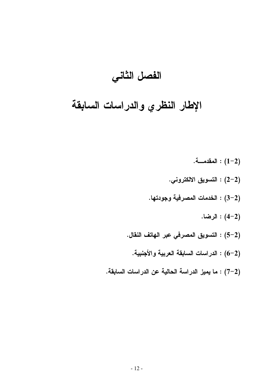## الفصل الثاني

# الإطار النظري والدراسات السابقة

المقدمــــة.  $(1-2)$ : (2-2) التسويق الالكتروني. (2–3) : الخدمات المصرفية وجودتها. الرضا.  $(4-2)$ (2–5) : التسويق المصرفي عبر الهاتف النقال. (2–6) : الدراسات السابقة العربية والأجنبية. (2–7) : ما يميز الدراسة الحالية عن الدراسات السابقة.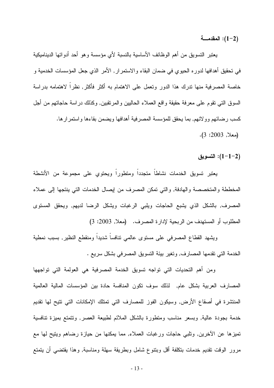المقدمــــة: (2–1):  $(1-2)$ 

يعتبر التسويق من أهم الوظائف الأساسية بالنسبة لأي مؤسسة وهو أحد أدواتها الديناميكية في تحقيق أهدافها لدوره الحيوي في ضمان البقاء والاستمرار, الأمر الذي جعل المؤسسات الخدمية و خاصة المصرفية منها ندرك هذا الدور ونعمل على الاهتمام به أكثر فأكثر, نظراً لاهتمامه بدراسة السوق التبي نقوم على معرفة حقيقة واقع العملاء الحاليين والمرنقبين, وكذلك دراسة حاجاتهم من أجل كسب رضائهم وولائهم, بما يحقق للمؤسسة المصرفية أهدافها ويضمن بقاءها واستمر ارها.  $(3:2003)$  (معلا, 2003).

التسويق: $(1-1-2)$ 

يعتبر تسويق الخدمات نشاطا متجددا ومتطورا ويحتوي على مجموعة من الأنشطة المخططة والمتخصصة والهادفة, والتي تمكن المصرف من إيصال الخدمات التي ينتجها إلى عملاء المصرف, بالشكل الذي يشبع الحاجات ويلبي الرغبات ويشكل الرضا لديهم, ويحقق المستوى المطلوب أو المستهدف من الربحية لإدارة المصرف. (معلا, 2003: 3)

ويشهد القطاع المصرفى على مستوى عالمي نتافساً شديداً ومنقطع النظير, بسبب نمطية الخدمة التي تقدمها المصارف, وتغير بيئة التسويق المصرفي بشكل سريع .

ومن أهم التحديات التي تواجه تسويق الخدمة المصرفية هي العولمة التي تواجهها المصارف العربية بشكل عام, لذلك سوف نكون المنافسة حادة بين المؤسسات المالية العالمية المنتشرة في أصقاع الأرض, وسيكون الفوز للمصارف التي تمتلك الإمكانات التي نتيح لها نقديم خدمة بجودة عالية, وبسعر مناسب ومنطورة بالشكل الملائم لطبيعة العصر, ونتمنع بميزة نتافسية تميزها عن الأخرين, ونلبي حاجات ورغبات العملاء, مما يمكنها من حيازة رضاهم ويتيح لمها مع مرور الوقت نقديم خدمات بنكلفة أقل وبنتوع شامل وبطريقة سهلة ومناسبة, وهذا يقتضيي أن يتمتع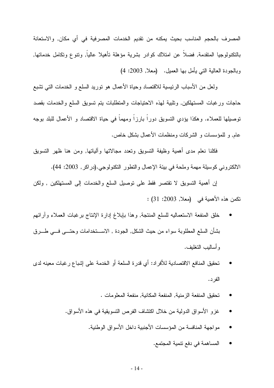المصرف بالحجم المناسب بحيث يمكنه من نقديم الخدمات المصرفية في أي مكان, والاستعانة بالنكنولوجيا المنقدمة, فضلاً عن امتلاك كوادر بشرية مؤهلة تأهيلا عالياً, ونتوع ونكامل خدماتها, وبالجودة العالية النبي يأمل بها العميل. (معلا, 2003: 4)

ولعل من الأسباب الرئيسية للاقتصاد وحياة الأعمال هو نوريد السلع و الخدمات التي نشبع حاجات ورغبات المستهلكين, ونلبية لمهذه الاحتياجات والمتطلبات يتم تسويق السلع والخدمات بقصد توصيلها للعملاء. وهكذا يؤدي التسويق دورا بارزا ومهما في حياة الاقتصاد و الأعمال للبلد بوجه عام, و للمؤسسات و الشركات ومنظمات الأعمال بشكل خاص.

فكلنا نعلم مدى أهمية وظيفة التسويق وتعدد مجالاتها وآلياتها, ومن هنا ظهر التسويق الالكتروني كوسيلة مهمة وملحة في بيئة الإعمال والنطور النكنولوجي.(دراكر, 2003: 44).

إن أهمية التسويق لا تقتصر فقط على توصيل السلع والخدمات إلى المستهلكين , ولكن تكمن هذه الأهمية في (معلا, 2003: 31) :

- خلق المنفعة الاستعماليه للسلع المنتجة, وهذا بإبلاغ إدارة الإنتاج برغبات العملاء وأرائهم بشأن السلع المطلوبة سواء من حيث الشكل, الجودة , الاســـتخدامات وحتـــي فـــي طـــرق و أساليب التغليف.
- تحقيق المنافع الاقتصادية للأفراد: أي قدرة السلعة أو الخدمة على إشباع رغبات معينه لدى الفر د.
	- تحقيق المنفعة الز منية, المنفعة المكانية, منفعة المعلومات .
	- غز و الأسواق الدولية من خلال اكتشاف الفرص النسويقية في هذه الأسواق.
		- مواجهة المنافسة من المؤسسات الأجنبية داخل الأسواق الوطنية.
			- المساهمة في دفع نتمية المجتمع.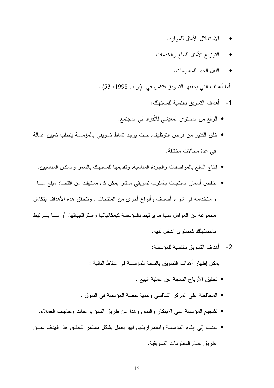- الاستغلال الأمثل للمو ار د.
- النوزيع الأمثل للسلع والخدمات .
	- النقل الجيد للمعلو مات.  $\bullet$

أما أهداف التي يحققها التسويق فتكمن في (فريد, 1998: 53) .

- 1- أهداف النسويق بالنسبة للمستهلك:
- الرفع من المستوى المعيشى للأفراد في المجتمع.
- خلق الكثير من فرص التوظيف, حيث يوجد نشاط نسويقي بالمؤسسة يتطلب نعيين عمالة في عدة مجالات مختلفة.
	- إنتاج السلع بالمو اصفات والجودة المناسبة, وتقديمها للمستهلك بالسعر والمكان المناسبين.
- خفض أسعار المنتجات بأسلوب تسويقي ممتاز يمكن كل مستهلك من افتصاد مبلغ مــــا , واستخدامه في شراء أصناف وأنواع أخرى من المنتجات , ونتحقق هذه الأهداف بتكامل مجموعة من العوامل منها ما يرتبط بالمؤسسة كامكانياتها واستر اتجياتها, أو مسا يسرتبط بالمستهلك كمستوى الدخل لديه.
	- 2- أهداف النسوبق بالنسبة للمؤسسة:

يمكن إظهار أهداف التسويق بالنسبة للمؤسسة في النقاط التالية :

- تحقبق الأرباح الناتجة عن عملية البيع .
- المحافظة على المركز التنافسي وتنمية حصة المؤسسة في السوق .
- تشجيع المؤسسة على الابتكار والنمو, وهذا عن طريق التنبؤ برغبات وحاجات العملاء.
- يهدف إلى إبقاء المؤسسة واستمراريتها, فهو يعمل بشكل مستمر لتحقيق هذا الهدف عـــن طريق نظام المعلومات التسويقية.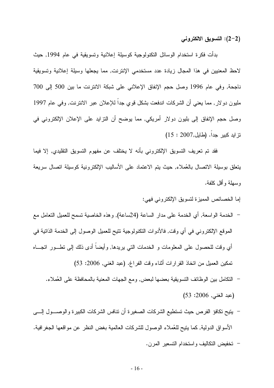(2–2): التسويق الالكتروني

بدأت فكرة استخدام الوسائل التكنولوجية كوسيلة إعلانية وتسويقية في عام 1994, حيث لاحظ المعنيين في هذا المجال زيادة عدد مستخدمي الإنترنت, مما يجعلها وسيلة إعلانية وتسويقية ناجحة, وفي عام 1996 وصل حجم الإنفاق الإعلاني على شبكة الانترنت ما بين 500 إلى 700 مليون دولار, مما يعني أن الشركات اندفعت بشكل فوي جداً للإعلان عبر الانترنت, وفي عام 1997 وصل حجم الإنفاق إلى بليون دولار أمريكي, مما يوضح أن النزايد على الإعلان الإلكتروني في نز ايد كبير جداً. (طايل,2007 : 15)

فقد تم تعريف التسويق الإلكتروني بأنه لا يختلف عن مفهوم التسويق التقليدي, إلا فيما بنعلق بوسيلة الانصال بالعُملاء, حيث بنم الاعتماد على الأساليب الإلكترونية كوسيلة انصال سريعة وسهلة وأقل كلفة.

إما الخصائص المميزة لتسويق الإلكتروني فهي:

- الخدمة الواسعة, أي الخدمة على مدار الساعة (24ساعة), وهذه الخاصية تسمح للعميل التعامل مع الموقع الإلكتروني في أي وقت, فالأدوات التكنولوجية نتيح للعميل الوصول إلى الخدمة الذاتية في أي وقت للحصول على المعلومات و الخدمات التي بريدها, وأيضا أدى ذلك إلى نطـــور انجــــاه تمكين العميل من اتخاذ القرارات أثناء وقت الفراغ. (عبد الغنبي, 2006: 53)
	- النكامل بين الوظائف التسويقية بعضها لبعض, ومع الجهات المعنية بالمحافظة على العُملاء. (عبد الغني, 2006: 53)
- يتيح تكافؤ الفرص حيث تستطيع الشركات الصغيرة أن نتافس الشركات الكبيرة والوصـــول إلــــى الأسواق الدولية, كما يتيح للعُملاء الوصول للشركات العالمية بغض النظر عن مواقعها الجغرافية. – تخفيض التكاليف واستخدام التسعير المرن.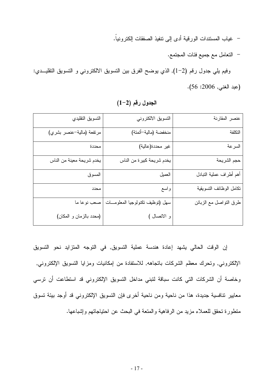– غياب المستندات الورقية أدى إلى نتفيذ الصفقات إلكترونياً.

– النعامل مع جميع فئات المجتمع.

وفيم يلي جدول رقم (2–1), الذي يوضح الفرق بين النسويق الالكتروني و النسويق النقليــدي: (عبد الغني, 2006: 56).

| عنصر المقارنة           | التسويق الالكتروني                | التسويق التقليدي          |
|-------------------------|-----------------------------------|---------------------------|
| التكلفة                 | منخفضة (مالية-أتمتة)              | مرتفعة (مالية-عنصر بشري)  |
| السرعة                  | غير محددة(عالية)                  | محددة                     |
| حجم الشريحة             | يخدم شريحة كبيرة من الناس         | يخدم شريحة معينة من الناس |
| أهم أطراف عملية التبادل | العميل                            | المسوق                    |
| نكامل الوظائف التسويقية | واسع                              | محدد                      |
| طرق النواصل مع الزبائن  | سهل (نوظيف نكنولوجيا المعلومـــات | صعب نوعا ما               |
|                         | و الاتصال )                       | (محدد بالزمان و المكان)   |

 $(1-2)$  الجدول رقم

إن الوقت الحالي يشهد إعادة هندسة عملية التسويق, في التوجه المنزايد نحو التسويق الإلكتروني, وتحرك معظم الشركات باتجاهه, للاستفادة من إمكانيات ومزايا التسويق الإلكتروني, وخاصة أن الشركات التي كانت سباقة لتبني مداخل التسويق الإلكتروني قد استطاعت أن نرسى معايير ننافسية جديدة، هذا من ناحية ومن ناحية أخرى فإن النسويق الإلكتروني قد أوجد بيئة نسوق منطورة تحقق للعملاء مزيد من الرفاهية والمنعة في البحث عن احتياجاتهم وإشباعها.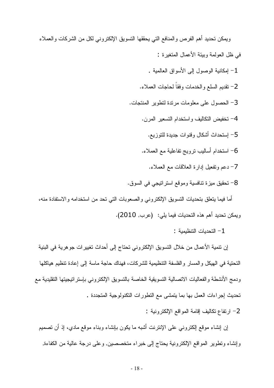ويمكن تحديد أهم الفرص والمنافع التي يحققها التسويق الإلكتروني لكل من الشركات والعملاء في ظل العولمة وبيئة الأعمال المنغير ة :

- 1– إمكانية الوصول إلى الأسواق العالمية .
- 2- تقديم السلع والخدمات وفقاً لحاجات العملاء.
- 3– الحصول على معلومات مرندة لتطوير المنتجات.
	- 4– تخفيض التكاليف واستخدام التسعير المرن.
		- 5– إستحداث أشكال وقنوات جديدة للتوزيع.
	- 6– استخدام أساليب نزويج نفاعلية مع العملاء.
		- 7– دعم وتفعيل إدارة العلاقات مع العملاء.
- 8– تحقيق ميزة تنافسية وموقع استراتيجي في السوق.

أما فيما يتعلق بتحديات النسويق الإلكتروني والصعوبات التي تحد من استخدامه والاستفادة منه، ويمكن تحديد أهم هذه التحديات فيما يلي: (عرب, 2010).

- التحدبات التنظيمبة  $-1$ 

إن نتمية الأعمال من خلال التسويق الإلكتروني تحتاج إلى أحداث تغييرات جوهرية في البنية التحتية في الهيكل والمسار والفلسفة التنظيمية للشركات، فهناك حاجة ماسة إلى إعادة تنظيم هياكلها ودمج الأنشطة والفعاليات الاتصالية التسويقية الخاصة بالتسويق الإلكتروني بإستر اتيجيتها التقليدية مع تحديث إجراءات العمل بها بما يتمشى مع التطورات التكنولوجية المتجددة .

2– ارتفاع تكاليف إقامة المواقع الإلكتر ونبة :

إن إنشاء موقع إلكترونـي علـي الإنترنت أشبه ما يكون بإنشاء وبناء موقع مادي، إذ أن تصميم وإنشاء ونطوير المواقع الإلكترونية يحتاج إلى خبراء متخصصين, وعلى درجة عالية من الكفاءة,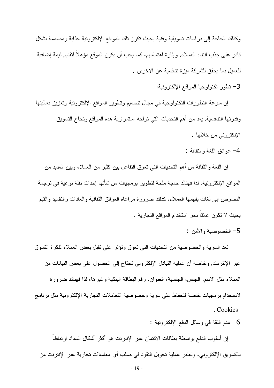وكذلك الحاجة إلى در اسات تسويقية وفنية بحيث نكون نلك المواقع الإلكترونية جذابة ومصممة بشكل قادر على جذب انتباه العملاء, وإثارة اهتمامهم، كما يجب أن يكون الموقع مؤهلاً لتقديم قيمة إضافية للعميل بما يحقق للشركة ميز ة تنافسية عن الآخر بن .

3– نطور نكنولوجيا المواقع الإلكترونية:

إن سرعة التطورات التكنولوجية في مجال تصميم وتطوير المواقع الإلكترونية وتعزيز فعاليتها وقدرتها النتافسية, يعد من أهم التحديات التي نواجه استمر ارية هذه المواقع ونجاح التسويق الإلكتروني من خلالها .

4– عو ائق اللغة و النقافة :

إن اللغة والثقافة من أهم التحديات التي تعوق التفاعل بين كثير من العملاء وبين العديد من المواقع الإلكترونية، لذا فهناك حاجة ملحة لتطوير برمجيات من شأنها إحداث نقلة نوعية في ترجمة النصوص إلى لغات يفهمها العملاء، كذلك ضرورة مراعاة العوائق النقافية والعادات والنقاليد والقيم بحيث لا نكون عائقاً نحو استخدام المواقع التجارية .

5- الخصوصبة والأمن :

نعد السرية والخصوصية من النحديات التي نعوق ونؤثر على نقبل بعض العملاء لفكرة النسوق عبر الإنترنت, وخاصة أن عملية التبادل الإلكتروني تحتاج إلى الحصول على بعض البيانات من العملاء مثل الاسم، الجنس، الجنسية، العنوان، رقم البطاقة البنكية وغيرها، لذا فهناك ضرورة لاستخدام بر مجيات خاصة للحفاظ على سرية وخصوصية التعاملات التجارية الإلكتر ونية مثل بر نامج . Cookies

6– عدم الثقة في وسائل الدفع الإلكترونية :

إن أسلوب الدفع بواسطة بطاقات الائتمان عبر الإنترنت هو أكثر أشكال السداد ارتباطاً بالنسويق الإلكتروني، وتعتبر عملية تحويل النقود في صلب أي معاملات تجارية عبر الإنترنت من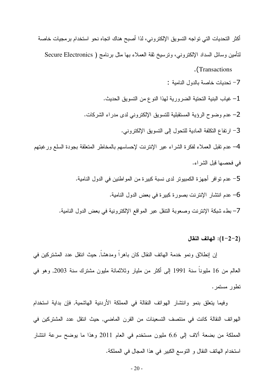أكثر التحديات التي تواجه التسويق الإلكتروني، لذا أصبح هناك اتجاه نحو استخدام برمجيات خاصة لتأمين وسائل السداد الإلكتروني، ونرسيخ ثقة العملاء بها مثل برنامج ( Secure Electronics Transactions. 7– تحديات خاصة بالدول النامية : 1– غياب البنية التحتية الضرورية لهذا النوع من التسويق الحديث. 2– عدم وضوح الرؤية المستقبلية للتسويق الإلكتروني لدى مدراء الشركات. 3- ارتفاع النكلفة المادية للتحول إلى التسويق الإلكتروني. 4– عدم نقبل العملاء لفكرة الشراء عير الإنترنت لإحساسهم بالمخاطر المتعلقة بجودة السلع ورغبتهم في فحصـها قبل الشراء. 5– عدم تو افر أجهز ة الكمبيوتر لدى نسبة كبير ة من المو اطنين في الدول النامية. 6– عدم انتشار الإنترنت بصورة كبيرة في بعض الدول النامية. 7– بطء شبكة الإنترنت وصعوبة النتقل عبر المواقع الإلكترونية في بعض الدول النامية.

#### الهاتف النقال (2–2 $(1-2-2)$

إن إنطلاق ونمو خدمة الهاتف النقال كان باهرا ومدهشا, حيث انتقل عدد المشتركين في العالم من 16 مليوناً سنة 1991 إلى أكثر من مليار وثلاثمائة مليون مشترك سنة 2003, وهو في تطور مستمر .

وفيما يتعلَّق بنمو وانتشار الهواتف النقالة في المملكة الأردنية الهاشمية, فإن بداية استخدام الهواتف النقالة كانت في منتصف التسعينات من القرن الماضي, حيث انتقل عدد المشتركين في المملكة من بضعة ألاف إلى 6.6 مليون مستخدم في العام 2011 وهذا ما يوضح سرعة انتشار استخدام الهاتف النقال و التوسع الكبير في هذا المجال في المملكة.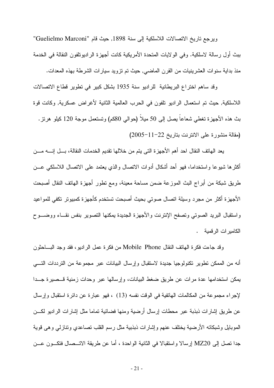ويرجع تاريخ الاتصالات اللاسلكية إلى سنة 1898, حيث قام "Guelielmo Marconi" ببث أول رسالة لاسلكية. وفي الولايات المتحدة الأمريكية كانت أجهزة الراديونلفون النقالة في الخدمة منذ بداية سنوات العشرينيات من القرن الماضيي, حيث تم نزويد سيارات الشرطة بهذه المعدات.

وقد ساهم اختراع البريطانية للراديو سنة 1935 بشكل كبير في نطوير قطاع الاتصالات اللاسلكية, حيث تم استعمال الراديو تلفون في الحرب العالمية الثانية لأغراض عسكرية, وكانت قوة بث هذه الأجهزة تغطي شعاعا بصل إلى 50 ميلا (حوالي 80كم) وتستعمل موجة 120 كيلو هرنز . (مقالة منشورة على الانترنت بتاريخ 22-11-2005)

يعد الهاتف النقال احد أهم الأجهزة التي يتم من خلالها تقديم الخدمات النقالة، بـــل إنــــه مـــن أكثرها شبوعا واستخداما، فهو أحد أشكال أدوات الاتصال والذي يعتمد على الاتصال اللاسلكي عـــن طريق شبكة من أبراج البث الموزعة ضمن مساحة معينة، ومع نطور أجهزة الهانف النقال أصبحت الأجهز ة أكثر من مجرد وسيلة اتصال صوتي بحيث أصبحت تستخدم كأجهز ة كمبيوتر تكفي للمواعيد واستقبال البريد الصوتي وتصفح الإنترنت والأجهزة الجديدة يمكنها التصوير بنفس نقــاء ووضـــوح الكاميرات الرقمية .

وقد جاءت فكرة الهاتف النقال Mobile Phone من فكرة عمل الراديو ، فقد وجد البساحثون أنه من الممكن نطوير نكنولوجيا جديدة لاستقبال وإرسال البيانات عبر مجموعة من النرددات النسبي يمكن استخدامها عدة مرات عن طريق ضغط البيانات، وإرسالها عبر وحدات زمنية قــصيرة جــدا لإجراء مجموعة من المكالمات الهاتفية في الوقت نفسه (13) ، فهو عبارة عن دائرة استقبال وإرسال عن طريق إشارات ذبذبة عبر محطات إرسال أرضية ومنها فضائية تماما مثل إشارات الراديو لكـــن الموبايل وشبكاته الأرضية يختلف عنهم وإشارات ذبذبية مثل رسم القلب نصاعدي ونتازلمي وهي قوية جدًا نصل إلى MZ20 إرسالا واستقبالا في الثانية الواحدة ، أما عن طريقة الاتـــصال فتكـــون عـــن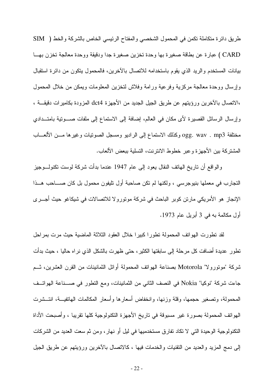طريق دائرة متكاملة تكمن في المحمول الشخصبي والمفتاح الرئيسي الخاص بالشركة والخط ( SIM ) CARD ) عبارة عن بطاقة صغيرة بها وحدة تخزين صغيرة جدا ودقيقة ووحدة معالجة تخزن بهــا بيانات المستخدم والريد الذي يقوم باستخدامه للانصال بالأخرين، فالمحمول يتكون من دائرة استقبال وإرسال ووحدة معالجة مركزية وفرعية ورامة وفلاش لتخزين المعلومات ويمكن من خلال المحمول ،الاتصال بالأخرين ورؤيتهم عن طريق الجيل الجديد من الأجهزة dct4 المزودة بكاميرات دقيقـــة ، وإرسال الرسائل القصيرة لأى مكان في العالم، إضافة إلى الاستماع إلى ملفات صـــوتية بامتـــدادي مختلفة ogg. wav . mp3 وكذلك الاستماع إلى الراديو ومسجل الصونيات وغيرها مـــن الألعـــاب المشتركة بين الأجهزة وعبر خطوط الانترنت، التسلية ببعض الألعاب.

والواقع أن ناريخ المهانف النقال يعود إلى عام 1947 عندما بدأت شركة لوست نكنولـــوجيز التجارب في معملها بنيوجرسي ، ولكنها لم نكن صاحبة أول تليفون محمول بل كان صــــاحب هـــذا الإنجاز ِ هو الأمريكي مارتن كوبر الباحث في شركة موتورو لا للاتصالات في شيكاغو حيث أجـــرى أول مكالمة به في 3 أبريل عام 1973.

لقد نطورت الهوانف المحمولة نطورا كبيرا خلال العقود الثلاثة الماضية حيث مرت بمراحل تطور عديدة أضافت كل مرحلة إلى سابقتها الكثير ، حتى ظهرت بالشكل الذي نر اه حاليا ، حيث بدأت شركة "مونورولا" Motorola بصناعة الهواتف المحمولة أوائل الثمانينات من القرن العشرين، ثــم جاءت شركة "نوكيا" Nokia في النصف الثاني من الثمانينات، ومع التطور في صــــناعة الهواتـــف المحمولة، ونصغير حجمها، وقلة وزنها، وانخفاض أسعارها وأسعار المكالمات الهانفيـــة، انتـــشرت الهواتف المحمولة بصورة غير مسبوقة في تاريخ الأجهزة التكنولوجية كلها نقريبا ، وأصبحت الأداة النكنولوجية الوحيدة التي لا تكاد تفارق مستخدميها في ليل أو نهارٍ ، ومن ثم سعت العديد من الشركات إلى دمج المزيد والعديد من التقنيات والخدمات فيها ، كالاتصال بالأخرين ورؤيتهم عن طريق الجيل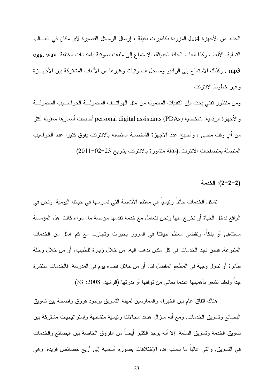الجديد من الأجهزة dct4 المزودة بكاميرات دقيقة ، إرسال الرسائل القصبرة لاي مكان في العـــالم، التسلية بالألعاب وكذا ألعاب الجافا الحديثة، الاستماع إلى ملفات صوتية بامتدادات مختلفة ogg. wav mp3 . وكذلك الاستماع إلى الراديو ومسجل الصونيات وغيرها من الألعاب المشتركة بين الأجهـــزة وعبر خطوط الانترنت.

ومن منظور نقني بحت فإن النقنيات المحمولة من مثل الهواتــف المحمولـــة الحواســـيب المحمولـــة و الأجهزة الرقمية الشخصية (PDAs) personal digital assistants أصبحت أسعارها معقولة أكثر من أي وقت مضي ، وأصبح عدد الأجهزة الشخصية المتصلة بالانترنت يفوق كثيرا عدد الحواسيب المتصلة بمتصفحات الانترنت.(مقالة منشورة بالانترنت بتاريخ 23–02-2011)

#### (2−2−2): الخدمة

تشكل الخدمات جانباً رئيسياً في معظم الأنشطة التي نمارسها في حياتنا اليومية, ونحن في الواقع ندخل الحياة أو نخرج منها ونحن نتعامل مع خدمة نقدمها مؤسسة ما, سواء كانت هذه المؤسسة مستشفى أو بنكا، ونقضىي معظم حياتنا في المرور بخبرات وتجارب مع كم هائل من الخدمات المنتوعة, فنحن نجد الخدمات في كل مكان نذهب إليه، من خلال زيارة للطبيب، أو من خلال رحلة طائرة أو نتاول وجبة في المطعم المفضل لنا، أو من خلال قضاء يوم في المدرسة, فالخدمات منتشرة جداً ولعلنا نشعر بأهميتها عندما نعاني من توقفها أو ندرتها.(الرشيد, 2008: 33)

هناك انفاق عام بين الخبراء والممارسين لمهنة التسويق بوجود فروق واضحة بين تسويق البضائع وتسويق الخدمات, ومع أنه مازال هناك مجالات رئيسية متشابهة وإستراتيجيات مشتركة ببن تسويق الخدمة وتسويق السلعة, إلا أنه يوجد الكثير أيضاً من الفروق الخاصة بين البضائع والخدمات في التسويق, والتي غالباً ما نتسب هذه الإختلافات بصوره أساسية إلى أربع خصائص فريدة, وهي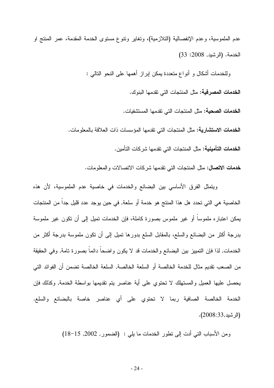عدم الملموسية، وعدم الإنفصالية (التلازمية)، وتغاير وتتوع مستوى الخدمة المقدمة، عمر المنتج او الخدمة. (الرشيد, 2008: 33)

وللخدمات أشكال و أنواع متعددة بمكن إبراز أهمها على النحو التالبي :

ا**لخدمات المصرفية:** مثل المنتجات التي تقدمها البنوك.

**الخدمات الصحية:** مثل المنتجات التي تقدمها المستشفيات.

**الخدمات الاستشارية:** مثل المنتجات التي تقدمها المؤسسات ذات العلاقة بالمعلو مات.

**الخدمات التأمينية:** مثل المنتجات التي تقدمها شر كات التأمين.

خدمات الاتصال: مثل المنتجات التي نقدمها شركات الاتصالات والمعلومات.

ويتمثَّل الفرق الأساسي بين البضائع والخدمات في خاصية عدم الملموسية، لأن هذه الخاصية هي التي تحدد هل هذا المنتج هو خدمة أو سلعة, في حين يوجد عدد قليل جداً من المنتجات يمكن اعتباره ملموساً أو غير ملموس بصورة كاملة، فإن الخدمات نميل إلى أن نكون غير ملموسة بدرجة أكثر من البضائع والسلع، بالمقابل السلع بدورها تميل إلىي أن نكون ملموسة بدرجة أكثر من الخدمات, لذا فإن التمييز بين البضائع والخدمات قد لا يكون واضحا دائما بصورة تامة, وفي الحقيقة من الصعب نقديم مثال للخدمة الخالصة أو السلعة الخالصة, السلعة الخالصة تضمن أن الفوائد التي يحصل عليها العميل والمستهلك لا نحتوي على أية عناصر يتم نقديمها بواسطة الخدمة, وكذلك فإن الخدمة الخالصة الصافية ربما لا تحتوي على أي عناصر خاصة بالبضائع والسلع. (الرشيد,2008:33).

ومن الأسباب التبي أدت إلى نطور الخدمات ما يلبي : (الضمور, 2002, 15–18)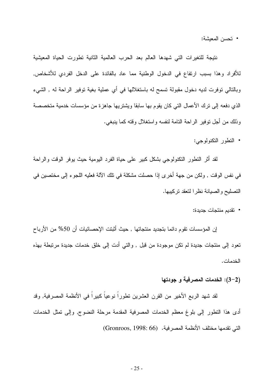• تحسن المعيشة:

نتيجة للتغيرات التي شهدها العالم بعد الحرب العالمية الثانية تطورت الحياة المعيشية للأفراد وهذا بسبب ارتفاع في الدخول الوطنية مما عاد بالفائدة على الدخل الفردى للأشخاص, وبالنالي نوفرت لديه دخول مقبولة تسمح له باستغلالها في أي عملية بغية نوفير الراحة له , الشيء الذي دفعه إلى نزك الأعمال التي كان يقوم بها سابقا ويشتريها جاهزة من مؤسسات خدمية متخصصة وذلك من أجل نوفير الراحة النامة لنفسه واستغلال وقته كما بنبغي.

• التطور التكنولوجي:

لقد أثر النطور النكنولوجي بشكل كبير على حياة الفرد اليومية حيث يوفر الوقت والراحة في نفس الوقت , ولكن من جهة أخر ي إذا حصلت مشكلة في تلك الآلة فعليه اللجو ء إلى مختصين في التصليح والصيانة نظرا لتعقد تركيبها.

• تقديم منتجات جديدة:

إن المؤسسات تقوم دائما بتجديد منتجاتها , حيث أَثبتت الإحصائيات أن 50% من الأرباح تعود إلى منتجات جديدة لم تكن موجودة من قبل , والتي أدت إلى خلق خدمات جديدة مرتبطة بهذه الخدمات .

#### (2–3): الخدمات المصرفية و جودتها

لقد شهد الربع الأخير ٍ من القرن العشرين تطوراً نوعياً كبيراً في الأنظمة المصرفية, وقد أدى هذا النطور إلى بلوغ معظم الخدمات المصرفية المقدمة مرحلة النضوج, وإلى نمثل الخدمات التي تقدمها مختلف الأنظمة المصر فية. (Gronroos, 1998: 66)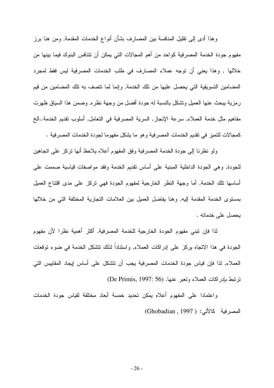وهذا أدى إلى نقليل المنافسة بين المصارف بشأن أنواع الخدمات المقدمة, ومن هنا برز مفهوم جودة الخدمة المصرفية كواحد من أهم المجالات التي يمكن أن تتنافس البنوك فيما بينها من خلالها , وهذا يعني أن توجه عملاء المصارف في طلب الخدمات المصرفية ليس فقط لمجرد المضامين التسويقية التي يحصل عليها من تلك الخدمة, وإنما لما نتصف به نلك المضامين من قيم رمزية يبحث عنها العميل ونشكل بالنسبة له جودة أفضل من وجهة نظره, وضمن هذا السياق ظهرت مفاهيم مثل خدمة العملاء, سرعة الإنجاز, السرية المصرفية في النعامل, أسلوب نقديم الخدمة..الخ كمجالات للتميز في نقديم الخدمات المصرفية وهو ما يشكل مفهوما لجودة الخدمات المصرفية .

ولو نظرنا إلى جودة الخدمة المصرفية وفق المفهوم أعلاه يلاحظ أنها نركز على انجاهين للجودة, وهي الجودة الداخلية المبنية على أساس نقديم الخدمة وفقد مواصفات فياسية صممت على أساسها نلك الخدمة, أما وجهة النظر الخارجية لمفهوم الجودة فهي نركز على مدى اقتناع العميل بمستوى الخدمة المقدمة إليه, وهنا يفاضل العميل بين العلامات التجارية المختلفة التي من خلالها يحصل على خدماته .

لذا فإن تبنى مفهوم الجودة الخارجية للخدمة المصرفية, أكثر أهمية نظرا لأن مفهوم الجودة في هذا الاتجاه يركز على إدراكات العملاء, واستناداً لذلك نتشكل الخدمة في ضوء نوفعات العملاء, لذا فإن قياس جودة الخدمات المصرفية يجب أن نتشكل على أساس إيجاد المقابيس التي ترتبط بادر اكات العملاء وتعبر عنها. (De Primis, 1997: 56)

واعتمادا على المفهوم أعلاه بمكن تحديد خمسة أبعاد مختلفة لقياس جودة الخدمات (Ghobadian, 1997) : المصرفية كالأتي: (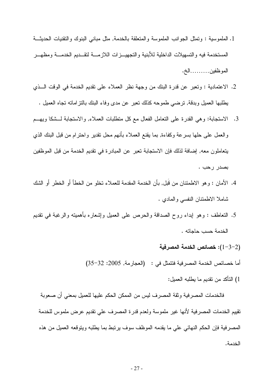- 1. الملموسية : وتمثَّل الجوانب الملموسة والمتعلقة بالخدمة, مثَّل مباني البنوك والتقنيات الحديثـــة المستخدمة فبه والتسهبلات الداخلبة للأبنبة والتجهيــز ات اللاز مـــة لتقـــدبم الخدمـــة ومظهـــر الموظفين.........الخ.
- 2. الاعتمادية : وتعبر عن قدرة البنك من وجهة نظر العملاء على نقديم الخدمة في الوقت الـــذي يطلبها العميل وبدقة, ترضيي طموحه كذلك تعبر عن مدى وفاء البنك بالنز اماته تجاه العميل .
- 3. الاستجابة: وهي القدرة على التعامل الفعال مع كل متطلبات العملاء, والاستجابة لـــشكا ويهـــم والعمل على حلها بسرعة وكفاءة, بما يقنع العملاء بأنهم محل نقدير واحترام من قبل البنك الذي يتعاملون معه, إضافة لذلك فإن الاستجابة تعبر عن المبادرة في تقديم الخدمة من قبل الموظفين بصدر رحب .
- 4. الأمان : وهو الاطمئنان من قبل, بأن الخدمة المقدمة للعملاء تخلو من الخطأ أو الخطر أو الشك شاملا الاطمئنان النفسي والمادي .
- 5. النعاطف : وهو إبداء روح الصداقة والحرص على العميل وإشعاره بأهميته والرغبة في نقديم الخدمة حسب حاجاته .
	- خصائص الخدمة المصرفية: $(1-3-2)$
	- أما خصائص الخدمة المصرفية فتتمثل في : (العجارمة, 2005: 32–35)
		- 1) التأكد من تقديم ما بطلبه العميل:

فالخدمات المصرفية وثقة المصرف ليس من الممكن الحكم عليها للعميل بمعنى أن صعوبة تقييم الخدمات المصر فية لأنها غير ملموسة ولعدم قدرة المصرف على تقديم عرض ملموس للخدمة المصرفية فإن الحكم النهائي على ما يقدمه الموظف سوف برنبط بما يطلبه وينوقعه العميل من هذه الخدمة.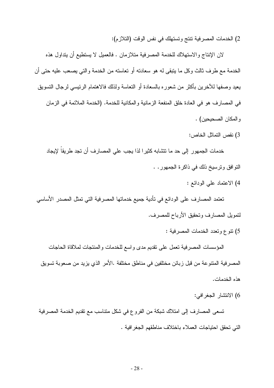2) الخدمات المصرفية تتتج وتستهلك في نفس الوقت (التلازم):

لان الإنتاج والاستهلاك للخدمة المصرفية متلازمان . فالعميل لا يستطيع أن يتداول هذه الخدمة مع طرف ثالث وكل ما يتبقى له هو سعادته أو تعاسته من الخدمة والتي يصعب عليه حتى أن يعيد وصفها للأخرين بأكثر من شعوره بالسعادة أو النعاسة ولذلك فالاهتمام الرئيسي لرجال التسويق في المصارف هو في العادة خلق المنفعة الزمانية والمكانية للخدمة. (الخدمة الملائمة في الزمان و المكان الصحيحين) .

3) نقص التماثل الخاص:

خدمات الجمهور إلى حد ما تتشابه كثيرا لذا يجب على المصارف أن تجد طريقاً لإيجاد النوافق ونرسيخ ذلك في ذاكرة الجمهور . .

4) الاعتماد على الودائع :

تعتمد المصبار ف على الو دائع في تأدية جميع خدماتها المصر فية التي تمثل المصدر الأساسي لنمويل المصارف وتحقيق الأرباح للمصرف.

5) نتوع وتعدد الخدمات المصر فية :

المؤسسات المصرفية نعمل على نقديم مدى واسع للخدمات والمنتجات لملاقاة الحاجات المصرفية المنتوعة من قبل زبائن مختلفين في مناطق مختلفة .الأمر الذي يزيد من صعوبة تسويق هذه الخدمات.

6) الانتشار الجغر افي:

تسعى المصارف إلى امتلاك شبكة من الفروع في شكل متناسب مع تقديم الخدمة المصرفية التي تحقق احتياجات العملاء باختلاف مناطقهم الجغر افية .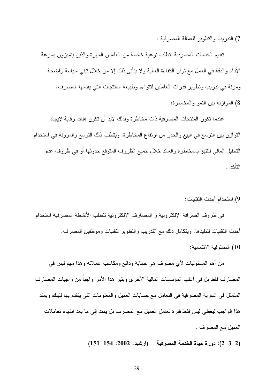7) الندر بب والنطوير للعمالة المصر فية :

نقديم الخدمات المصرفية يتطلب نوعية خاصة من العاملين المهرة والذين يتميزون بسرعة الأداء والدقة في العمل مع نوفر الكفاءة العالية ولا يتأتى ذلك إلا من خلال نبني سياسة واضحة ومرنة في ندريب ونطوير قدرات العاملين لنتواءم وطبيعة المنتجات التي يقدمها المصرف. 8) الموازنة بين النمو والمخاطرة:

عندما تكون المنتجات المصر فية ذات مخاطر ة ولذلك لابد أن تكون هناك ر قابة لإيجاد النوازن بين النوسع في البيع والحذر من ارتفاع المخاطرة. وينطلب ذلك النوسع والمرونة في استخدام النحليل المالي للنتبؤ بالمخاطرة والعائد خلال جميع الظروف المنوقع حدوثها أو في ظروف عدم التأكد .

9) استخدام أحدث النقنبات:

في ظروف الصرافة الإلكترونية و المصارف الإلكترونية تتطلب الأنشطة المصرفية استخدام أحدث النقنيات لنتفيذها. ويتكامل ذلك مع الندريب والنطوير لنقنيات وموظفين المصرف.

10) المسئو لبة الائتمانية:

من أهم المسئوليات لأي مصرف هي حماية ودائع ومكاسب عملائه وهذا مهم ليس في المصبار ف فقط بل في اغلب المؤسسات المالية الأخر ي ويثير ٍ هذا الأمر و اجبا من و اجبات المصبار ف المنمثل في السرية المصرفية في النعامل مع حسابات العميل والمعلومات النبي يتقدم بها للبنك ويمند هذا الواجب ليغطي ليس فقط فترة تعامل العميل مع المصرف بل يمتد إلى ما بعد انتهاء تعاملات العميل مع المصرف .

(2-3-2): دورة حياة الخدمة المصرفية (ارشيد, 2002: 154-151)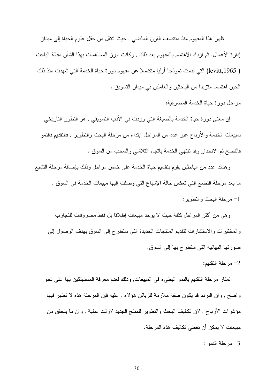ظهر هذا المفهوم منذ منتصف القرن الماضبي , حيث انتقل من حقل علوم الحياة إلى ميدان إدارة الأعمال. ثم ازداد الاهتمام بالمفهوم بعد ذلك , وكانت ابرز المساهمات بهذا الشأن مقالة الباحث ( levitt,1965) التي قدمت نموذجا أوليا متكاملا عن مفهوم دورة حياة الخدمة التي شهدت منذ ذلك الحين اهتماما منزيدا من الباحثين والعاملين في ميدان التسويق .

مر احل دورة حياة الخدمة المصر فية:

إن معنى دورة حياة الخدمة بالصيغة التي وردت في الأدب التسويقي , هو التطور التاريخي لمبيعات الخدمة والأرباح عبر عدد من المراحل ابتداء من مرحلة البحث والنطوير ٬ فالنقديم فالنمو فالنضج ثم الانحدار وقد تنتهي الخدمة باتجاه التلاشي والسحب من السوق .

وهناك عدد من الباحثين يقوم بتقسيم حياة الخدمة على خمس مراحل وذلك بإضافة مرحلة التشبع ما بعد مرحلة النضج التي تعكس حالة الإشباع التي وصلت البها مبيعات الخدمة في السوق . 1- مرحلة البحث والنطوبر :

و هي من أكثر المراحل كلفة حيث لا يوجد مبيعات إطلاقا بل فقط مصروفات للتجارب والمختبرات والاستشارات لتقديم المنتجات الجديدة التي ستطرح إلى السوق بهدف الوصول إلى صوريتها النهائية التي ستطرح بها إلى السوق.

2– مر حلة التقديم:

تمتاز مرحلة التقديم بالنمو البطيء في المبيعات, وذلك لعدم معرفة المستهلكين بها على نحو واضح , وإن النريد قد يكون صفة ملازمة للزبائن هؤلاء , عليه فإن المرحلة هذه لا نظهر فيها مؤشَّرات الأرباح , لان تكاليف البحث والتطوير للمنتج الجديد لازلت عالية , و ان ما يتحقق من مبيعات لا يمكن أن تغطي تكاليف هذه المرحلة.

- مرحلة النمو $-3$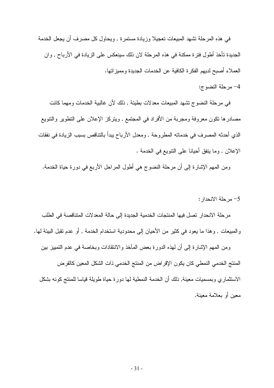في هذه المرحلة تشهد المبيعات تعجيلا وزيادة مستمرة , ويحاول كل مصرف أن يجعل الخدمة الجديدة تأخذ أطول فترة ممكنة في هذه المرحلة لان ذلك سينعكس على الزيادة في الأرباح , وان العملاء أصبح لديهم الفكرة الكافية عن الخدمات الجديدة ومميز اتها.

#### 4- مرحلة النضوج:

في مرحلة النضوج نشهد المبيعات معدلات بطيئة , ذلك لأن غالبية الخدمات ومهما كانت مصادرها نكون معروفة ومجربة من الأفراد في المجتمع , ويتركز الإعلان على التطوير والنتويع الذي أحدثه المصرف في خدماته المطروحة , ومعدل الأرباح ببدأ بالتناقص بسبب الزيادة في نفقات الإعلان , وما ينفق أحيانا على التنويع في الخدمة .

ومن المهم الإشارة إلى أن مرحلة النضوج هي أطول المراحل الأربع في دورة حياة الخدمة.

#### 5- مرحلة الانحدار :

مرحلة الانحدار نصل فيها المنتجات الخدمية الجديدة إلى حالة المعدلات المتناقصة في الطلب والمبيعات , وهذا ما يعود في كثير من الأحيان إلى محدودية استخدام الخدمة , أو عدم تقبل البيئة لها.

ومن المهم الإشارة إلى أن لهذه الدورة بعض المآخذ والانتقادات وبخاصة في عدم التمييز بين المنتج الخدمي النمطي كان يكون الإقراض من المنتج الخدمي ذات الشكل المعين كالقرض الاستثماري وبمسميات معينة, ذلك أن الخدمة النمطية لها دورة حياة طويلة قياسا للمنتج كونه بشكل معبن أو بعلامة معبنة.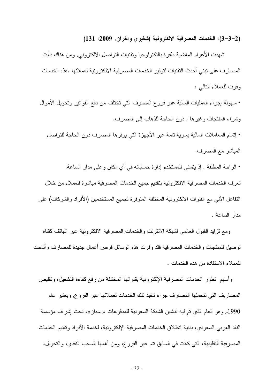(2–3–3): الخدمات المصرفية الالكترونية (شقيرى واخران, 2009: 131)

شهدت الأعوام الماضية طفرة بالنكنولوجيا ونقنيات النواصل الالكنرونـي, ومن هناك دأبت المصـار ف على تبني أحدث النقنيات لتو فير الخدمات المصـر فية الالكتر و نية لعملائـها .هذه الخدمات وفرت للعملاء التالبي :

• سهولة إجراء العمليات المالية عبر فروع المصرف التي تختلف من دفع الفواتير وتحويل الأموال وشر اء المنتجات و غير ها , دون الحاجة للذهاب إلى المصر ف.

• إتمام المعاملات المالية بسرية تامة عبر الأجهزة التي يوفرها المصرف دون الحاجة للتواصل المباشر مع المصرف.

• الراحة المطلقة , إذ يتسنى للمستخدم إدارة حساباته في أي مكان و على مدار الساعة. تعرف الخدمات المصرفية الالكترونية بتقديم جميع الخدمات المصرفية مباشرة للعملاء من خلال النفاعل الآلي مع القنوات الالكتر ونية المختلفة المتوفر ة لجميع المستخدمين (الأفراد والشركات) على مدار الساعة.

ومع نزايد القبول العالمي لشبكة الانترنت والخدمات المصرفية الالكترونية عبر الهاتف كقناة نوصيل للمنتجات والخدمات المصرفية فقد وفرت هذه الوسائل فرص أعمال جديدة للمصارف وأتاحت للعملاء الاستفادة من هذه الخدمات .

و أسهم نطور الخدمات المصر فية الإلكتر ونية بقنو اتها المختلفة من رفع كفاءة التشغيل، وتقليص المصبار بف التي تتحملها المصبار ف جراء تتفيذ تلك الخدمات لعملائها عبر الفر و ع, ويعتبر عام 1990م و هو العام الذي تم فيه تدشين الشبكة السعودية للمدفو عات « سبان»، تحت إشر اف مؤسسة النقد العربي السعودي، بداية انطلاق الخدمات المصرفية الإلكترونية، لخدمة الأفراد وتقديم الخدمات المصـرفية النقليدية، التـي كانت في السابق نتم عبر الفروع، ومن أهمها السـحب النقدي، والنـحويل،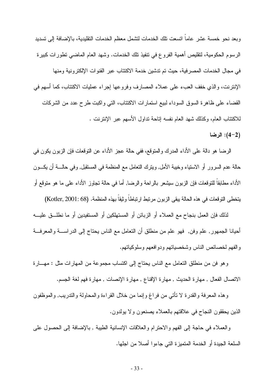وبعد نحو خمسة عشر عاماً اتسعت تلك الخدمات لتشمل معظم الخدمات التقليدية، بالإضافة إلى تسديد الرسوم الحكومية، لتقليص أهمية الفروع في نتفيذ نلك الخدمات. وشهد العام الماضي نظور ات كبير ة في مجال الخدمات المصرفية، حيث تم تدشين خدمة الاكتتاب عبر القنوات الإلكترونية ومنها الإنترنت، والذي خفف العبء على عملاء المصارف وفروعها إجراء عمليات الاكتتاب، كما أسهم في القضاء على ظاهرة السوق السوداء لبيع استمارات الاكتتاب، التي واكبت طرح عدد من الشركات للاكتتاب العام، وكذلك شهد العام نفسه إناحة نداول الأسهم عبر الإنتر نت .

 $(L-2)$ : الرضا

الرضا هو دالة على الأداء المدرك والمنوقع، ففي حالة عجز الأداء عن النوقعات فإن الزبون يكون في حالة عدم السرور أو الاستياء وخيبة الأمل, وينزك النعامل مع المنظمة في المستقبل, وفي حالــــة أن يكـــون الأداء مطابقا للنوقعات فإن الزبون سيشعر بالراحة والرضا, أما في حالة نجاوز الأداء على ما هو منوقع أو يتخطى التوقعات في هذه الحالة بيقى الزبون مرتبط ارتباطاً وثيقاً بهذه المنظمة. (Kotler, 2001: 68)

لذلك فإن العمل بنجاح مع العملاء أو الزبائن أو المستهلكين أو المستفيدين أو ما نطلـــق عليــــه أحيانا الجمهور, علم وفن, فهو علم من منطلق أن النعامل مع الناس يحناج إلى الدراســـة والمعرفـــة والفهم لخصائص الناس وشخصياتهم ودوافعهم وسلوكياتهم.

وهو فن من منطلق النعامل مع الناس يحتاج إلى اكتساب مجموعة من المهارات مثل : مهـــارة الاتصال الفعال , مهارة الحديث , مهارة الإقناع , مهارة الإنصات , مهارة فهم لغة الجسم.

و هذه المعرفة والقدرة لا نأنتي من فراغ وإنما من خلال القراءة والمحاولة والندريب, والموظفون الذين يحققون النجاح في علاقتهم بالعملاء يصنعون ولا يولدون.

والعملاء في حاجة إلى الفهم والاحترام والعلاقات الإنسانية الطيبة , بالإضافة إلى الحصول على السلعة الجيدة أو الخدمة المتميزة التي جاءوا أصلا من اجلها.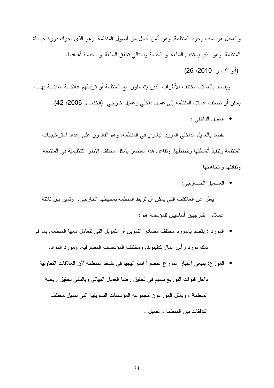والعميل هو سبب وجود المنظمة, وهو أنْمن أصل من أصول المنظمة, وهو الذي يحرك دورة حيــاة المنظمة, وهو الذي يستخدم السلعة أو الخدمة وبالتالي تحقق السلعة أو الخدمة أهدافها.

(أبو النصر , 2010: 26)

ويقصد بالعملاء مخنلف الأطراف الذين يتعاملون مع المنظمة أو نربطهم علاقـــة معينـــة بهـــا، يمكن أن نصنف عملاء المنظمة إلى عميل داخلي وعميل خارجي. (الخنساء, 2006: 42).

• العميل الداخلي :

يقصد بالعميل الداخلي المورد البشري في المنظمة، وهم القائمون على إعداد استراتيجيات المنظمة ونتفيذ أنشطتها وخططها, وتفاعل هذا العنصر يشكل مختلف الأطر التنظيمية في المنظمة وثقافتها واتجاهاتها.

- العـــميل الخــــارجي: يعبِّر عن العلاقات التي يمكن أن تربط المنظمة بمحيطها الخارجي، وتميز بين ثلاثة عملاء خارجيين أساسيين للمؤسسة هم:
- المورد : بقصد بالمورد مختلف مصادر النموين أو النمويل التي نتعامل معها المنظمة, بما في ذلك مورد رأس المال كالبنوك, ومختلف المؤسسات المصرفية، ومورد المواد.
	- الموزع: ينبغي اعتبار الموزع عنصراً استراتيجياً في نشاط المنظمة لأن العلاقات التعاونية داخل فنوات التوزيع نسهم في تحقيق رضا العميل النهائي وبالتالي تحقيق ربحية المنظمة ، ويمثِّل الموز عون مجموعة المؤسسات النِّسويقية الَّتي تسهل مختلف الندفقات بين المنظمة والعميل .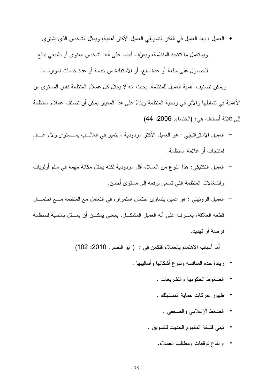- العميل : يعد العميل في الفكر النسويقي العميل الأكثر أهمية، ويمثل الشخص الذي يشتري ويستعمل ما نتنجه المنظمة، ويعرّف أيضا على أنه للشخص معنوى أو طبيعي يدفع للحصول على سلعة أو عدة سلع، أو الاستفادة من خدمة أو عدة خدمات لموارد ما. ويمكن تصنيف أهمية العميل للمنظمة, بحيث انه لا يحتل كل عملاء المنظمة نفس المستوى من الأهمية في نشاطها والأثر في ربحية المنظمة وبناءً على هذا المعيار يمكن أن نصنف عملاء المنظمة إلى ثلاثة أصناف هي: (الخنساء, 2006: 44)
- العميل الإسترانيجي : هو العميل الأكثر مردودية ، يتميز في الغالــب بمـــستوى ولاء عـــال لمنتجات أو علامة المنظمة .
- العميل النكتيكي: هذا النوع من العملاء أقل مردودية لكنه يحتل مكانة مهمة في سلم أولويات وانشغالات المنظمة التي تسعى لرفعه إلى مستوى أحسن.
- العميل الرونيني : هو عميل يتساوى احتمال استمراره في التعامل مع المنظمة مـــع احتمـــال قطعه العلاقة، يعـــرف على أنه العميل المشكـــل، بمعنى يمكـــن أن يمـــثل بالنسبة للمنظمة فر صنة أو تهديد.

أما أسباب الاهتمام بالعملاء فتكمن في : ( ابو النصر, 2010: 102)

- زيادة حده المنافسة ونتوع أشكالها وأساليبها .
	- الضغوط الحكومية والنشريعات .
	- ظهور حركات حماية المستهلك .
		- الضغط الإعلامي والصحفى .
	- تبني فلسفة المفهوم الحديث للتسويق .
		- ارتفاع نوفعات ومطالب العملاء.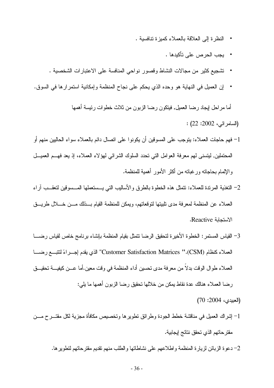- النظر ة إلى العلاقة بالعملاء كمبز ة تنافسية .
	- يجب الحرص على تأكيدها .
- نشجيع كثير من مجالات النشاط وقصور نواحي المنافسة على الاعتبارات الشخصية .
- إن العميل في النهاية هو وحده الذي يحكم على نجاح المنظمة وإمكانية استمر ارها في السوق.  $\bullet$

أما مراحل ليجاد رضا العميل, فيتكون رضا الزبون من ثلاث خطوات رئيسة أهمها (السامر ائي، 2002: 22) : 1– فهم حاجات العملاء: يتوجب على المسوفين أن يكونو ا على اتصال دائم بالعملاء سواء الحاليين منهم أو

- المحتملين, ليتسنى لهم معرفة العوامل التي تحدد السلوك الشرائي لهؤلاء العملاء، إذ يعد فهـــم العميـــل والإلمام بحاجاته ور غباته من أكثر الأمور أهمية للمنظمة.
- 2– التغذية المرندة للعملاء: نتمثل هذه الخطوة بالطرق والأساليب التبي يـــستعملها المـــسوفين لنعقـــب آراء العملاء عن المنظمة لمعرفة مدى نلبيتها لنوفعاتهم، ويمكن للمنظمة القيام بـــذلك مــــن خــــلال طريـــق الاستحابة Reactive.
- 3– القياس المستمر : الخطوة الأخيرة لتحقيق الرضا نتمثل بقيام المنظمة بإنشاء برنامج خاص لقياس رضــــا العملاء كنظام (CSM).'' Customer Satisfaction Matrices'' الذي يقدم إجـــراءً لنتبـــع رضــــا العملاء طوال الوقت بدلاً من معرفة مدى تحسين أداء المنظمة في وقت معين.أما عـــن كيفيــــة تحقيـــق رضا العملاء هنالك عدة نقاط بمكن من خلالها تحقيق رضا الزبون أهمها ما بلي:

(العبيدى، 2004: 70)

- 1– إشراك العميل في مناقشة خطط الجودة وطرائق نطويرها وتخصيص مكافأة مجزية لكل مقتـــر ح مـــن مقتر حاتهم الذي تحقق نتائج إيجابية.
	- 2– دعوة الزبائن لزيارة المنظمة واطلاعهم على نشاطاتها والطلب منهم نقديم مقترحاتهم لتطويرها.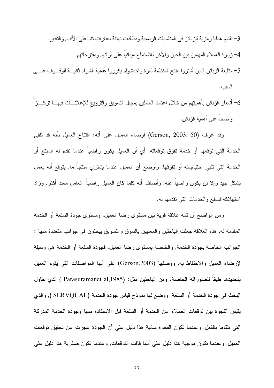- 3– نقديم هدايا رمزية للزبائن في المناسبات الرسمية وبطاقات نهنئة بعبارات نتم على الأقدام والنقدير . 4– زيارة العملاء المهمين بين الحين والأخر للاستماع ميدانياً على آرائهم ومقترحاتهم.
- 5– متابعة الزبائن الذين أشتروا منتج المنظمة لمرة واحدة ولم يكرروا عملية الشراء ثانيــــة للوقــــوف علـــــي السبب.
- أشعار الزبائن بأهميتهم من خلال اعتماد العاملين بمجال التسويق والنزويج للإعلانــــات فيهــــا نزكيـــزا  $\sim$ و اضــحـا علــي أهميـة الز بـائن.

وقد عرف (Gerson, 2003: 50) إرضاء العميل على أنه: افتناع العميل بأنه قد نلقى الخدمة التي توقعها أو خدمة تفوق توقعاته, أي أن العميل يكون راضياً عندما تقدم له المنتج أو الخدمة التي نلبي احتياجاته أو تفوقها, وأوضح أن العميل عندما يشتري منتجاً ما, يتوقع أنه يعمل بشكل جيد وإلا لن يكون راضياً عنه, وأضاف أنه كلما كان العميل راضياً نعامل معك أكثر, وزاد استهلاكه للسلع والخدمات التي تقدمها له.

ومن الواضح أن ثمة علاقة قوية بين مستوى رضا العميل, ومستوى جودة السلعة أو الخدمة المقدمة له, هذه العلاقة جعلت الباحثين والمعنيين بالسوق والتسويق يبحثون في جوانب متعددة منها : الجو انب الخاصة بجودة الخدمة, و الخاصة بمستوى رضا العميل, فجودة السلعة أو الخدمة هي وسيلة لإرضاء العميل والاحتفاظ به, ووصفها (Gerson,2003) على أنها المواصفات التي يقوم العميل بتحديدها طبقا لتصوراته الخاصة. ومن الباحثين مثل: (Parasuramanet al,1985 ) الذي حاول البحث في جودة الخدمة أو السلعة, ووضع لها نموذج قياس جودة الخدمة (SERVQUAL ), والذي يقيس الفجوة بين توقعات العملاء عن الخدمة أو السلعة قبل الاستفادة منها وجودة الخدمة المدركة التبي نلقاها بالفعل, وعندما نكون الفجوة سالبة هذا دليل علىي أن الجودة عجزت عن نحقيق نوقعات العميل, وعندما نكون موجبة هذا دليل على أنها فاقت النوفعات, وعندما نكون صفرية هذا دليل على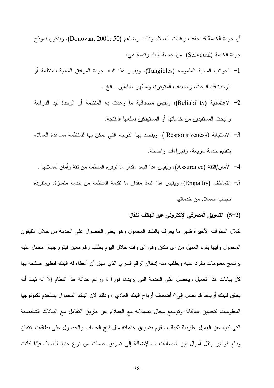أن جودة الخدمة قد حققت رغبات العملاء ونالت رضاهم (Donovan, 2001: 50). ويتكون نموذج جودة الخدمة (Servqual) من خمسة أبعاد رئيسة هي:

- 1– الجوانب المادية الملموسة (Tangibles)، ويقيس هذا البعد جودة المرافق المادية للمنظمة أو الوحدة قيد البحث، والمعدات المنوفرة، ومظهر العاملين...الخ .
- 2– الاعتمادية (Reliability)، ويقيس مصداقية ما وعدت به المنظمة أو الوحدة قيد الدراسة و البحث المستفيدين من خدماتها أو المستهلكين لسلعها المنتجة.
- 3– الاستجابة (Responsiveness )، ويقصد بها الدرجة التي يمكن بها للمنظمة مساعدة العملاء بنقديم خدمة سريعة، وإجر اءات واضحة.
	- 4– الأمان/الثقة (Assurance)، ويقيس هذا البعد مقدار ما نوفره المنظمة من ثقة وأمان لعملائها .
- 5– التعاطف (Empathy)، ويقيس هذا البعد مقدار ما نقدمة المنظمة من خدمة متميزة، ومتفردة تجتاب العملاء من خدماتها .

#### (2–5): التسويق المصرفى الإلكتروني عبر الهاتف النقال

خلال السنوات الأخيرة ظهر ما يعرف بالبنك المحمول وهو يعنى الحصول على الخدمة من خلال التليفون المحمول وفيها يقوم العميل من اي مكان وفي اي وقت خلال اليوم بطلب رقم معين فيقوم جهاز محمل عليه برنامج معلومات بالرد عليه ويطلب منه إدخال الرقم السري الذي سبق أن أعطاه له البنك فتظهر صفحة بها كل بيانات هذا العميل ويحصل على الخدمة التي يريدها فورا ، ورغم حداثة هذا النظام إلا انه ثبت أنه يحقق للبنك أرباحا قد تصل إلى6 أضعاف أرباح البنك العادي ، وذلك لان البنك المحمول يستخدم تكنولوجيا المعلومات لتحسين علاقاته وتوسيع مجال تعاملاته مع العملاء عن طريق التعامل مع البيانات الشخصية التي لديه عن العميل بطريقة ذكية ، ليقوم بتسويق خدماته مثل فتح الحساب والحصول على بطاقات ائتمان ودفع فواتير ونقل أموال بين الحسابات ، بالإضافة إلى تسويق خدمات من نوع جديد للعملاء فإذا كانت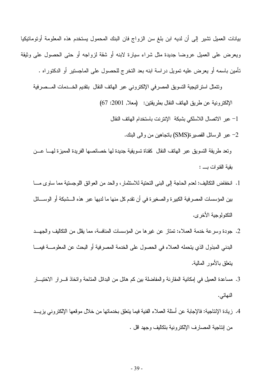بيانات العميل نشير إلى أن لديه ابن بلغ سن الزواج فان البنك المحمول يستخدم هذه المعلومة أوتوماتيكيا ويعرض على العميل عروضا جديدة مثل شراء سيارة لابنه أو شقة لزواجه أو حتى الحصول على وثيقة نتأمين بـاسمـه أو يـعرض عليـه نمويل در اسـة ابنـه بـعد النـخرج للـحصـول علـى المـاجستير أو الدكتور اه .

ونتمثل استرانيجية التسويق المصرفى الإلكتروني عبر الهاتف النقال بتقديم الخـــدمات المـــصرفية الإلكترونية عن طريق الهاتف النقال بطريقتين: (معلا, 2001: 67)

- 1– عبر الاتصال اللاسلكي بشبكة الإنترنت باستخدام الهاتف النقال
	- 2- عبر الرسائل القصبرة(SMS) باتجاهين من والي البنك.

ونعد طريقة التسويق عبر الهاتف النقال كقناة تسويقية جديدة لها خصائصها الفريدة المميزة لهسا عسن يقية القنوات ب:

- 1. انخفاض التكاليف: لعدم الحاجة إلى البني التحتية للاستثمار ، والحد من العوائق اللوجستية مما ساوى مسا بين المؤسسات المصر فية الكبير ة و الصغير ة في أن تقدم كل منها ما لديها عبر هذه الـــشبكة أو الوســــائل التكنو لوجبة الأخر ي.
- 2. جودة وسرعة خدمة العملاء: تمتاز عن غيرها من المؤسسات المنافسة، مما يقال من التكاليف والجهـــد البدني المبذول الذي يتحمله العملاء في الحصول على الخدمة المصر فية أو البحث عن المعلومــــة فيمــــا بِنْعْلَق بِالأُمورِ الْمَالِيَةِ.
- 3. مساعدة العميل في إمكانية المقارنة و المفاضلة بين كم هائل من البدائل المتاحة و اتخاذ قــــر ار الاختيــــار النهائي .
- 4. ز يادة الإنتاجية: فالإجابة عن أسئلة العملاء الفنية فيما يتعلق بخدماتها من خلال موقعها الإلكتروني يزيـــد من إنتاجية المصارف الإلكتر ونية بتكاليف وجهد اقل .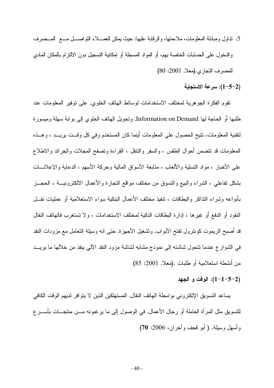- 5. ندلول ومبادلة المعلومات، ملاءمتها، والرقابة عليها: حيث يمكن للعمـــلاء التواصـــل مــــع المـــصرف والدخول على الحسابات الخاصنة بهم، أو المواد المسجلة أو إمكانية التسجيل دون الالتزام بالمكان المادي للمصرف التجاري. (معلا, 2001: 80)
	- (2–5–1): سرعة الاستجابة

نقوم الفكرة الجوهرية لمختلف الاستخدامات لوسائط الهاتف الخلوي, على نوفير المعلومات عند طلبها أو الحاجة لمها Information on Demand, وتحويل الهاتف الخلوي إلىي بوابة سهلة وميسورة لنقنية المعلومات، نتيح الحصول على المعلومات أينما كان المستخدم وفي كل وقــت بريــد ، وهــذه المعلومات قد نتضمن أحوال الطقس ، والسفر والنتقل ، القراءة ونصفح المجلات والجرائد والاطلاع على الأخبار ، مواد النسلية والألعاب ، منابعة الأسواق المالية وحركة الأسهم ، الدعاية والإعلانـــات بشكل نفاعلي ، الشراء والبيع والتسوق من مختلف مواقع النجارة والأعمال الالكترونيـــة ، الـحجـــز بأنو اعه وشر اء النذاكر والبطاقات ، تنفيذ مختلف الأعمال البنكية سواء الاستعلامية أو عمليات نقـــل النقود أو الدفع أو غير ها ، إدار ة البطاقات الذكية لمختلف الاستخدامات ، و لا تستغر ب فالهاتف النقال قد أصبح الريموت كونترول لفتح الأبواب, وتشغيل الأجهزة, حتى انه وسيلة التعامل مع مزودات النقد في الشوارع عندما نتحول شاشته إلى نموذج مشابه لشاشة مزود النقد الآلي بنفذ من خلالها ما بريـــد من أنشطة استعلامية أو طلبات .(معلا, 2001: 85)

#### (2–5–1–1): الوقت و الجهد

يساعد النسويق الإلكتروني بواسطة الهاتف النقال, المستهلكين الذين لا يتوافر لديهم الوقت الكافي للنسويق مثل المر أة العاملة أو رجال الأعمال, في الوصول إلى ما يرغبونه مـــن منتجـــات بأســـر ع وأسهل وسيلة. ( أبو قحف وآخر ان، 2006: 70)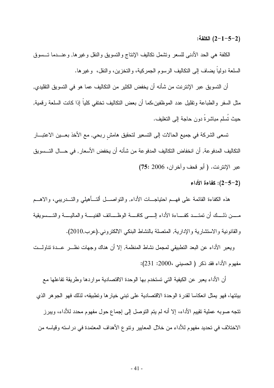الكلفة:  $(2-1-5-2)$ 

الكلفة هي الحد الأدنبي للسعر ونتثمل نكاليف الإنتاج والتسويق والنقل وغيرها, وعنـــدما تـــسوق السلعة دوليا يضاف إلى النكاليف الرسوم الجمركية، والنخزين، والنقل، وغيرها.

أن التسويق عبر الإنترنت من شأنه أن يخفض الكثير من التكاليف عما هو في التسويق التقليدي, مثل السفر والطباعة ونقليل عدد الموظفين،كما أن بعض النكاليف نختفي كليا إذا كانت السلعة رقمية, حيث تُسلَّم مباشرةً دون حاجة إلى النخليف.

نسعى الشركة في جميع الحالات إلى النسعير لتحقيق هامش ربحي, مع الأخذ بعـــين الاعتبــــار النكاليف المدفوعة, أن انخفاض النكاليف المدفوعة من شأنه أن يخفض الأسعار , في حـــال التـــسويق عبر الإنترنت. ( أبو قحف وآخران، 2006 :75)

#### : (2-5-2) كفاءة الأداء)

هذه الكفاءة القائمة على فهـــم احتياجـــات الأداء, والنواصــــل ألتــــأهيلـي والتــــدريبـي، والاهــــم مســن ذلــــك أن نمتــــد كفـــــاءة الأداء الِـــــي كافــــة الوظــــائف الفنيـــــة والماليـــــة والتــــسويقية والقانونية والاستشارية والإدارية, المتصلة بالنشاط البنكي الالكتروني.(عرب,2010).

ويعبر الأداء عن البعد النطبيقي لمجمل نشاط المنظمة, إلا أن هناك وجهات نظـــر عـــدة نناولـــت مفهوم الأداء فقد ذكر ( الحسيني ،2000: 231):

أن الأداء يعبر عن الكيفية التي تستخدم بها الوحدة الاقتصادية مواردها وطريقة تفاعلها مع بيئتها، فهو يمثل انعكاسا لقدرة الوحدة الاقتصادية على نبني خيارها ونطبيقه، لذلك فهو الجوهر الذي تتجه صوبه عملية نقييم الأداء، إلا أنه لم يتم التوصل إلى إجماع حول مفهوم محدد للأداء، ويبرز الاختلاف في تحديد مفهوم للأداء من خلال المعايير ونتوع الأهداف المعتمدة في دراسته وقياسه من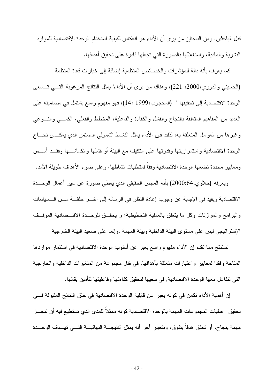قبل الباحثين. ومن الباحثين من يرى أن الأداء هو انعكاس لكيفية استخدام الوحدة الاقتصادية للموارد البشرية والمادية، واستغلالها بالصورة التي تجعلها فادرة على تحقيق أهدافها.

كما يعرف بأنه دالة للمؤشرات والخصائص المنظمية إضافة إلى خيارات قادة المنظمة (الحسينبي والدوري،2000: 221)، وهناك من يرى أن الأداء" بمثل النتائج المرغوبة التــــي تــــسعى الوحدة الاقتصادية إلى تحقيقها " (المحجوب،1999 :14)، فهو مفهوم واسع يشتمل في مضامينه على العديد من المفاهيم المتعلقة بالنجاح والفشل والكفاءة والفاعلية، المخطط والفعلي، الكمـــي والنـــوعي وغيرها من العوامل المتعلقة به، لذلك فإن الأداء يمثل النشاط الشمولي المستمر الذي يعكــس نجـــاح الوحدة الاقتصادية واستمراريتها وقدرتها على النكيف مع البيئة أو فشلها وانكماشـــها وفقــد أســـس ومعايير محددة تضعها الوحدة الاقتصادية وفقاً لمتطلبات نشاطها، و على ضوء الأهداف طويلة الأمد.

ويعرفه (حلاوي،64:2000) بأنه المجس الحقيقي الذي يعطي صورة عن سير أعمال الوحــدة الاقتصادية ويفيد في الإجابة عن وجوب إعادة النظر في الرسالة إلى آخــر حلقـــة مـــن الـــسياسات والبرامج والموازنات وكل ما يتعلق بالعملية التخطيطية؛ و يحقَّــق للوحـــدة الاقتــصادية الموقَّــف الإستر اتيجي ليس على مستوى البيئة الداخلية وببيئة المهمة ،وإنما على صعيد البيئة الخارجية

نستنتج مما تقدم إن الأداء مفهوم وإسع يعبر ٍ عن أسلوب الوحدة الاقتصادية في استثمار ٍ مواردها المتاحة وفقدا لمعايير واعتبارات متعلقة بأهدافها, في ظل مجموعة من المتغيرات الداخلية والخارجية التي تتفاعل معها الوحدة الاقتصادية, في سعيها لتحقيق كفاءتها وفاعليتها لتأمين بقائها.

إن أهمية الأداء تكمن في كونه يعبر ٍ عن قابلية الوحدة الاقتصادية في خلق النتائج المقبولة فـــي تحقيق طلبات المجموعات المهمة بالوحدة الاقتصادية كونه ممثلاً للمدى الذي تستطيع فيه أن تتجــز\_ مهمة بنجاح، أو تحقق هدفا بتفوق، وبتعبير آخر أنه يمثل النتيجـــة النهائيـــة التـــي تهـــدف الوحـــدة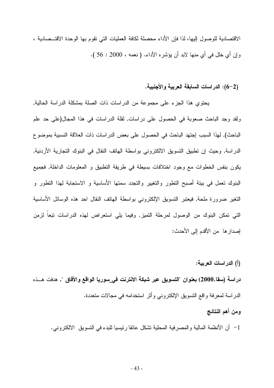الاقتصادية للوصول إليها، لذا فإن الأداء محصلة لكافة العمليات التي نقوم بها الوحدة الاقتـــصادية ، وإن أي خلل في أي منها لابد أن بؤشر ه الأداء. ( نعمه ، 2000 : 56 ).

#### (2–6): الدراسات السابقة العربية والأجنبية.

يحتوى هذا الجزء على مجموعة من الدراسات ذات الصلة بمشكلة الدراسة الحالية, ولقد وجد الباحث صعوبة في الحصول على دراسات, لقلة الدراسات في هذا المجال(على حد علم الباحث), لهذا السبب إجتهد الباحث في الحصول على بعض الدراسات ذات العلاقة النسبية بموضوع الدراسة, وحيث إن نطبيق النسويق الالكتروني بواسطة الهانف النقال في البنوك التجارية الأردنية, يكون بنفس الخطوات مع وجود اختلافات بسيطة في طريقة التطبيق و المعلومات الداخلة, فجميع البنوك نعمل في بيئة أصبح النطور والنغيير والنجدد سمنها الأساسية و الاستجابة لهذا النطور و النغير ضرورة ملحة, فيعتبر النسويق الإلكتروني بواسطة الهاتف النقال احد هذه الوسائل الأساسية التي تمكن البنوك من الوصول لمرحلة التميز, وفيما يلي استعراض لهذه الدراسات نبعاً لزمن إصدار ها ٍ من الأقدم إلى الأحدث:

(أ) الدراسات العربية:

دراسة (سقا,2000) بعنوان "التسويق عبر شبكة الانترنت في\_سوريا الواقع والأفاق ", هدفت هـــذه الدر اسة لمعرفة وإقع النسويق الإلكتروني وأثر استخدامه في مجالات متعددة.

ومن أهم النتائج 1– أن الأنظمة المالية والمصر فية المحلية نشكل عائقا رئيسيا للبدء في النسويق الالكتروني.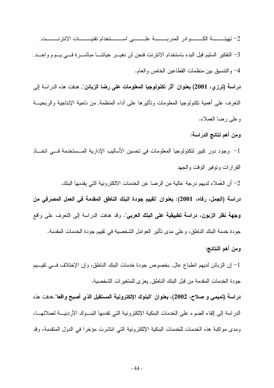3– التفكير السليم قبل البدء باستخدام الانترنت فنحن لن نغيـــر حياتنــــا مباشــــرة فـــي يـــوم واحـــد. 4– والتنسيق بين منظمات القطاعين الخاص والعام.

**دراسة (ترزي، 2001) بعنوان "أثر تكنولوجيا المعلومات على رضا الزبائن",** هدفت هذه الدراسة إلى النعرف على أهمية نكنولوجيا المعلومات ونأثيرها على أداء المنظمة, من ناحية الإنتاجية والربحيـــة وعلي رضا العملاء.

ومن أهم نتائج الدراسة:

1– وجود دور كبير لتكنولوجيا المعلومات في تحسين الأساليب الإدارية المـــستخدمة فـــي اتخـــاذ القرارات ونوفير الوقت والجهد

2– أن العُملاء لديهم درجة عالية من الرضا عن الخدمات الالكترونية التي يقدمها البنك. دراسة (الجمل، رفاه، 2001): بعنوان "تقييم جودة البنك الناطق المقدمة في العمل المصرفي من **وجهة نظر الزبون، دراسة تطبيقية على البنك العربي**". وقد هدفت الدراسة إلى النعرف على واقع جودة خدمة البنك الناطق، وعلى مدى نأثير العوامل الشخصية في نقييم جودة الخدمات المقدمة.

#### ومن أهم النتائج:

1– إن الزبائن لديهم انطباع عال, بخصوص جودة خدمات البنك الناطق، وإن الإختلاف فـــي نقيـــيم جودة الخدمات المقدمة من قبل البنك الناطق, يعز ي للمتغير ات الشخصية.

دراسة (تميمي و صلاح، 2002)، بعنوان "البنوك الإلكترونية المستقبل الذي أصبح واقعا".هدفت هذه الدراسة إلى إلقاء الضوء على الخدمات البنكية الإلكترونية التي تقدمها البنـــوك الأردنيــــة لعملائهــــا، ومدى مواكبة هذه الخدمات للخدمات البنكية الإلكترونية التي انتشرت مؤخرا في الدول المتقدمة، وقد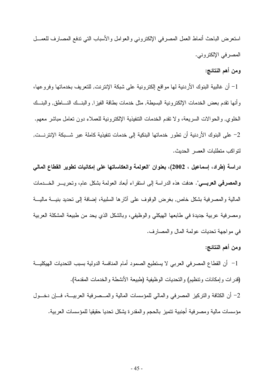استعرض الباحث أنماط العمل المصرفي الإلكتروني والعوامل والأسباب التي ندفع المصارف للعمــل المصرفي الإلكتروني.

#### ومن أهم النتائج:

1– أن غالبية البنوك الأردنية لها مواقع إلكترونية على شبكة الإنترنت, للنعريف بخدماتها وفروعها، وأنها نقدم بعض الخدمات الإلكترونية البسيطة, مثل خدمات بطاقة الفيزا, والبنسك النساطق, والبنسك الخلو ي٬ و الحو الات السر يعة، و لا نقدم الخدمات التنفيذية الإلكتر و نية للعملاء دو ن تعامل مباشر ۖ معهم. 2– على البنوك الأردنية أن تطور خدماتها البنكية إلى خدمات تنفيذية كاملة عبر شـــبكة الإنترنـــت, لتو اكب متطلبات العصر الحديث.

دراسة (طراد، إسماعيل ، 2002)، بعنوان "العولمة وانعكاساتها على إمكانيات تطوير القطاع المالي **والمصرفي العربـــي**". هدفت هذه الدراسة إلى استقراء أبعاد العولمة بشكل عام، وتحريـــر الخــــدمات المالية و المصر فية بشكل خاص, بغر ض الوقوف على آثار ها السلبية، إضافة إلى تحديد بنيــــة ماليــــة ومصرفية عربية جديدة في طابعها الهيكلي والوظيفي، وبالشكل الذي يحد من طبيعة المشكلة العربية في مواجهة تحديات عولمة المال والمصارف.

#### ومن أهم النتائج:

1– أن القطاع المصرفي العربي لا يستطيع الصمود أمام المنافسة الدولية بسبب التحديات الهيكليـــة (قدر ات و إمكانات وتنظيم) و التحديات الو ظيفية (طبيعة الأنشطة و الخدمات المقدمة). 2– أن الكثافة والتركيز المصر في والمالي للمؤسسات المالية والمـــصر فية العربيـــة، فـــان دخـــول مؤسسات مالية ومصرفية أجنبية تتميز بالحجم والمقدرة يشكل تحديا حقيقيا للمؤسسات العربية.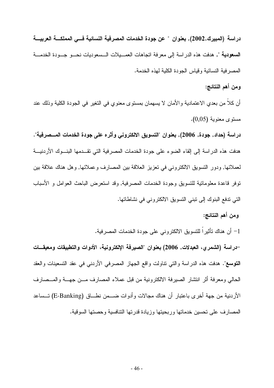دراسة (المبيرك,2002), بعنوان " عن جودة الخدمات المصرفية النسائية فـــى المملكـــة العربيـــة السعودية ", هدفت هذه الدراسة إلى معرفة اتجاهات العصـيلات الـسعوديات نحــو جــودة الخدمـــة المصرفية النسائية وقياس الجودة الكلية لهذه الخدمة.

#### ومن أهم النتائج:

أن كلا من بعدي الاعتمادية والأمان لا يسهمان بمستوى معنوى في التغير في الجودة الكلية وذلك عند مستوى معنوية (0,05).

دراسة (حداد٬ جودة٬ 2006)٬ بعنوان "التسويق الالكتروني وأثره على جودة الخدمات المـــصرفية". هدفت هذه الدر اسة إلى إلقاء الضوء على جودة الخدمات المصر فية التي تقــدمها البنـــوك الأردنيـــة لعملائها, ودور النسويق الالكتروني في تعزيز العلاقة بين المصارف وعملائها, وهل هناك علاقة بين توفر قاعدة معلوماتية للتسويق وجودة الخدمات المصرفية, وقد استعرض الباحث العوامل و الأسباب التي ندفع البنوك إلى نبني النسويق الالكتروني في نشاطاتها.

#### ومن أهم النتائج:

1– أن هناك نأثيراً للتسويق الالكتروني على جودة الخدمات المصرفية. –دراسة (الشمري، العبدلات, 2006) بعنوان "الصيرفة الإلكترونية، الأدوات والتطبيقات ومعيقـــات **التوسع**". هدفت هذه الدراسة والتبي نتاولت واقع الجهاز المصرفي الأردنبي في عقد التسعينات والعقد الحالبي ومعرفة أثر انتشار الصبرفة الالكترونية من قبل عملاء المصارف مـــن جهـــة والمـــصارف الأردنية من جهة أخرى باعتبار أن هناك مجالات وأدوات ضـــمن نطـــاق (E-Banking) تــساعد المصارف على تحسين خدماتها وربحيتها وزيادة قدرتها النتافسية وحصنها السوقية.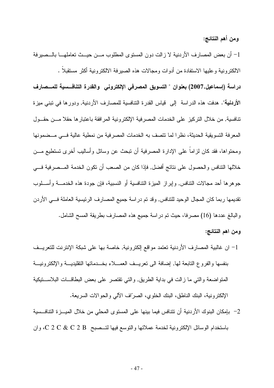ومن أهم النتائج:

1– أن بعض المصارف الأردنية لا زالت دون المستوى المطلوب مـــن حيـــث تعاملهــــا بالـــصيرفة الالكترونية وعليها الاستفادة من أدوات ومجالات هذه الصيرفة الالكترونية أكثر مستقبلا .

دراسة (إسماعيل,2007) بعنوان " التسويق المصرفى الإلكترونى والقدرة التنافسية للمــصارف الأر**دنية**". هدفت هذه الدراسة إلى قياس القدرة التنافسية للمصارف الأردنية, ودورها في تبني ميزة تنافسية, من خلال التركيز على الخدمات المصر فية الإلكتر ونية المر افقة باعتبار ها حقلا مـــن حقـــول المعرفة التسويقية الحديثة، نظراً لما نتصف به الخدمات المصرفية من نمطية عالية فهي مسضمونها ومحتواها، فقد كان لزاماً على الإدارة المصرفية أن تبحث عن وسائل وأساليب أخرى تستطيع مـــن خلالها النتافس والحصول على نتائج أفضل, فإذا كان من الصعب أن نكون الخدمة المــصرفية فـــي جوهرها أحد مجالات النتافس, وإبراز الميزة النتافسية أو النسبية، فإن جودة هذه الخدمــــة وأســــلوب تقديمها ربما كان المجال الوحيد للنتافس, وقد نم دراسة جميع المصارف الرئيسية العاملة فسي الأردن والبالغ عددها (16) مصرفًا، حيث تم دراسة جميع هذه المصارف بطريقة المسح الشامل.

ومن اهم النتائج:

- 1– ان غالبية المصارف الأردنية تعتمد مواقع الكترونية, خاصة بها على شبكة الإنترنت للتعريــف بنفسها والفروع التابعة لمها, إضافة الى نعريــف العمـــلاء بخـــدماتها التقليديـــة والإلكترونيـــة المتواضعة والتبي ما زالت في بداية الطريق, والتبي تقتصر على بعض البطاقــات البلاســـتيكية الإلكترونية، البنك الناطق، البنك الخلوي، الصرَّاف الآلي والحوالات السريعة.
- 2– بإمكان البنوك الأردنية أن تتنافس فيما بينها على المستوى المحلي من خلال الميـــز ة التنافــسية باستخدام الوسائل الإلكترونية لخدمة عملائها والنوسع فيها لتـــصبح C 2 C & C 2 B، وان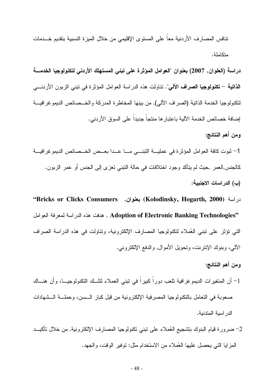تنافس المصارف الأردنية معاً على المستوى الإقليمي من خلال الميزة النسبية بتقديم خـــدمات متكاملة.

دراسة (العلوان, 2007) بعنوان "العوامل المؤثرة على تبني المستهلك الأردني لتكنولوجيا الخدمــــة ا**لذاتية – تكنولوجيا الصراف الآلي**". تتاولت هذه الدراسة العوامل المؤثرة في تبني الزبون الأردنـــي لتكنولوجيا الخدمة الذاتية (الصراف الآلي), من بينها المخاطرة المدركة والخـــصـائص الديمو غرافيـــة إضافة خصائص الخدمة الآلية باعتبار ها منتجاً جديداً على السوق الأر دني.

ومن أهم النتائج:

1– ثبوت كافة العوامل المؤثرة في عمليـــة التبنـــي مــــا عـــدا بعـــض الخـــصـائص الديمو غرافيـــة كالجنس,العمر ,حيث لم يتأكد وجود اختلافات في حالة النبني نعزى إلى الجنس أو عمر الزبون. (ب) الدراسات الاجنبية:

در اسة (Kolodinsky, Hogarth, 2000) بعفوان. Bricks or Clicks Consumers'' , Adoption of Electronic Banking Technologies" وهدفت هذه الدر اسة لمعرفة العوامل التي نؤثر على نبني العُملاء لنكنولوجيا المصارف الإلكترونية، ونتاولت في هذه الدراسة الصراف الآلي، وبنوك الإنترنت، وتحويل الأموال, والدفع الإلكتروني.

- ومن أهم النتائج: 1– أن المتغيرات الديمو غرافية تلعب دوراً كبيراً في تبني العملاء لتلَّــك التكنولوجيـــا، وأن هنـــاك صعوبة في النعامل بالنكنولوجيا المصرفية الإلكترونية من قبل كبار الـــسن، وحملـــة الـــشهادات الدر اسبة المتدنبة.
- 2– ضرورة قيام البنوك بتشجيع العُملاء على نبني نكنولوجيا المصارف الإلكترونية, من خلال نأكيــد المز ابا التي يحصل عليها العُملاء من الاستخدام مثل: توفير الوقت، والجهد.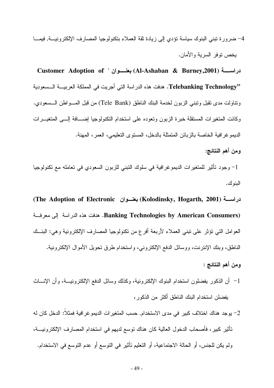4– ضرورة تبني البنوك سياسة نؤدى إلى زيادة ثقة العملاء بتكنولوجيا المصارف الإلكترونيـــة, فيمـــا بخص نوفر السربة والأمان.

دراســـــة (Al-Ashaban & Burney,2001) بعنـــــوان " Customer Adoption of "Telebanking Technology. هدفت هذه الدراسة التي أجريت في المملكة العربيـــة الـــسعودية ونِّناولت مدى نقبل ونبني الزِّبون لخدمة البنك الناطق (Tele Bank) من قبل المـــواطن الـــسعودي. وكانت المتغيرات المستقلة خبرة الزبون وتعوده على استخدام التكنولوجيا إضـــافة إلـــى المتغيـــرات الديمو غرافية الخاصة بالزبائن المتمثلة بالدخل، المستوى التعليمي، العمر، المهنة.

ومن أهم النتائج:

1– وجود تأثير للمتغيرات الديموغرافية في سلوك النبني للزبون السعودي في تعامله مع نكنولوجيا البنو ك.

دراســـة (Kolodinsky, Hogarth, 2001) بعنـــوان The Adoption of Electronic) (Banking Technologies by American Consumers. هدفت هذه الدراسة إلى معرفة العوامل التي نؤثر على نبني العملاء لأربعة أفرع من نكنولوجيا المصارف الإلكترونية وهي: البنــك الناطق، وبنك الإنترنت، ووسائل الدفع الإلكتروني، واستخدام طرق تحويل الأموال الإلكترونية.

- و من أهم النتائج :
- 1– أن الذكور يفضلون استخدام البنوك الإلكترونية، وكذلك وسائل الدفع الإلكترونيـــة، وأن الإنــــاث يفضلن استخدام البنك الناطق أكثر من الذكور ،
- 2– يوجد هناك اختلاف كبير في مدى الاستخدام, حسب المتغيرات الديمو غرافية فمثلا: الدخل كان له تأثير كبير ، فأصحاب الدخول العالية كان هناك توسع لديهم في استخدام المصـارف الإلكترونيـــة، ولم يكن للجنس، أو الحالة الاجتماعية، أو التعليم تأثير في التوسع أو عدم التوسع في الاستخدام.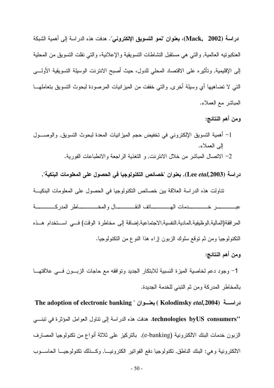**دراسة (Mack, 2002)، بعنوان "نمو التسويق الإلكترونـي".** هدفت هذه الدراسة إلـي أهمية الشبكة العنكبونيه العالمية, والنبي هي مستقبل النشاطات النسويقية والإعلانية، والنبي نقلت النسويق من المحلية إلى الإقليمية, وتأثيره على الاقتصاد المحلي للدول، حيث أصبح الانترنت الوسيلة التسويقية الأولـــي التبي لا نضاهيها أي وسيلة أخرى, والتبي خففت من الميزانيات المرصودة لبحوث التسويق بتعاملهـــا المباشر مع العملاء.

#### ومن أهم النتائج:

1– أهمية التسويق الإلكتروني في تخفيض حجم المبزانيات المعدة لبحوث التسويق, والوصـــول إلى العملاء. 2– الاتصال المباشر من خلال الانترنت, و النغذية الراجعة والانطباعات الفورية.

دراسة (Lee etal,2003), بعنوان "خصائص التكنولوجيا في الحصول على المعلومات البنكية",

تناولت هذه الدراسة العلاقة بين خصائص التكنولوجيا في الحصول على المعلومات البنكيـــة المر افقة(المالية,الوظيفية,المادية,النفسية,الاجتماعية,إضافة إلى مخاطرة الوقت) فـــي اســـتخدام هـــذه النكنولوجيا ومن ثم نوقع سلوك الزبون إزاء هذا النوع من النكنولوجيا.

#### ومن أهم النتائج:

1– وجود دعم لخاصية الميزة النسبية للابتكار الجديد ونوافقه مع حاجات الزبـــون فــــي علاقتهــــا بالمخاطر المدركة ومن ثم التبني للخدمة الجديدة.

دراســـة (Kolodinsky etal,2004) بعنـــوان " The adoption of electronic banking 'technologies byUS consumers. هدفت هذه الدراسة إلى نتاول العوامل المؤثرة في تبنـــي الزبون خدمات البنك الالكترونية (e-banking), بالتركيز على ثلاثة أنواع من تكنولوجيا المصارف الالكتر ونية و هي: البنك الناطق, تكنولوجيا دفع الفواتير الكتر ونيسا, وكـــذلك تكنولوجيـــا الحاســـوب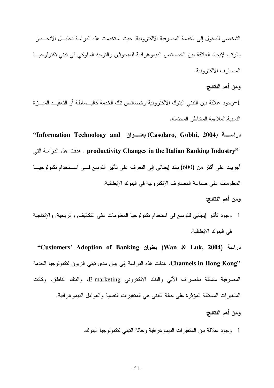الشخصبي للدخول إلى الخدمة المصرفية الالكترونية, حيث استخدمت هذه الدراسة تحليــل الانحـــدار بالرنب لإيجاد العلاقة بين الخصائص الديمو غرافية للمبحوثين والنوجه السلوكي في نبني نكنولوجيـــا المصبار ف الالكتر ونبة.

ومن أهم النتائج:

1-وجود علاقة بين النبني البنوك الالكترونية وخصائص نلك الخدمة كالبــساطة أو النعقيــد,الميـــزة النسيبة,الملاءمة,المخاطر المحتملة.

نراسة (Casolaro, Gobbi, 2004) بعنسوان Information Technology and) . مدفت هذه الدراسة التي Productivity Changes in the Italian Banking Industry" أجريت على أكثر من (600) بنك إيطالي إلى النعرف على نأثير النوسع فـــي اســـنخدام نكنولوجيـــا المعلومات على صناعة المصارف الإلكترونية في البنوك الإيطالية.

ومن أهم النتائج:

1– وجود نأنثير إيجابي للنوسع في استخدام نكنولوجيا المعلومات على النكاليف, والربحية, والإنتاجية في البنوك الايطالية.

"Customers' Adoption of Banking بعنوان (Wan & Luk, 2004) "Channels in Hong Kong. هدفت هذه الدراسة إلى بيان مدى نبني الزبون لتكنولوجيا الخدمة المصرفية متمثلة بالصراف الآلبي والبنك الالكتروني E-marketing، والبنك الناطق. وكانت المتغيرات المستقلة المؤثرة على حالة التبني هي المتغيرات النفسية والعوامل الديموغرافية. ومن أهم النتائج:

1– وجود علاقة بين المتغيرات الديمو غرافية وحالة النبني لنكنولوجيا البنوك.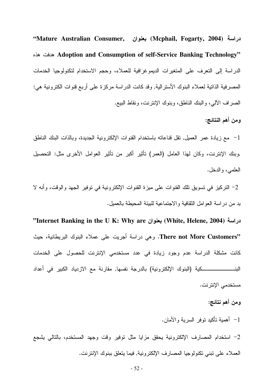نراسة (Mcphail, Fogarty, 2004) بعنوان (Mcphail, Fogarty, 2004) Adoption and Consumption of self-Service Banking Technology" الدراسة إلى التعرف على المتغيرات الديموغرافية للعملاء، وحجم الاستخدام لتكنولوجيا الخدمات المصرفية الذاتية لعملاء البنوك الأسترالية, وقد كانت الدراسة مركزة على أربع قنوات الكترونية هي: الصر اف الآلي، و البنك الناطق، وبنوك الإنتر نت، ونقاط البيع.

#### ومن أهم النتائج:

1– مع زيادة عمر العميل, نقل قناعاته باستخدام القنوات الإلكترونية الجديدة، وبالذات البنك الناطق وبنك الإنترنت، وكان لهذا العامل (العمر) نأثير أكبر من نأثير العوامل الأخرى مثل: التحصبل العلمي، والدخل.

2– التركيز في تسويق تلك القنوات على ميزة القنوات الإلكترونية في توفير الجهد والوقت، وأنه لا بد من در اسة العوامل الثقافية والاجتماعية للبيئة المحيطة بالعميل.

"Internet Banking in the U K: Why are نوان (White, Helene, 2004) الجمعة ( "There not More Customers. وهي دراسة أجريت على عملاء البنوك البريطانية، حيث كانت مشكلة الدراسة عدم وجود زيادة في عدد مستخدمي الإنترنت للحصول على الخدمات مستخدمي الإنتر نت.

#### ومن أهم نتائج:

1- أهمية تأكيد توفر السربة والأمان.

2– استخدام المصارف الإلكترونية يحقق مزايا مثل نوفير وقت وجهد المستخدم، بالنالي يشجع العملاء على نبني نكنولوجيا المصارف الإلكترونية, فيما يتعلق ببنوك الإنترنت.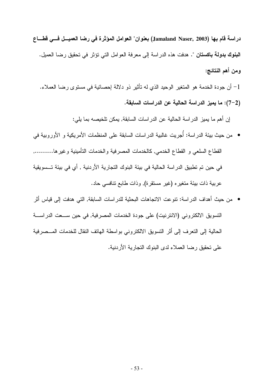دراسة قام بها (Jamaland Naser, 2003) بعنوان" العوامل المؤثرة في رضا العميـــل فـــي فطـــاع ا**لبنوك بدولة باكستان** ". هدفت هذه الدراسة إلى معرفة العوامل التي تؤثر في تحقيق رضا العميل. ومن أهم النتائج:

1– أن جودة الخدمة هو المتغير الوحيد الذي له تأثير ذو دلالة إحصائية في مستوى رضـا العملاء. (2–7): ما يميز الدراسة الحالية عن الدراسات السابقة.

إن أهم ما يميز الدراسة الحالية عن الدراسات السابقة, يمكن تلخيصه بما يلي:

- من حيث بيئة الدراسة: أُجريت غالبية الدراسات السابقة على المنظمات الأمريكية و الأوروبية في القطاع السلعي و القطاع الخدمي, كالخدمات المصرفية والخدمات التأمينية وغير ها.......... في حين تم تطبيق الدراسة الحالية في بيئة البنوك التجارية الأردنية , أي في بيئة تـــسويقية عربية ذات بيئة متغير ه (غير مستقرة), وذات طابع تنافسي حاد.
- من حيث أهداف الدراسة: نتوعت الاتجاهات البحثية للدراسات السابقة, التي هدفت إلى قياس أثر التسويق الالكتروني (الانترنيت) على جودة الخدمات المصرفية, في حين ســعت الدراســـة الحالية إلى النعرف إلى أثر النسويق الالكتروني بواسطة الهاتف النقال للخدمات المـــصرفية على تحقيق رضا العملاء لدى البنوك التجارية الأردنية.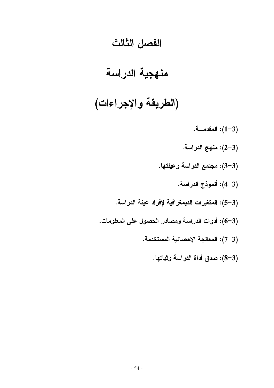### الفصل الثالث

## منهجية الدراسة

# (الطريقة والإجراءات)

المقدمسة. $(1-3)$ (3–2): منهج الدراسة. (3-3): مجتمع الدراسة وعينتها. (3–4): أنموذج الدراسة. (3–5): المتغيرات الديمغرافية لإفراد عينة الدراسة. (3–6): أدوات الدراسة ومصادر الحصول على المعلومات. (3–7): المعالجة الإحصائية المستخدمة. (3–8): صدق أداة الدراسة وثباتها.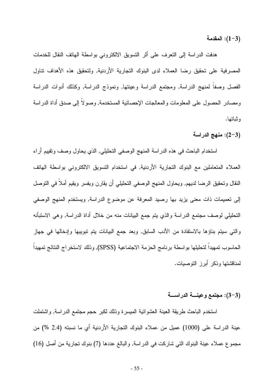المقدمة:  $(1-3)$ 

هدفت الدراسة إلى التعرف على أثر التسويق الالكتروني بواسطة الهاتف النقال للخدمات المصرفية على تحقيق رضا العملاء لدى البنوك التجارية الأردنية, ولتحقيق هذه الأهداف نتاول الفصل وصفا لمنهج الدراسة, ومجتمع الدراسة وعينتها, ونموذج الدراسة, وكذلك أدوات الدراسة ومصادر الحصول على المعلومات و المعالجات الإحصائية المستخدمة, وصو لا إلى صدق أداة الدر اسة و ثباتها.

(3–2): منهج الدراسة

استخدام الباحث في هذه الدراسة المنهج الوصفي التحليلي, الذي يحاول وصف ونقييم أراء العملاء المتعاملين مع البنوك التجارية الأردنية, في استخدام التسويق الالكتروني بواسطة الهاتف النقال وتحقيق الرضا لديهم, ويحاول المنهج الوصفى التحليلي أن يقارن ويفسر ويقيم أملا في النوصل إلى تعميمات ذات معنى يزيد بها رصيد المعرفة عن موضوع الدراسة, ويستخدم المنهج الوصفى التحليلي لوصف مجتمع الدراسة والذي يتم جمع البيانات منه من خلال أداة الدراسة, وهي الاستبأنه والتي سبتم بناؤها بالاستفادة من الأدب السابق, وبعد جمع البيانات بتم نبويبها وإدخالها في جهاز الحاسوب نمهيدا لتحليلها بواسطة برنامج الحزمة الاجتماعية (SPSS), وذلك لاستخراج النتائج تمهيدا لمناقشتها وذكر أبرز التوصيات.

#### (3-3): مجتمع وعينسة الدراسسة

استخدم الباحث طريقة العينة العشوائية الميسرة وذلك لكبر حجم مجتمع الدراسة, واشتملت عينة الدراسة على (1000) عميل من عملاء البنوك التجارية الأردنية أي ما نسبته (2.4 %) من مجموع عملاء عينة البنوك التي شاركت في الدراسة, والبالغ عددها (7) بنوك تجارية من أصل (16)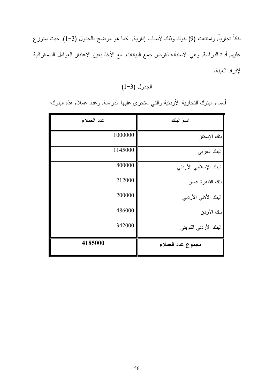بنكاً نجارياً, وامتنعت (9) بنوك وذلك لأسباب إدارية, كما هو موضح بالجدول (3–1), حيث ستوزع عليهم أداة الدراسة, وهي الاستبأنه لغرض جمع البيانات, مع الأخذ بعين الاعتبار العوامل الديمغرافية لإفراد العينة.

 $(1-3)$  الجدول

أسماء البنوك النجارية الأردنية والتي ستجرى عليها الدراسة, وعدد عملاء هذه البنوك:

| عدد العملاء | اسم البنك              |
|-------------|------------------------|
| 1000000     | بنك الإسكان            |
| 1145000     | البنك العربي           |
| 800000      | البنك الإسلامي الأردني |
| 212000      | بنك القاهرة عمان       |
| 200000      | البنك الأهلى الأردني   |
| 486000      | بنك الأردن             |
| 342000      | البنك الأردنى الكويتى  |
| 4185000     | مجموع عدد العملاء      |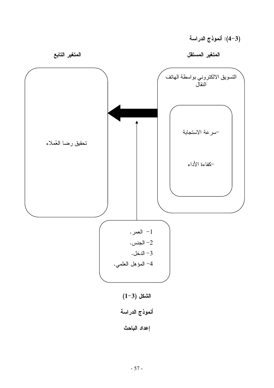المتغير المستقل

المتغير التابع

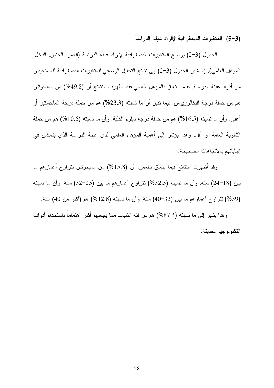(3–5): المتغيرات الديمغرافية لإفراد عينة الدراسة

الجدول (3–2) يوضىح المتغيرات الديمغرافية لإفراد عينة الدراسة (العمر, الجنس, الدخل, المؤهل العلمي), إذ يشير الجدول (3–2) إلى نتائج التحليل الوصفي للمتغير ات الديمغر افية للمستجيبين من أفراد عينة الدراسة, ففيما يتعلق بالمؤهل العلمي فقد أظهرت النتائج أن (49.8%) من المبحوثين هم من حملة درجة البكالوريوس, فيما نبين أن ما نسبته (23.3%) هم من حملة درجة الماجستير أو أعلـي, وأن مـا نسبته (16.5%) هم من حملة درجة دبلوم الكلية, وأن مـا نسبته (10.5%) هم من حملة الثانوية العامة أو اقل, وهذا يؤشر إلى أهمية المؤهل العلمي لدى عينة الدراسة الذي ينعكس في إجاباتهم بالاتجاهات الصحيحة.

وقد أظهرت النتائج فيما يتعلق بالعمر, أن (15.8%) من المبحوثين نتراوح أعمارهم ما بين (18–24) سنة, وأن ما نسبته (32.5%) نتراوح أعمارهم ما بين (25–32) سنة, وأن ما نسبته (39%) نتر او ح أعمار هم ما بين (33–40) سنة, وأن ما نسبته (12.8%) هم (أكثر من 40) سنة. وهذا يشير إلى ما نسبته (87.3%) هم من فئة الشباب مما يجعلهم أكثر اهتماما باستخدام أدوات التكنو لو جبا الحدبثة.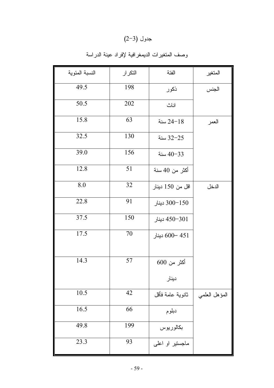### $(2-3)$  جدول

|  |  | وصف المتغيرات الديمغرافية لإفراد عينة الدراسة |  |
|--|--|-----------------------------------------------|--|
|  |  |                                               |  |

| النسبة المئوية | التكرار | الفئة            | المتغير       |
|----------------|---------|------------------|---------------|
| 49.5           | 198     | ذكور             | الجنس         |
| 50.5           | 202     | اناث             |               |
| 15.8           | 63      | 18−24 سنة        | العمر         |
| 32.5           | 130     | 32-25 سنة        |               |
| 39.0           | 156     | سنة $40 - 33$    |               |
| 12.8           | 51      | أكثر من 40 سنة   |               |
| 8.0            | 32      | اقل من 150 دينار | الدخل         |
| 22.8           | 91      | 150−300 دينار    |               |
| 37.5           | 150     | 450-301 دينار    |               |
| 17.5           | 70      | 451 –600 دينار   |               |
| 14.3           | 57      | أكثر من 600      |               |
|                |         | دينار            |               |
| 10.5           | 42      | ثانوية عامة فأقل | المؤهل العلمى |
| 16.5           | 66      | دبلوم            |               |
| 49.8           | 199     | بكالوريوس        |               |
| 23.3           | 93      | ماجستیر او اعلمی |               |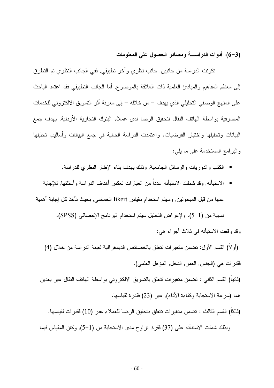(3–6): أدوات الدر اسسة ومصادر الحصول على المعلومات

تكونت الدراسة من جانبين, جانب نظري وأخر نطبيقي, ففي الجانب النظري تم النظرق إلى معظم المفاهيم والمبادئ العلمية ذات العلاقة بالموضوع, أما الجانب التطبيقي فقد اعتمد الباحث على المنهج الوصفي التحليلي الذي يهدف – من خلاله – إلى معرفة أثر التسويق الالكتروني للخدمات المصرفية بواسطة الهاتف النقال لتحقيق الرضا لدى عملاء البنوك التجارية الأردنية, بهدف جمع البيانات وتحليلها واختبار الفرضيات. واعتمدت الدراسة الحالية في جمع البيانات وأساليب تحليلها والبرامج المستخدمة على ما يلي:

- الكتب والدوريات والرسائل الجامعية, وذلك بهدف بناء الإطار النظري للدراسة.
- الاستنبأنـه, وقد شملت الاستبأنـه عدداً من الـعبارات نـعكس أهداف الدراسـة وأسئلتـها, للإجابـة عنها من قبل المبحوثين, وسيتم استخدام مقياس likert الخماسي, بحيث تأخذ كل إجابة أهمية نسبية من (1−5). ولإغراض التحليل سيتم استخدام البرنامج الإحصائي (SPSS). وقد وقعت الاستبأنه في ثلاث أجزاء هي:
	- (أو لا) القسم الأول: نضمن منغيرات نتعلَّق بالخصائص الديمغر افية لعينة الدراسة من خلال (4) فقدر ات هي (الجنس, العمر, الدخل, المؤهل العلمي).
	- (ثانيا) القسم الثانـي : تضمن متغيرات تتعلَّق بالتسويق الالكترونـي بواسطة الـهاتف النقال عبر بعدين هما (سر عة الاستجابة وكفاءة الأداء), عبر (23) فقدر ة لقياسها.
		- (ثالثاً) القسم الثالث : تضمن متغير ات تتعلق بتحقيق الرضا للعملاء عبر (10) فقدر ات لقياسها.

وبذلك شملت الاستبأنه على (37) فقرة, نراوح مدى الاستجابة من (1–5), وكان المقياس فيما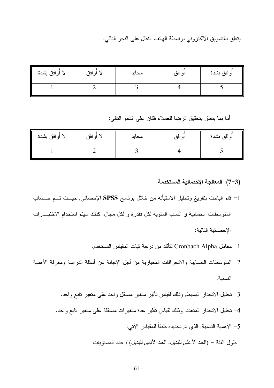بِتعلَّق بِالنِّسويقِ الالكتروني بواسطة الهاتف النقال على النحو النالبي:

| لا أوافق بشدة | افق<br>(۵<br>◢<br>╯ | محايد | افق<br>ا ہ | أو افق بشدة |
|---------------|---------------------|-------|------------|-------------|
|               |                     |       |            |             |

أما بما يتعلَّق بتحقيق الرضا للعملاء فكان على النحو التالي:

| I<br>لا أوافق بشدة | افة<br>أيا | محايد | أو افق<br>- - | أوافق بشدة |
|--------------------|------------|-------|---------------|------------|
|                    |            |       |               |            |

- (3–7): المعالجة الإحصائية المستخدمة
- 1– قام الباحث بتفريغ وتحليل الاستبأنه من خلال برنامج SPSS الإحصائي, حيــث تـــم حـــساب المنوسطات الحسابية و النسب المئوية لكل فقدرة و لكل مجال, كذلك سيتم استخدام الاختبـــارات الإحصائية التالية:
	- Cronbach Alpha لتأكد من درجة ثبات المقياس المستخدم.
- 2– المنوسطات الحسابية والانحرافات المعيارية من أجل الإجابة عن أسئلة الدراسة ومعرفة الأهمية النسبية.
	- 3– تحليل الانحدار البسيط, وذلك لقياس نأثير متغير مستقل واحد على متغير نابع واحد.
	- 4– تحليل الانحدار المتعدد, وذلك لقياس تأثير عدة متغير ات مستقلة على متغير تابع واحد.
		- 5– الأهمية النسبية, الذي تم تحديده طبقاً للمقياس الأتي:
		- طول الفئة = (الحد الأعلى للبديل- الحد الأدنى للبديل) / عدد المستويات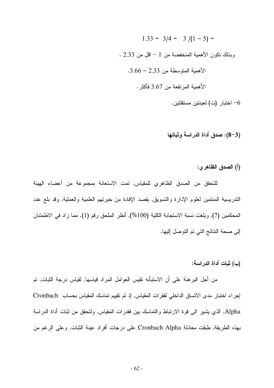- $1.33 = 3/4 = 3/(1-5) =$ وبذلك نكون الأهمية المنخفضة من 1 – اقل من 2.33 .  $.3.66 - 2.33$  الأهمية المتوسطة من الأهمية المرتفعة من 3.67 فأكثر . طنبار (ت) لعينتين مستقلتين -  $\sim$ 
	- (3–8): صدق أداة الدراسة وثباتها
		- (أ) الصدق الظاهر ي:

للتحقق من الصدق الظاهري للمقياس, تمت الاستعانة بمجموعة من أعضاء الهيئة الندريسية المنتمين لعلوم الإدارة والتسويق, بقصد الإفادة من خبرتهم العلمية والعملية, وقد بلغ عدد المحكمين (7), وبلغت نسبة الاستجابة الكلية (100%), أنظر الملحق رقم (1). مما زاد في الاطمئنان إلى صحة النتائج التي تم التوصل إليها.

(ب) ثبات أداة الدراسة:

من أجل البر هنة على أن الاستبأنه نقيس العوامل المراد قياسها, لقياس درجة الثبات, تم إجراء اختبار مدى الاتساق الداخلي لفقرات المقياس, إذ تم تقييم تماسك المقياس بحساب Cronbach Alpha, الذي يشير الى فوة الارتباط والتماسك بين فقدرات المقياس, ولتحقق من ثبات أداة الدراسة بهذه الطريقة, طبقت معادلة Cronbach Alpha على درجات أفراد عينة الثبات, وعلى الرغم من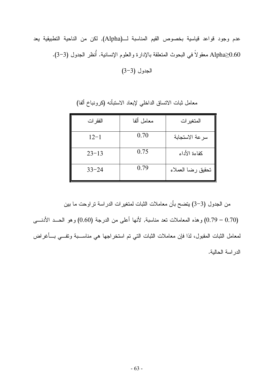عدم وجود قواعد قياسية بخصوص القيم المناسبة لــ(Alpha), لكن من الناحية التطبيقية يعد Alpha≥0.60 معقولاً في البحوث المتعلقة بالإدارة والعلوم الإنسانية. أُنظر الجدول (3−3).

الجدول (3-3)

معامل ألفا الفقر ات المتغير ات 0.70  $12 - 1$ سرعة الاستجابة  $0.75$ كفاءة الأداء  $23 - 13$  $0.79$ تحقبق رضا العملاء  $33 - 24$ 

معامل ثبات الاتساق الداخلي لإبعاد الاستبأنه (كرونباخ ألفا)

من الجدول (3–3) يتضح بأن معاملات الثبات لمتغيرات الدراسة نراوحت ما بين (0.70 – 0.79) وهذه المعاملات نعد مناسبة, لأنها أعلى من الدرجة (0.60) وهو الحــد الأدنــــى لمعامل الثبات المقبول، لذا فإن معاملات الثبات التي تم استخراجها هي مناســـبة وتفـــي بـــأغراض الدراسة الحالية.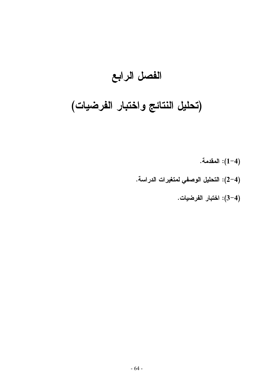## الفصل الرابع

# (تحليل النتائج واختبار الفرضيات)

(4–1): المقدمة. (4–2): التحليل الوصفي لمتغيرات الدراسة. (4–3): اختبار الفرضيات.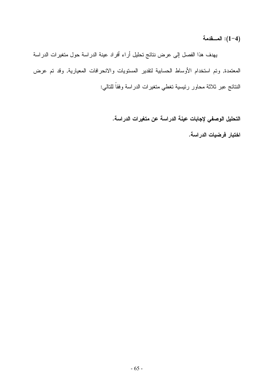(4–1): المسقدمة

يهدف هذا الفصل إلى عرض نتائج تحليل أراء أفراد عينة الدراسة حول متغيرات الدراسة المعتمدة, وتم استخدام الأوساط الحسابية لتقدير المستويات والانحرافات المعيارية, وقد تم عرض النتائج عبر ثلاثة محاور رئيسية تغطي متغيرات الدراسة وفقاً للتالي:

التحليل الوصفى لإجابات عينة الدراسة عن متغيرات الدراسة.

اختبار فرضيات الدراسة.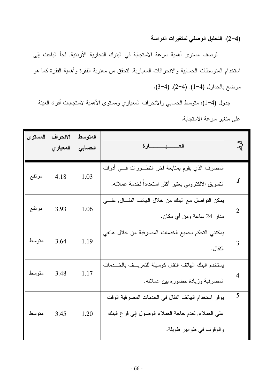(4–2): التحليل الوصفي لمتغيرات الدراسة

لوصف مستوى أهمية سرعة الاستجابة في البنوك التجارية الأردنية, لجأ الباحث إلى استخدام المتوسطات الحسابية والانحرافات المعيارية, لتحقق من معنوية الفقرة وأهمية الفقرة كما هو موضح بالجداول (4-1), (4-2), (4-3).

جدول (4–1): منوسط الحسابي والانحراف المعياري ومستوى الأهمية لاستجابات أفراد العينة على متغير سرعة الاستجابة.

| المستوى | الانحراف<br>المعياري | المتوسط<br>الحسابى | العصيب ارة                                                                                                                               | $\mathbb{F}_{q}$          |
|---------|----------------------|--------------------|------------------------------------------------------------------------------------------------------------------------------------------|---------------------------|
| مرتفع   | 4.18                 | 1.03               | المصرف الذي يقوم بمتابعة أخر التطـــورات فــــي أدوات<br>النسويق الالكتروني يعتبر أكثر استعداداً لخدمة عملائه.                           | $\boldsymbol{\mathit{1}}$ |
| مرتفع   | 3.93                 | 1.06               | يمكن النواصل مع البنك من خلال الهانف النقـــال, علــــي<br>مدار 24 ساعة ومن أي مكان.                                                     | $\overline{2}$            |
| متوسط   | 3.64                 | 1.19               | يمكنني التحكم بجميع الخدمات المصرفية من خلال هاتفي<br>النقال.                                                                            | 3                         |
| متوسط   | 3.48                 | 1.17               | يستخدم البنك الهاتف النقال كوسيلة للنعريسف بالخسدمات<br>المصرفية وزيادة حضوره بين عملائه.                                                | $\overline{4}$            |
| متوسط   | 3.45                 | 1.20               | يوفر استخدام الهاتف النقال في الخدمات المصرفية الوقت<br>على العملاء, لعدم حاجة العملاء الوصول إلىي فرع البنك<br>والوقوف في طوابير طويلة. | 5                         |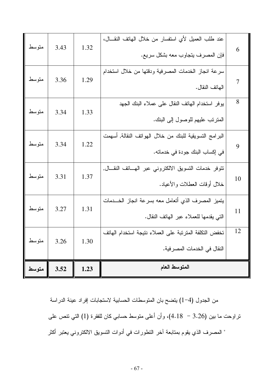| متوسط        | 3.43 | 1.32 | عند طلب العميل لأي استفسار من خلال الهاتف النقال،<br>فإن المصرف يتجاوب معه بشكل سريع.         | 6  |
|--------------|------|------|-----------------------------------------------------------------------------------------------|----|
| متوسط        | 3.36 | 1.29 | سرعة انجاز الخدمات المصرفية ودقتها من خلال استخدام<br>الهاتف النقال.                          | 7  |
| متوسط        | 3.34 | 1.33 | يوفر استخدام الهاتف النقال على عملاء البنك الجهد<br>المنزنب عليهم للوصول إلى البنك.           | 8  |
| متوسط        | 3.34 | 1.22 | البرامج التسويقية للبنك من خلال الهواتف النقالة, أسهمت<br>في إكساب البنك جودة في خدماته.      | 9  |
| متوسط        | 3.31 | 1.37 | نتوفر خدمات النسويق الالكتروني عبر الهساتف النقسال,<br>خلال أوقات العطلات والأعياد.           | 10 |
| متوسط        | 3.27 | 1.31 | يتميز المصرف الذي أتعامل معه بسرعة انجاز الخـــدمات<br>التي يقدمها للعملاء عبر الهاتف النقال. | 11 |
| 3.26   متوسط |      | 1.30 | تخفض التكلفة المترتبة على العملاء نتيجة استخدام الهاتف<br>النقال في الخدمات المصر فية.        | 12 |
| متوسط        | 3.52 | 1.23 | المتوسط العام                                                                                 |    |

من الجدول (4–1) يتضح بان المتوسطات الحسابية لاستجابات إفراد عينة الدراسة نزاوحت ما بين (3.26 – 4.18)، وأن أعلى متوسط حسابي كان للفقرة (1) التي نتص على " المصرف الذي يقوم بمنابعة أخر النطورات في أدوات النسويق الالكتروني يعتبر أكثر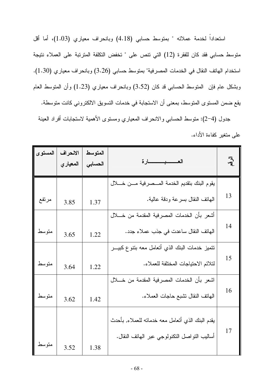استعداداً لخدمة عملائه " بمتوسط حسابي (4.18) وبانحراف معياري (1.03)، أما أقل متوسط حسابي فقد كان للفقرة (12) التي تتص على " تخفض التكلفة المترتبة على العملاء نتيجة استخدام الهاتف النقال في الخدمات المصرفية" بمتوسط حسابي (3.26) وبانحراف معياري (1.30). وبشكل عام فإن المتوسط الحسابي قد كان (3.52) وبانحراف معياري (1.23) وأن المتوسط العام يقع ضمن المستوى المتوسط، بمعنى أن الاستجابة في خدمات التسويق الالكتروني كانت متوسطة.

جدول (4–2): متوسط الحسابي والانحراف المعياري ومستوى الأهمية لاستجابات أفراد العينة على متغير كفاءة الأداء.

| المستوى | الانحراف<br>المعيار ي | المتوسط<br>الحسابى | العــــــــبـــــــــارة                         | $\bar{a}$ |
|---------|-----------------------|--------------------|--------------------------------------------------|-----------|
|         |                       |                    | يقوم البنك بتقديم الخدمة المسصرفية مسن خسلال     |           |
| مرتفع   | 3.85                  | 1.37               | الهاتف النقال بسرعة ودقة عالية.                  | 13        |
|         |                       |                    | أشعر بأن الخدمات المصرفية المقدمة من خــــلال    |           |
| متوسط   | 3.65                  | 1.22               | الهاتف النقال ساعدت في جذب عملاء جدد.            | 14        |
|         |                       |                    | نتميز خدمات البنك الذي أتعامل معه بنتوع كبيـــر  |           |
| متوسط   | 3.64                  | 1.22               | لتلائم الاحتياجات المختلفة للعملاء.              | 15        |
|         |                       |                    | اشعر بأن الخدمات المصرفية المقدمة من خــــلال    |           |
| متوسط   | 3.62                  | 1.42               | الهاتف النقال تشبع حاجات العملاء.                | 16        |
|         |                       |                    | يقدم البنك الذي أنعامل معه خدمانه للعملاء, بأحدث |           |
|         |                       |                    | أساليب النواصل النكنولوجي عبر الـهانف النقال.    | 17        |
| متوسط   | 3.52                  | 1.38               |                                                  |           |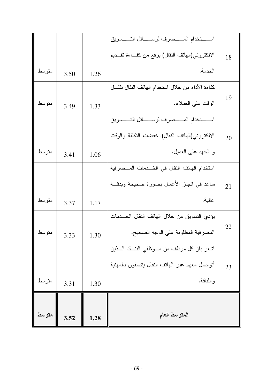|       |      |      | الالكتروني(الـهاتف النقال) برفع من كفـــاءة تقـــديم | 18 |
|-------|------|------|------------------------------------------------------|----|
| متوسط | 3.50 | 1.26 | الخدمة.                                              |    |
|       |      |      | كفاءة الأداء من خلال استخدام الهاتف النقال نقلـــل   |    |
| متوسط | 3.49 | 1.33 | الوقت على العملاء.                                   | 19 |
|       |      |      | استخدام المستصرف لوستائل التسسويق                    |    |
|       |      |      | الالكتروني(الهاتف النقال), خفضت التكلفة والوقت       | 20 |
| متوسط | 3.41 | 1.06 | و الجهد على العميل.                                  |    |
|       |      |      | استخدام الهاتف النقال في الخـــدمات المـــصرفية      |    |
|       |      |      | ساعد في انجاز الأعمال بصورة صحيحة وبدقــة            | 21 |
| متوسط | 3.37 | 1.17 | عالية.                                               |    |
|       |      |      | يؤدي التسويق من خلال الهاتف النقال الخــدمات         |    |
| متوسط | 3.33 | 1.30 | المصرفية المطلوبة على الوجه الصحيح.                  | 22 |
|       |      |      | لشعر بان كل موظف من مـــوظفـي البنـــك الــــذين     |    |
|       |      |      | أتواصل معهم عبر الهاتف النقال بتصفون بالمهنية        | 23 |
| متوسط | 3.31 | 1.30 | و اللباقة.                                           |    |
|       |      |      |                                                      |    |
| متوسط | 3.52 | 1.28 | المتوسط العام                                        |    |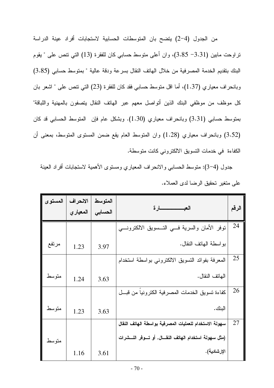من الجدول (4–2) يتضح بان المتوسطات الحسابية لاستجابات أفراد عينة الدراسة نراوحت مابين (3.31– 3.85)، وان أعلى متوسط حسابي كان للفقرة (13) التي نتص على " يقوم البنك بنقديم الخدمة المصرفية من خلال الهاتف النقال بسرعة ودقة عالية " بمتوسط حسابي (3.85) وبانحراف معياري (1.37)، أما اقل متوسط حسابي فقد كان للفقرة (23) التي نتص على " اشعر بان كل موظف من موظفى البنك الذين أتواصل معهم عبر الهاتف النقال يتصفون بالمهنية واللباقة" بمنوسط حسابي (3.31) وبانحراف معياري (1.30). وبشكل عام فإن المنوسط الحسابي قد كان (3.52) وبانحراف معياري (1.28) وان المنوسط العام يقع ضمن المسنوى المنوسط، بمعنى أن الكفاءة في خدمات التسويق الالكتروني كانت متوسطة.

جدول (4–3): منوسط الحسابي والانحراف المعياري ومستوى الأهمية لاستجابات أفراد العينة على متغير تحقيق الرضا لدى العملاء.

| المستوى | الانحراف<br>المعياري | المتوسط<br>الحسابي | العبـــــــــــــارة                                       | الرقم |
|---------|----------------------|--------------------|------------------------------------------------------------|-------|
|         |                      |                    | نوفر الأمان والسرية فسي النـــسويق الالكترونــــي          | 24    |
| مرتفع   | 1.23                 | 3.97               | بواسطة المهانف النقال.                                     |       |
|         |                      |                    | المعرفة بفوائد التسويق الالكتروني بواسطة استخدام           | 25    |
| متوسط   | 1.24                 | 3.63               | الهاتف النقال.                                             |       |
|         |                      |                    | كفاءة تسويق الخدمات المصرفية الكترونيا من قبـــل           | 26    |
| متوسط   | 1.23                 | 3.63               | البنك.                                                     |       |
|         |                      |                    | سهولة الاستخدام للعمليات المصرفية بواسطة الهاتف النقال     | 27    |
| متوسط   |                      |                    | (مثل سهولة استخدام الهاتف النقـــال, أو تـــوفر النـــشرات |       |
|         | 1.16                 | 3.61               | الإرشادية).                                                |       |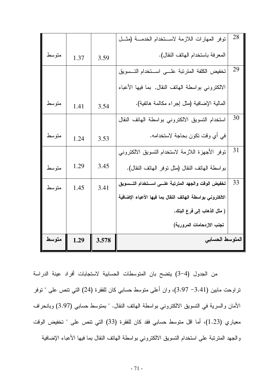|        |      |       | توفر المهارات اللازمة لاستخدام الخدمــة (مثــل            | 28 |
|--------|------|-------|-----------------------------------------------------------|----|
| متوسط  | 1.37 | 3.59  | المعرفة باستخدام الهاتف النقال).                          |    |
|        |      |       | تخفيض الكلفة المنزنبة علسى استخدام التسسويق               | 29 |
|        |      |       | الالكتروني بواسطة الـهاتف النقال, بما فيها الأعباء        |    |
| متوسط  | 1.41 | 3.54  | المالية الإضافية (مثل إجراء مكالمة هانفية).               |    |
|        |      |       | استخدام النسويق الالكتروني بواسطة الهاتف النقال           | 30 |
| متوسط  | 1.24 | 3.53  | في أي وقت تكون بحاجة لاستخدامه.                           |    |
|        |      |       | توفر الأجهزة اللازمة لاستخدام التسويق الالكتروني          | 31 |
| متو سط | 1.29 | 3.45  | بواسطة الهانف النقال (مثل نوفر الهانف النقال).            |    |
| متوسط  | 1.45 | 3.41  | تخفيض الوقت والجهد المترتبة علسى استخدام التسسويق         | 33 |
|        |      |       | الالكتروني بواسطة الهاتف النقال بما فيها الأعباء الإضافية |    |
|        |      |       | ( مثل الذهاب إلى فرع البنك,                               |    |
|        |      |       | تجنب الازدحامات المرورية)                                 |    |
| متوسط  | 1.29 | 3.578 | المتوسط الحسابى                                           |    |

من الجدول (4–3) يتضح بان المتوسطات الحسابية لاستجابات أفراد عينة الدراسة نراوحت مابين (3.41– 3.97)، وان أعلى متوسط حسابي كان للفقرة (24) التي تتص على " نوفر الأمان والسرية في التسويق الالكتروني بواسطة الهاتف النقال. " بمتوسط حسابي (3.97) وبانحراف معياري (1.23)، أما اقل منوسط حسابي فقد كان للفقرة (33) التي نتص على " تخفيض الوقت والجهد المنزنبة على استخدام التسويق الالكتروني بواسطة الهانف النقال بما فيها الأعباء الإضافية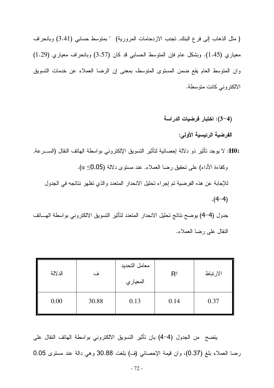(مثل الذهاب إلى فرع البنك, نجنب الازدحامات المرورية) " بمتوسط حسابي (3.41) وبانحراف معياري (1.45). وبشكل عام فإن المتوسط الحسابي قد كان (3.57) وبانحراف معياري (1.29) وان المنوسط العام يقع ضمن المستوى المتوسط، بمعنى إن الرضا العملاء عن خدمات التسويق الالكتروني كانت متوسطة.

(4–3): اختبار فرضيات الدراسة

الفرضية الرئيسية الأولى:

H01: لا يوجد تأثير ذو دلالة إحصائية لتأثير التسويق الإلكتروني بواسطة الهاتف النقال (الســـرعة, وكفاءة الأداء) على نحقيق رضا العملاء, عند مستوى دلالة (0.05 $\alpha \leq 0.05$ ). للإجابة عن هذه الفرضية تم إجراء تحليل الانحدار المتعدد والذي تظهر نتائجه في الجدول  $. (4-4)$ جدول (4–4) يوضح نتائج تحليل الانحدار المتعدد لتأثير التسويق الالكتروني بواسطة الهساتف

النقال على رضا العملاء.

| الدلالة | ف     | معامل التحديد<br>المعياري | $R^2$ | الارتباط |
|---------|-------|---------------------------|-------|----------|
| 0.00    | 30.88 | 0.13                      | 0.14  | 0.37     |

يتضح من الجدول (4–4) بان تأثير التسويق الالكتروني بواسطة الهاتف النقال على رضا العملاء بلغ (0.37)، وان قيمة الإحصائي (ف) بلغت 30.88 وهي دالة عند مستوى 0.05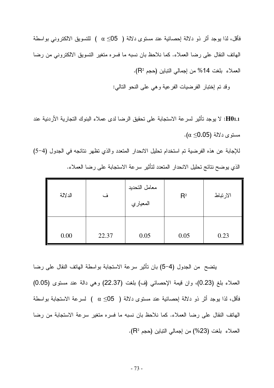فأقل، لذا يوجد أثر ذو دلالة اٍحصائية عند مستوى دلالة ( α ≤05) ) للتسويق الالكتروني بواسطة الهاتف النقال على رضا العملاء. كما نلاحظ بان نسبه ما فسره متغير التسويق الالكتروني من رضا العملاء بلغت 14% من إجمالي النباين (حجم P2).

وقد تم إختبار الفرضيات الفرعية وهي على النحو النالبي:

H01.1: لا يوجد تأثير لسرعة الاستجابة على تحقيق الرضا لدى عملاء البنوك التجارية الأردنية عند مستوى دلالة (0.05≥ α).

للإجابة عن هذه الفرضية تم استخدام تحليل الانحدار المتعدد والذي نظهر نتائجه في الجدول (4-5) الذي يوضح نتائج تحليل الانحدار المتعدد لتأثير سرعة الاستجابة على رضا العملاء.

| الدلالة | ف     | معامل التحديد<br>المعياري | $R^2$ | الارتباط |
|---------|-------|---------------------------|-------|----------|
| 0.00    | 22.37 | 0.05                      | 0.05  | 0.23     |

يتضح من الجدول (4–5) بان تأثير سرعة الاستجابة بواسطة الهاتف النقال على رضا العملاء بلغ (0.23)، وان قيمة الإحصائي (ف) بلغت (22.37) وهي دالة عند مستوى (0.05) فأقل، لذا يوجد أثر ذو دلالة إحصائية عند مستوى دلالة ( 05≥ α ) لسرعة الاستجابة بواسطة الهاتف النقال على رضا العملاء. كما نلاحظ بان نسبه ما فسره متغير سرعة الاستجابة من رضا العملاء بلغت (23%) من إجمالي التباين (حجم R2).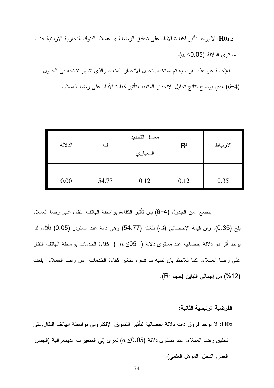H01.2: لا يوجد تأثير لكفاءة الأداء على تحقيق الرضا لدى عملاء البنوك التجارية الأردنية عنــد  $\alpha \leq 0.05$ ) مستوى الدلالة

للإجابة عن هذه الفرضية تم استخدام تحليل الانحدار المتعدد والذي تظهر نتائجه في الجدول (4–6) الذي يوضح نتائج تحليل الانحدار المتعدد لتأثير كفاءة الأداء على رضا العملاء.

| الدلالة | ف     | معامل التحديد<br>المعياري | $R^2$ | الارتباط |
|---------|-------|---------------------------|-------|----------|
| 0.00    | 54.77 | 0.12                      | 0.12  | 0.35     |

يتضح من الجدول (4–6) بان تأثير الكفاءة بواسطة الهاتف النقال على رضا العملاء بلغ (0.35)، وان قيمة الإحصائي (ف) بلغت (54.77) وهي دالة عند مستوى (0.05) فأقل، لذا بوجد أثر ذو دلالة اٍحصائية عند مستوى دلالة ( α ≤05) ) كفاءة الخدمات بواسطة الهاتف النقال على رضا العملاء. كما نلاحظ بان نسبه ما فسره منغير كفاءة الخدمات ً من رضا العملاء ً بلغت (12%) من إجمالي النباين (حجم R<sup>2</sup>).

الفرضية الرئيسية الثانية:

HO2: لا توجد فروق ذات دلالة اِحصائية لتأثير التسويق الإلكتروني بواسطة الـهاتف النقال,على تحقيق رضـا الـعملاء, عند مستوى دلالـة (Ω\_O.5) تعزى إلـى المتغيرات الديمغرافيـة (الـجنس, العمر , الدخل, المؤهل العلمي).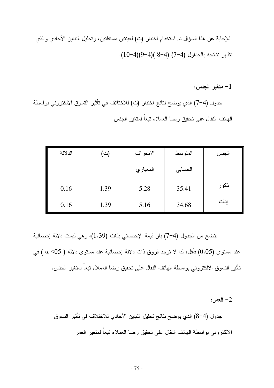1- متغير الجنس:

جدول (4−7) الذي يوضح نتائج اختبار (ت) للاختلاف في تأثير التسوق الالكتروني بواسطة الهاتف النقال على تحقيق رضا العملاء نبعاً لمتغير الجنس

| الدلالة | (ت)  | الانحراف | المتوسط | الجنس |
|---------|------|----------|---------|-------|
|         |      | المعياري | الحسابي |       |
| 0.16    | 1.39 | 5.28     | 35.41   | ذكور  |
| 0.16    | 1.39 | 5.16     | 34.68   | إناث  |

يتضح من الجدول (4–7) بان قيمة الإحصائي بلغت (1.39)، وهي ليست دلالة إحصائية عند مستوى (0.05) فأقل، لذا لا نوجد فروق ذات دلالة إحصائية عند مستوى دلالة ( 05≥ c) في تأثير التسوق الالكتروني بواسطة الهاتف النقال على تحقيق رضا العملاء نبعا لمتغير الجنس.

 $:$  العمر $-2$ 

جدول (4–8) الذي يوضح نتائج تحليل التباين الأحادي للاختلاف في تأثير التسوق الالكتروني بواسطة الهاتف النقال على تحقيق رضا العملاء نبعاً لمتغير العمر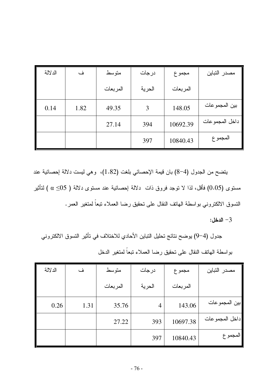| الدلالة | ف    | متوسط    | درجات  | مجموع    | مصدر التباين   |
|---------|------|----------|--------|----------|----------------|
|         |      | المربعات | الحرية | المربعات |                |
| 0.14    | 1.82 | 49.35    | 3      | 148.05   | بين المجموعات  |
|         |      | 27.14    | 394    | 10692.39 | داخل المجموعات |
|         |      |          | 397    | 10840.43 | المجموع        |

يتضـح من الـجدول (4–8) بان قيمة الإحصـائـي بلغت (1.82)، وهي ليست دلالة إحصـائية عند مسنوى (0.05) فأقل، لذا لا نوجد فروق ذات دلالة إحصائية عند مسنوى دلالة ( 05 $\alpha \leq$ 0 ) لنأثير النسوق الالكتروني بواسطة الهاتف النقال على تحقيق رضا العملاء تبعاً لمنغير العمر.

 $-3$ الدخل:

جدول (4−9) يوضح نتائج تحليل النباين الأحادي للاختلاف في تأثير التسوق الالكتروني بواسطة الهاتف النقال على تحقيق رضا العملاء نبعاً لمتغير الدخل

| الدلالة | ف    | متوسط    | درجات  | مجموع    | مصدر التباين   |
|---------|------|----------|--------|----------|----------------|
|         |      | المربعات | الحرية | المربعات |                |
| 0.26    | 1.31 | 35.76    | 4      | 143.06   | بين المجمو عات |
|         |      | 27.22    | 393    | 10697.38 | داخل المجموعات |
|         |      |          | 397    | 10840.43 | المجمو ع       |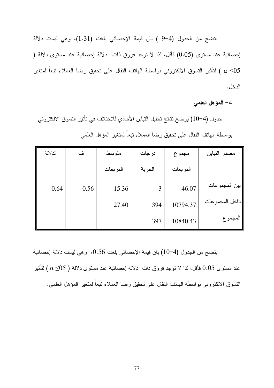يتضح من الجدول (4-9 ) بان قيمة الإحصائي بلغت (1.31)، وهي ليست دلالة إحصائية عند مستوى (0.05) فأقل، لذا لا نوجد فروق ذات دلالة إحصائية عند مستوى دلالة ( لتأثير التسوق الالكتروني بواسطة الهاتف النقال على تحقيق رضا العملاء تبعاً لمتغير  $\alpha \leq \! \! 05$ الدخل .

4– المؤهل العلمي

جدول (4−10) يوضح نتائج تحليل التباين الأحادي للاختلاف في تأثير التسوق الالكتروني بواسطة الهاتف النقال على تحقيق رضا العملاء نبعاً لمتغير المؤهل العلمى

| الدلالة | ف    | متوسط    | درجات  | مجموع    | مصدر التباين   |
|---------|------|----------|--------|----------|----------------|
|         |      | المربعات | الحرية | المربعات |                |
| 0.64    | 0.56 | 15.36    | 3      | 46.07    | بين المجمو عات |
|         |      | 27.40    | 394    | 10794.37 | داخل المجموعات |
|         |      |          | 397    | 10840.43 | المجمو ع       |

يتضح من الجدول (4−10) بان قيمة الإحصائي بلغت 0.56، وهي ليست دلالة إحصائية عند مستوى 0.05 فأقل، لذا لا نوجد فروق ذات دلالة إحصائية عند مستوى دلالة ( 05≥ c) لتأثير التسوق الالكتروني بواسطة الهاتف النقال على نحقيق رضا العملاء نبعا لمتغير المؤهل العلمي.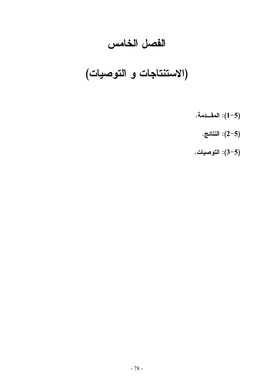### الفصل الخامس

# (الاستنتاجات و التوصيات)

- المقــدمة. $(1-5)$ 
	- النتائج. (1–2):  $(2\text{--}5)$
- (5–3): التوصيات.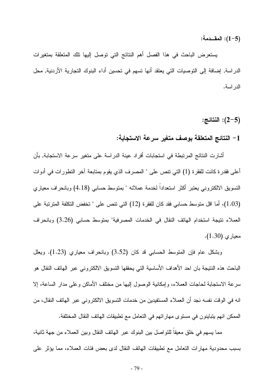(1-5): المقــدمة:

يستعرض الباحث في هذا الفصل أهم النتائج التي توصل إليها تلك المتعلقة بمتغيرات الدراسة, إضافة إلى النوصيات التي يعتقد أنها نسهم في تحسين أداء البنوك التجارية الأردنية, محل الدر اسة.

 $:2-5)$ : النتائج:

### 1– النتائج المتعلقة بوصف متغير سرعة الاستجابة:

أشارت النتائج المرتبطة في استجابات أفراد عينة الدراسة على متغير سرعة الاستجابة, بأن أعلى فقدرة كانت للفقرة (1) التي نتص على " المصرف الذي يقوم بمنابعة أخر النطورات في أدوات التسويق الالكترونـي يعتبر أكثر استعدادا لخدمة عملائه " بمتوسط حسابـي (4.18) وبانـحراف معياري (1.03)، أما اقل متوسط حسابي فقد كان للفقرة (12) التي نتص على " تخفض التكلفة المترتبة على العملاء نتيجة استخدام الهاتف النقال في الخدمات المصرفية" بمتوسط حسابي (3.26) وبانحراف معياري (1.30).

وبشكل عام فإن المنوسط الحسابي قد كان (3.52) وبانحراف معياري (1.23). ويعلل الباحث هذه النتيجة بان احد الأهداف الأساسية التي يحققها النسويق الالكتروني عبر الهاتف النقال هو سرعة الاستجابة لحاجات العملاء، وإمكانية الوصول إليها من مختلف الأماكن وعلى مدار الساعة، إلا انه في الوقت نفسه نجد أن العملاء المستفيدين من خدمات النسويق الالكتروني عبر الهاتف النقال، من الممكن انهم يتباينون في مستوى مهار اتهم في التعامل مع تطبيقات الهاتف النقال المختلفة.

مما يسهم في خلق معيقا للنواصل بين البنوك عبر الهانف النقال وبين العملاء من جهة ثانية، بسبب محدودية مهارات التعامل مع تطبيقات الهاتف النقال لدى بعض فئات العملاء، مما يؤثر على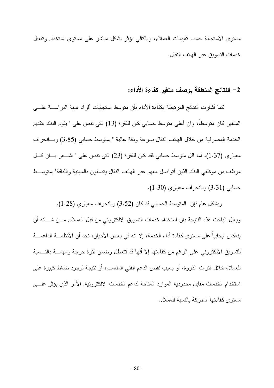مستوى الاستجابة حسب نقيبمات العملاء، وبالتالي بؤثر بشكل مباشر على مستوى استخدام وتفعيل خدمات النسويق عبر الهاتف النقال.

### 2– النتائج المتعلقة بوصف متغير كفاءة الأداء:

كما أشارت النتائج المرتبطة بكفاءة الأداء بأن متوسط استجابات أفراد عينة الدراســــة علــــى المتغير كان منوسطا، وان أعلى منوسط حسابي كان للفقرة (13) التي نتص على " يقوم البنك بنقديم الخدمة المصرفية من خلال الهاتف النقال بسرعة ودقة عالية " بمتوسط حسابي (3.85) وبسانحراف معياري (1.37)، أما اقل متوسط حسابي فقد كان للفقرة (23) التي نتص على " اشــــعر بــــان كـــل موظف من موظفى البنك الذين أنواصل معهم عبر الهانف النقال يتصفون بالمهنية واللباقة" بمنوســط حسابي (3.31) وبانحراف معياري (1.30).

وبشكل عام فإن المنوسط الحسابي قد كان (3.52) وبانحراف معياري (1.28). ويعلل الباحث هذه النتيجة بان استخدام خدمات النسويق الالكترونيي من قبل العملاء, مـــن شــــانـه أن ينعكس ايجابيا على مستوى كفاءة أداء الخدمة، إلا انه في بعض الأحيان، نجد أن الأنظمــــة الداعمــــة للنسويق الالكتروني على الرغم من كفاءتها إلا أنها قد نتعطل وضمن فترة حرجة ومهمــــة بالنـــسبة للعملاء خلال فنرات الذروة، أو بسبب نقص الدعم الفني المناسب، أو ننتيجة لوجود ضغط كبيرة على استخدام الخدمات مقابل محدودية الموارد المتاحة لداعم الخدمات الالكترونية, الأمر الذي يؤثر علـــي مستوى كفاءتها المدركة بالنسبة للعملاء.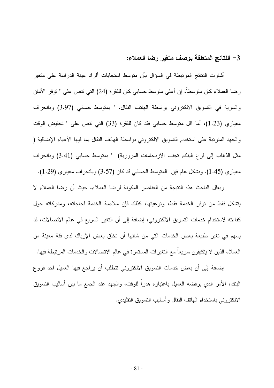### 3– النتائج المتعلقة بوصف متغير رضا العملاء:

أشارت النتائج المرتبطة في السؤال بأن متوسط استجابات أفراد عينة الدراسة على متغير رضا العملاء كان متوسطاً، إن أعلى متوسط حسابي كان للفقرة (24) التي تتص على " توفر الأمان والسرية في التسويق الالكتروني بواسطة الهاتف النقال. " بمتوسط حسابي (3.97) وبانحراف معياري (1.23)، أما اقل منوسط حسابي فقد كان للفقرة (33) التي نتص على " نخفيض الوقت والجهد المترتبة على استخدام التسويق الالكتروني بواسطة الهاتف النقال بما فيها الأعباء الإضافية ( مثل الذهاب إلى فرع البنك, تجنب الازدحامات المرورية) " بمنوسط حسابي (3.41) وبانحراف معياري (1.45). وبشكل عام فإن المنوسط الحسابي قد كان (3.57) وبانحراف معياري (1.29).

ويعلل الباحث هذه النتيجة من العناصر المكونة لرضا العملاء، حيث أن رضا العملاء لا يتشكل فقط من نوفر الخدمة فقط، ونوعيتها، كذلك فإن ملاءمة الخدمة لحاجاته، ومدركاته حول كفاءته لاستخدام خدمات التسويق الالكتروني، إضافة إلى أن التغير السريع في عالم الاتصالات، قد يسهم في تغير طبيعة بعض الخدمات التي من شانها أن تخلق بعض الإرباك لدى فئة معينة من العملاء الذين لا يتكيفون سريعا مع التغيرات المستمرة في عالم الاتصالات والخدمات المرتبطة فيها.

إضافة إلى أن بعض خدمات التسويق الالكتروني نتطلب أن يراجع فيها العميل احد فروع البنك، الأمر الذي يرفضه العميل باعتباره هدراً للوقت، والجهد عند الجمع ما بين أساليب التسويق الالكتروني باستخدام الهاتف النقال وأساليب التسويق التقليدى.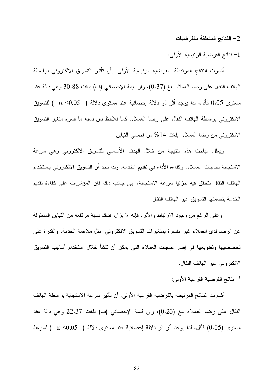#### 2– النتائج المتعلقة بالفرضيات

1– نتائج الفرضية الرئيسية الأولى:

أشارت النتائج المرتبطة بالفرضية الرئيسية الأولى, بأن تأثير التسويق الالكتروني بواسطة الهاتف النقال على رضا العملاء بلغ (0.37)، وان قيمة الإحصائي (ف) بلغت 30.88 وهي دالة عند مستوى 0.05 فأقل، لذا يوجد أثر ذو دلالة احصـائية عند مستوى دلالة ( 0,05) ) للتسويق الالكتروني بواسطة الهاتف النقال على رضا العملاء. كما نلاحظ بان نسبه ما فسره متغير التسويق الالكتروني من رضا العملاء بلغت 14% من إجمالي النباين.

ويعلل الباحث هذه النتيجة من خلال الهدف الأساسي للتسويق الالكتروني وهي سرعة الاستجابة لحاجات العملاء، وكفاءة الأداء في نقديم الخدمة، ولذا نجد أن التسويق الالكتروني باستخدام الهاتف النقال نتحقق فيه جزئيا سرعة الاستجابة، إلى جانب ذلك فإن المؤشرات على كفاءة نقديم الخدمة بتضمنها النسوبق عبر الهاتف النقال.

وعلى الرغم من وجود الارتباط والأثر ، فإنه لا يزال هناك نسبة مرتفعة من التباين المسئولة عن الرضا لدى العملاء غير مفسرة بمنغيرات النسويق الالكتروني, مثل ملاءمة الخدمة، والقدرة على تخصصيها ونطويعها في إطار حاجات العملاء التي يمكن أن نتشأ خلال استخدام أساليب التسويق الالكتروني عبر الهاتف النقال.

أ– نتائج الفرضية الفرعية الأولى:

أشارت النتائج المرتبطة بالفرضية الفرعية الأولى, أن نأثير سرعة الاستجابة بواسطة الهاتف النقال على رضا العملاء بلغ (0.23)، وإن قيمة الإحصائي (ف) بلغت 22.37 وهي دالة عند مستوى (0.05) فأقل، لذا يوجد أثر ذو دلالة اِحصائية عند مستوى دلالة (  $\alpha \leq 0.05$  ) لسرعة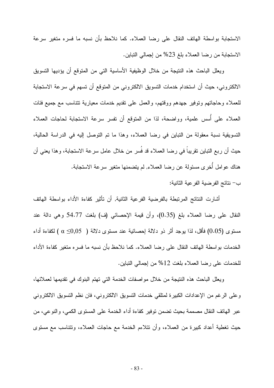الاستجابة بواسطة الهاتف النقال على رضا العملاء. كما نلاحظ بأن نسبه ما فسره متغير سرعة الاستجابة من رضا العملاء بلغ 23% من إجمالي التباين.

ويعلل الباحث هذه النتيجة من خلال الوظيفية الأساسية التي من المتوقع أن يؤديها التسويق الالكتروني، حيث أن استخدام خدمات التسويق الالكتروني من المتوقع أن تسهم في سرعة الاستجابة للعملاء وحاجاتهم وتوفير جهدهم ووقتهم، والعمل على تقديم خدمات معيارية نتناسب مع جميع فئات العملاء على أسس علمية، وواضحة، لذا من المتوقع أن نفس سرعة الاستجابة لحاجات العملاء التسويقية نسبة معقولة من التباين في رضا العملاء، وهذا ما نم التوصل إليه في الدراسة الحالية، حيث أن ربع النباين نقريباً في رضا العملاء قد فُسر من خلال عامل سرعة الاستجابة، وهذا يعني أن هناك عوامل أخرى مسئولة عن رضا العملاء, لم يتضمنها متغير سرعة الاستجابة. ب– نتائج الفرضية الفرعية الثانية:

أشارت النتائج المرتبطة بالفرضية الفرعية الثانية, أن تأثير كفاءة الأداء بواسطة الهاتف النقال على رضا العملاء بلغ (0.35)، وأن قيمة الإحصائي (ف) بلغت 54.77 وهي دالة عند مستوى (0.05) فأقل، لذا بوجد أثر ذو دلالة اِحصائية عند مستوى دلالة (  $\alpha \leq 0.05$  ) لكفاءة أداء الخدمات بو اسطة الهاتف النقال على رضا العملاء. كما نلاحظ بأن نسبه ما فسره متغير كفاءة الأداء للخدمات على رضا العملاء بلغت 12% من إجمالي التباين.

ويعلل الباحث هذه النتيجة من خلال مواصفات الخدمة التي تهتم البنوك في تقديمها لعملائها، وعلى الرغم من الإعدادات الكبيرة لمنلقى خدمات النسويق الالكتروني، فان نظم النسويق الالكتروني عبر الهاتف النقال مصممة بحيث تضمن توفير كفاءة أداء الخدمة على المستوى الكمي، والنوعي، من حيث نغطية أعداد كبيرة من العملاء، وأن نتلاءم الخدمة مع حاجات العملاء، ونتناسب مع مسنوى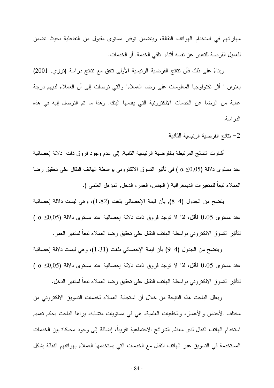مهاراتهم في استخدام الهواتف النقالة، ويتضمن توفير مستوى مقبول من التفاعلية بحيث تضمن للعميل الفرصة للتعبير عن نفسه أثناء تلقى الخدمة, أو الخدمات.

وبناءً على ذلك فأن نتائج الفرضية الرئيسية الأولى نتفق مع نتائج دراسة (ترزي, 2001) بعنوان " أثر تكنولوجيا المعلومات على رضا العملاء" والتي نوصلت إلى أن العملاء لديهم درجة عالية من الرضا عن الخدمات الالكترونية التي يقدمها البنك, وهذا ما نم التوصل إليه في هذه الدر اسة.

نتائج الفرضية الرئيسية الثانية  $-2$ 

أشارت النتائج المرتبطة بالفرضية الرئيسية الثانية, إلى عدم وجود فروق ذات دلالة إحصائية عند مستوى دلالة (α ≤0,05) في تأثير التسوق الالكتروني بواسطة الهاتف النقال على تحقيق رضا العملاء تبعا للمتغيرات الديمغر افية ( الجنس، العمر ، الدخل, المؤهل العلمي ).

يتضح من الجدول (4−8), بأن قيمة الإحصائي بلغت (1.82)، وهي ليست دلالة إحصائية عند مستوى 0.05 فأقل، لذا لا نوجد فروق ذات دلالة اِحصائية عند مستوى دلالة (0,05)  $\alpha \leq 0.05$ لْتَأْثِيرِ النَّسُوقِ الالكتروني بواسطة الهاتف النقال على تحقيق رضا العملاء تبعا لمتغير العمر .

ويُنضَّح من الجدول (4–9) بأن قَيْمَة الإحصائي بلغت (1.31)، وهي ليست دلالة إحصائية عند مستوى 0.05 فأقل، لذا لا نوجد فروق ذات دلالة إحصائية عند مستوى دلالة (0,05 $\alpha \leq$ 0,05 ) لنَأْثِيرِ النَّسوقِ الالكتروني بواسطة الـهاتف النقال على نَحقيقٍ رضا العملاء تبعا لمتغيرِ الدخل.

ويعلل الباحث هذه النتيجة من خلال أن استجابة العملاء لخدمات التسويق الالكتروني من مختلف الأجناس والأعمار، والخلفيات العلمية، هي في مستويات متشابه، يراها الباحث بحكم تعميم استخدام الهاتف النقال لدى معظم الشرائح الاجتماعية نقريبا، إضافة إلى وجود محاكاة بين الخدمات المستخدمة في التسويق عبر الهاتف النقال مع الخدمات التي يستخدمها العملاء بهواتفهم النقالة بشكل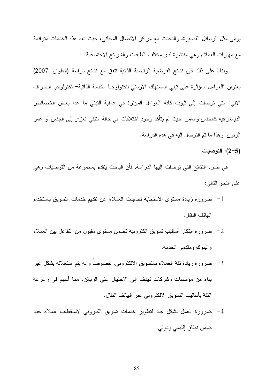يومي مثل الرسائل القصيرة، والنحدث مع مراكز الانصال المجانبي، حيث نعد هذه الخدمات منوائمة مع مهارات العملاء وهي منتشرة لدى مختلف الطبقات والشرائح الاجتماعية.

وبناءً على ذلك فإن نتائج الفرضية الرئيسية الثانية نتفق مع نتائج دراسة (العلوان, 2007) بعنوان "العوامل المؤثرة على نبني المستهلك الأردني لتكنولوجيا الخدمة الذاتية– تكنولوجيا الصراف الآلي" التي توصلت إلى ثبوت كافة العوامل المؤثرة في عملية التبني ما عدا بعض الخصائص الديمغرافية كالجنس والعمر, حيث لم يتأكد وجود اختلافات في حالة النبني تعزى إلى الجنس أو عمر الزبون, وهذا ما نم النوصل إليه في هذه الدراسة.

(5–2): التوصيات.

في ضوء النتائج التي توصلت إليها الدراسة, فأن الباحث ينقدم بمجموعة من التوصيات وهي على النحو النالي:

- ضرورة زبادة مستوى الاستجابة لحاجات العملاء عن تقديم خدمات التسويق باستخدام  $-1$ الماتف النقال.
- 2– ضرورة ابنكار أساليب نسويق الكترونية نضمن مستوى مقبول من النفاعل بين العملاء والبنوك ومقدمي الخدمة.
- 3– ضرورة زيادة ثقة العملاء بالنسويق الالكتروني، خصوصا وانه يتم استغلاله بشكل غير بناء من مؤسسات وشركات تهدف إلى الاحتيال على الزبائن، مما أسهم في زعزعة النَّقة بِأَساليبِ النِّسويقِ الإلكترِ ونبي عبرِ الْمَانفِ النِّقالِ.
- 4– ضرورة العمل بشكل جاد لنطوير خدمات نسويق الكتروني لاستقطاب عملاء جدد ضمن نطاق إقليمي ودولي.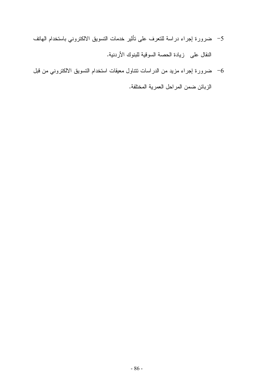- 5– ضرورة إجراء دراسة للتعرف على نأثير خدمات النسويق الالكتروني باستخدام المهاتف النقال على زيادة الحصة السوقية للبنوك الأردنية.
- ضرورة إجراء مزيد من الدراسات تتناول معيقات استخدام التسويق الالكتروني من قبل  $\epsilon$ الزبائن ضمن المراحل العمرية المختلفة.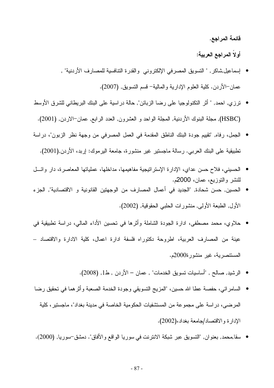قائمة المراجع.

أولاً المراجع العربية:

- إسماعيل,شاكر, " النسويق المصرفي الإلكتروني والقدرة النتافسية للمصارف الأردنية" , عمان–الأردن. كلية العلوم الإدارية والمالية– قسم النسويق, (2007).
- نزري, احمد, " أثر التكنولوجيا على رضا الزبائن", حالة دراسية على البنك البريطاني للشرق الأوسط (HSBC), مجلَّة البنوك الأردنية, المجلَّة الواحد و العشرون, العدد الرابع, عمان-الاردن, (2001).
- الجمل، رفاه, "تقييم جودة البنك الناطق المقدمة في العمل المصرفي من وجهة نظر الزبون"، دراسة نطبيقية على البنك العربي. رسالة ماجستير غير منشورة، جامعة اليرموك: إربد، الأردن,(2001).
- الحسيني، فلاح حسن عداي، الإدارة الإستر انيجية مفاهيمها، مداخلها، عملياتها المعاصرة، دار وائسل للنشر والتوزيع، عمان، 2000م.
- الحسين, حسن شحادة, "الجديد في أعمال المصارف من الوجهتين القانونية و الاقتصادية", الجزء الأول, الطبعة الأولى, منشورات الحلبي الحقوقية, (2002).
- حلاوي، محمد مصطفى، ادارة الجودة الشاملة وأثرها في نحسين الأداء المالي، دراسة نطبيقية في عينة من المصارف العربية، اطروحة دكتوراه فلسفة ادارة اعمال، كلية الادارة والاقتصاد – المستنصرية، غير منشورة2000م.
	- الرشيد, صالح , "أساسيات تسويق الخدمات" , عمان الأردن , ط1, (2008).
- السامر ائي، حفصـة عطـا الله حسين، "المزيج النسويقي وجودة الخدمة الصـعبة وأثر هما في تحقيق رضـا المرضى، دراسة على مجموعة من المستشفيات الحكومية الخاصة في مدينة بغداد"، ماجستير ، كلية الإدارة والاقتصاد/جامعة بغداد،(2002).
	- سقا,محمد, بعنوان, "التسويق عبر شبكة الانترنت في سوريا الواقع والأفاق". دمشق–سوريا, (2000).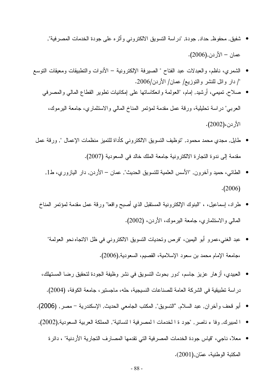- شفيق, محفوظ, حداد, جودة, "دراسة النسويق الالكتروني وأثره على جودة الخدمات المصرفية", عمان – الأردن,(2006).
- الشمري، ناظم، والعبدلات عبد الفتاح " الصبرفة الإلكترونية الأدوات والتطبيقات ومعيقات التوسع "/ دار وائل للنشر والتوزيع/ عمان/ الأردن/2006.
	- صلاح, تميمي، أرشيد, إمام، "العولمة وانعكاساتها على إمكانيات نطوير القطاع المالـي والمصرفـي العربي" دراسة نحليلية، ورقة عمل مقدمة لمؤنمر المناخ المالي والاستثماري، جامعة اليرموك، الأردن،(2002).
	- طايل, مجدي محمد محمود, "توظيف النسويق الالكتروني كأداة للتميز منظمات الإعمال ", ورقة عمل مقدمة إلى ندوة التجارة الالكترونية جامعة الملك خالد في السعودية (2007).
		- الطائبي، حميد وآخرون, "الأسس العلمية للتسويق الحديث", عمان الأردن, دار اليازوري، ط1,  $(2006)$
		- طراد، إسماعيل، ، "البنوك الإلكترونية المستقبل الذي أصبح واقعا" ورقة عمل مقدمة لمؤتمر المناخ المعالمي و الاستثمار ي، جامعة البر موك، الأردن، (2002).
			- عبد الغنـي،عمرو أبو اليمين، "فرص وتحديات النسويق الالكترونـي فـي ظل الاتجاه نـحو الـعولمة" ،جامعة الإمام محمد بن سعود الإسلامية، القصيبي، السعودية,(2006).
		- العبيدي، أز هار ٍ عزيز ِ جاسم، "دور ِ بحوث النسويق في نشر ٍ وظيفة الجودة لتحقيق رضا المستهلك، در اسة نطبيقية في الشر كة العامة للصناعات النسيجية، حله، ماجستير ، جامعة الكوفة، (2004).
	- أبو قحف و آخر إن, عبد السلام, "التسويق", المكتب الجامعي الحديث, الإسكندرية مصر , (2006).
	- المبيرك, وفا ء ناصر, "جود ة ا لخدمات ا لمصرفية ا لنسائية", المملكة العربية السعودية,(2002).
		- معلا، ناجي، "قياس جودة الخدمات المصرفية التي تقدمها المصارف التجارية الأردنية" ، دائرة المكتبة الوطنية، عمّان,(2001).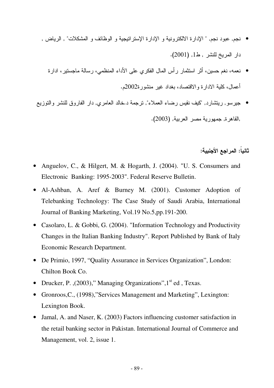- نجم, عبود نجم, " الإدارة الالكترونية و الإدارة الإستراتيجية و الوظائف و المشكلات" , الرياض , دار المريخ للنشر , ط1, (2001).
	- نعمه، نغم حسين، أثر استثمار رأس المال الفكري على الأداء المنظمي، رسالة ماجستير ، ادارة أعمال، كلية الادارة والاقتصاد، بغداد غير منشورة2002م.
- جيرسو, رينتثىارد, "كيف نقيس رضـاء العملاء", نرجمة د.خالد العامري, دار الفاروق للنشر والنوزيع ,القاهرة, جمهورية مصر العربية, (2003).

ثانيا: المراجع الأجنبية:

- Anguelov, C., & Hilgert, M. & Hogarth, J. (2004). "U. S. Consumers and Electronic Banking: 1995-2003". Federal Reserve Bulletin.
- Al-Ashban, A. Aref & Burney M. (2001). Customer Adoption of Telebanking Technology: The Case Study of Saudi Arabia, International Journal of Banking Marketing, Vol.19 No.5,pp.191-200.
- Casolaro, L. & Gobbi, G. (2004). "Information Technology and Productivity Changes in the Italian Banking Industry". Report Published by Bank of Italy Economic Research Department.
- De Primio, 1997, "Quality Assurance in Services Organization", London: Chilton Book Co.
- Drucker, P. ,  $(2003)$ ," Managing Organizations",  $1<sup>st</sup>$  ed , Texas.
- Gronroos,C., (1998),"Services Management and Marketing", Lexington: Lexington Book.
- Jamal, A. and Naser, K. (2003) Factors influencing customer satisfaction in the retail banking sector in Pakistan. International Journal of Commerce and Management, vol. 2, issue 1.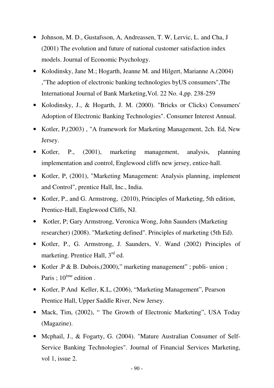- Johnson, M. D., Gustafsson, A, Andreassen, T. W, Lervic, L. and Cha, J (2001) The evolution and future of national customer satisfaction index models. Journal of Economic Psychology.
- Kolodinsky, Jane M.; Hogarth, Jeanne M. and Hilgert, Marianne A.(2004) ,"The adoption of electronic banking technologies byUS consumers",The International Journal of Bank Marketing,Vol. 22 No. 4,pp. 238-259
- Kolodinsky, J., & Hogarth, J. M. (2000). "Bricks or Clicks) Consumers' Adoption of Electronic Banking Technologies". Consumer Interest Annual.
- Kotler, P. (2003), "A framework for Marketing Management, 2ch. Ed, New Jersey.
- Kotler, P., (2001), marketing management, analysis, planning implementation and control, Englewood cliffs new jersey, entice-hall.
- Kotler, P, (2001), "Marketing Management: Analysis planning, implement and Control", prentice Hall, Inc., India.
- Kotler, P., and G. Armstrong, (2010), Principles of Marketing, 5th edition, Prentice-Hall, Englewood Cliffs, NJ.
- Kotler, P; Gary Armstrong, Veronica Wong, John Saunders (Marketing researcher) (2008). "Marketing defined". Principles of marketing (5th Ed).
- Kotler, P., G. Armstrong, J. Saunders, V. Wand (2002) Principles of marketing. Prentice Hall, 3<sup>rd</sup> ed.
- Kotler .P & B. Dubois, (2000)," marketing management"; publi- union; Paris ; 10<sup>ème</sup> edition.
- Kotler, P And Keller, K.L, (2006), "Marketing Management", Pearson Prentice Hall, Upper Saddle River, New Jersey.
- Mack, Tim, (2002), "The Growth of Electronic Marketing", USA Today (Magazine).
- Mcphail, J., & Fogarty, G. (2004). "Mature Australian Consumer of Self-Service Banking Technologies". Journal of Financial Services Marketing, vol 1, issue 2.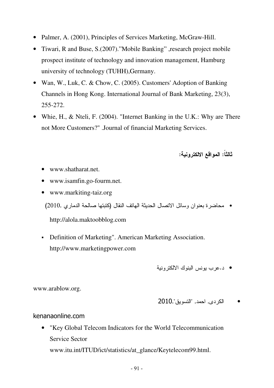- Palmer, A. (2001), Principles of Services Marketing, McGraw-Hill.
- Tiwari, R and Buse, S.(2007)."Mobile Banking", research project mobile prospect institute of technology and innovation management, Hamburg university of technology (TUHH),Germany.
- Wan, W., Luk, C. & Chow, C. (2005). Customers' Adoption of Banking Channels in Hong Kong. International Journal of Bank Marketing, 23(3), 255-272.
- Whie, H., & Nteli, F. (2004). "Internet Banking in the U.K.: Why are There not More Customers?" .Journal of financial Marketing Services.

ثالثا: المواقع الالكترونية:

- www.shatharat.net
- www.isamfin.go-fourm.net.
- www.markiting-taiz.org

• محاضرة بعنوان وسائل الاتصال الحديثة الـهاتف النقال (كتبتها صـالحة الدماري ,2010)

http://alola.maktoobblog.com

- Definition of Marketing". American Marketing Association. http://www.marketingpower.com
	- د.عرب بونس البنوك الألكتر ونبة

www.arablow.org.

• الكردي, احمد, "التسويق",2010

kenanaonline.com

• "Key Global Telecom Indicators for the World Telecommunication Service Sector www.itu.int/ITUD/ict/statistics/at\_glance/Keytelecom99.html.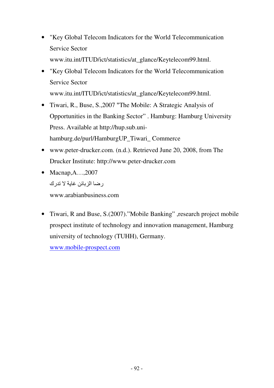- "Key Global Telecom Indicators for the World Telecommunication Service Sector www.itu.int/ITUD/ict/statistics/at\_glance/Keytelecom99.html.
- "Key Global Telecom Indicators for the World Telecommunication Service Sector

www.itu.int/ITUD/ict/statistics/at\_glance/Keytelecom99.html.

- Tiwari, R., Buse, S., 2007 "The Mobile: A Strategic Analysis of Opportunities in the Banking Sector" . Hamburg: Hamburg University Press. Available at http://hup.sub.unihamburg.de/purl/HamburgUP\_Tiwari\_ Commerce
- www.peter-drucker.com. (n.d.). Retrieved June 20, 2008, from The Drucker Institute: http://www.peter-drucker.com
- Macnap, $A$ ...,2007 ر ضبا الز بائن غاية لا تدر ك

www.arabianbusiness.com

• Tiwari, R and Buse, S.(2007)."Mobile Banking", research project mobile prospect institute of technology and innovation management, Hamburg university of technology (TUHH), Germany.

www.mobile-prospect.com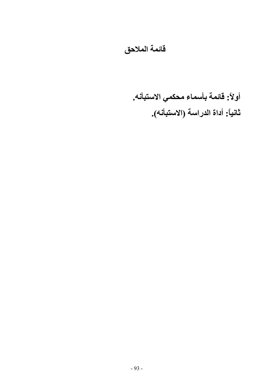### فائمة الملاحق

أولاً: قائمة بأسماء محكمي الاستبأنه. ثانياً: أداة الدراسة (الاستبأنه).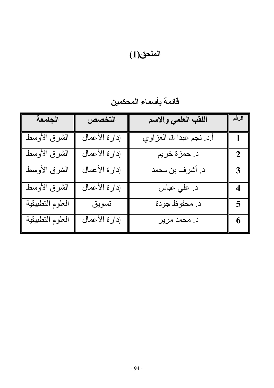# الملحق(1)

قائمة بأسماء المحكمين

| الجامعة          | التخصص        | اللقب العلمي والاسم       | الرقم                   |
|------------------|---------------|---------------------------|-------------------------|
| الشرق الأوسط     | إدارة الأعمال | أ.د. نجم عبدا لله العزاوي |                         |
| الشرق الأوسط     | إدارة الأعمال | د. حمزة خريم              | $\mathbf 2$             |
| الشرق الأوسط     | إدارة الأعمال | د. أشرف بن محمد           | $\overline{3}$          |
| الشرق الأوسط     | إدارة الأعمال | د علي عباس                | $\overline{\mathbf{4}}$ |
| العلوم التطبيقية | تسويق         | د محفوظ جودة              | $\overline{\mathbf{5}}$ |
| العلوم التطبيقية | إدارة الأعمال | د. محمد مرير              | 6                       |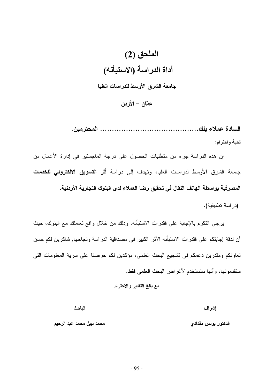

تحية واحترام:

إن هذه الدراسة جزء من منطلبات الحصول على درجة الماجستير في إدارة الأعمال من جامعة الشرق الأوسط لدراسات العليا، وتهدف إلى دراسة أ**ثر التسويق الالكتروني للخدمات** المصرفية بواسطة الهاتف النقال في تحقيق رضا العملاء لدى البنوك التجارية الأردنية.

(در اسة تطبيقية).

برجي النكرم بالإجابة على فقدرات الاستبأنه، وذلك من خلال واقع نعاملك مع البنوك، حيث أن لدقة إجابتكم على فقدرات الاستبأنه الأثر الكبير في مصداقية الدراسة ونجاحها, شاكرين لكم حسن تعاونكم ومقدرين دعمكم في تشجيع البحث العلمي، مؤكدين لكم حرصنا على سرية المعلومات التي ستقدمونها، وأنها ستستخدم لأغر اض البحث العلمي فقط.

#### مع بالغ التقدير والاحترام

إشراف

الباحث

الدكتور يونس مقدادي

محمد نبيل محمد عبد الرحيم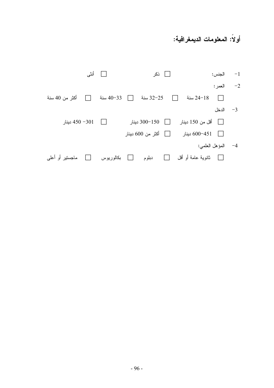### أولاً: المعلومات الديمغرافية:

|                                  | □ أنثى      | <b>□</b> ذکر         | الجنس:                         | $-1$ |
|----------------------------------|-------------|----------------------|--------------------------------|------|
|                                  |             |                      | العمر :                        | $-2$ |
| أكثر من 40 سنة<br>$\perp$        | 33−40 سنة   | 32−25 سنة<br>$\perp$ | 18−24 سنة<br>$\vert \ \ \vert$ |      |
|                                  |             |                      | 3– الدخل                       |      |
|                                  |             |                      | □    أقل من 150 دينار          |      |
|                                  |             | □ أكثر من 600 دينار  | □ 600−451 دينار                |      |
|                                  |             |                      | 4- المؤهل العلمي:              |      |
| ماجستیر أو أعلمي<br>$\mathbf{L}$ | □ بكالوريوس | دبلوم                |                                |      |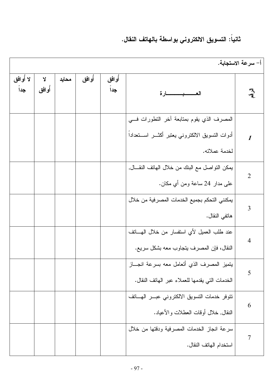## ثانياً: التسويق الالكتروني بواسطة بالهاتف النقال.

| أ– سرعة الاستجابة.         |                                                                                                                     |              |       |       |              |                 |
|----------------------------|---------------------------------------------------------------------------------------------------------------------|--------------|-------|-------|--------------|-----------------|
| $\mathbb{F}_q$             | العـــــــبــــــــارة                                                                                              | أوافق<br>جدا | أوافق | محايد | Y<br>أُو افق | لا أوافق<br>جدا |
| $\boldsymbol{\mathcal{I}}$ | المصرف الذي يقوم بمنابعة أخر النطورات فسي<br>أدوات التسويق الالكتروني يعتبر أكثــــر اســــنعداداً<br>لخدمة عملائه. |              |       |       |              |                 |
| $\overline{2}$             | يمكن النواصل مع البنك من خلال المهاتف النقـــال,<br>على مدار 24 ساعة ومن أي مكان.                                   |              |       |       |              |                 |
| $\overline{3}$             | يمكنني التحكم بجميع الخدمات المصرفية من خلال<br>هاتفي النقال.                                                       |              |       |       |              |                 |
| $\overline{4}$             | عند طلب العميل لأي استفسار من خلال المهـــاتف<br>النقال، فإن المصرف يتجاوب معه بشكل سريع.                           |              |       |       |              |                 |
| 5                          | يتميز المصرف الذي أتعامل معه بسرعة انجـــاز<br>الخدمات التي يقدمها للعملاء عبر الهاتف النقال.                       |              |       |       |              |                 |
| 6                          | نتوفر خدمات النسويق الالكتروني عبـــر الـهــــانف<br>النقال, خلال أوقات العطلات والأعياد.                           |              |       |       |              |                 |
| $\overline{7}$             | سرعة انجاز الخدمات المصرفية ودقتها من خلال<br>استخدام المهاتف النقال.                                               |              |       |       |              |                 |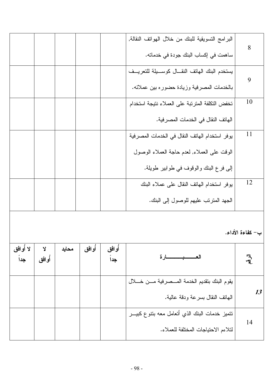| 8                | البرامج التسويقية للبنك من خلال الهواتف النقالة, |       |        |       |         |          |
|------------------|--------------------------------------------------|-------|--------|-------|---------|----------|
|                  | ساهمت في إكساب البنك جودة في خدماته.             |       |        |       |         |          |
| 9                | يستخدم البنك الهاتف النقسال كوسسيلة للتعريسف     |       |        |       |         |          |
|                  | بالخدمات المصرفية وزيادة حضوره بين عملائه.       |       |        |       |         |          |
| 10               | تخفض النكلفة المنزنبة على العملاء نتيجة استخدام  |       |        |       |         |          |
|                  | الهاتف النقال في الخدمات المصر فية.              |       |        |       |         |          |
| 11               | يوفر استخدام الهاتف النقال في الخدمات المصرفية   |       |        |       |         |          |
|                  | الوقت على العملاء, لعدم حاجة العملاء الوصول      |       |        |       |         |          |
|                  | إلى فرع البنك والوقوف في طوابير طويلة.           |       |        |       |         |          |
| 12               | يوفر استخدام الهاتف النقال على عملاء البنك       |       |        |       |         |          |
|                  | الجهد المنزنب عليهم للوصول إلىي البنك.           |       |        |       |         |          |
|                  |                                                  |       |        |       |         |          |
| ب- كفاءة الأداء. |                                                  |       |        |       |         |          |
|                  | <del>ــــــــــــــا</del> رة                    | أوافق | أو افق | محايد | Y       | لا أوافق |
| 气                |                                                  | جداً  |        |       | أُو افق | جداً     |
|                  | يقوم البنك بتقديم الخدمة المسصرفية مسن خسلال     |       |        |       |         |          |
| 13               | الهاتف النقال بسرعة ودقة عالية.                  |       |        |       |         |          |
|                  |                                                  |       |        |       |         |          |

| الهانف النقال بسر عة ودقة عالية.                             |  |  |  |
|--------------------------------------------------------------|--|--|--|
| <sup>ا</sup> نتميز خدمات البنك الذي أتعامل معه بتنوع كبيـــر |  |  |  |
| لتلاءم الاحتياجات المختلفة للعملاء.                          |  |  |  |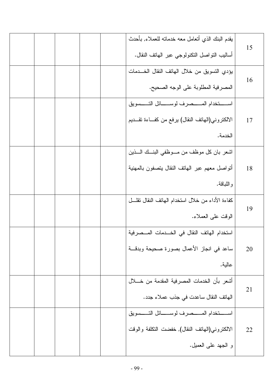| يقدم البنك الذي أنعامل معه خدمانه للعملاء, بأحدث<br>أساليب النواصل النكنولوجي عبر الهانف النقال.               | 15 |
|----------------------------------------------------------------------------------------------------------------|----|
| يؤدي التسويق من خلال الهاتف النقال الخــدمات<br>المصرفية المطلوبة على الوجه الصحيح.                            | 16 |
| استخدام المستصرف لوستائل التسسويق<br>الالكتروني(المهاتف النقال) يرفع من كفــاءة تقـــديم<br>الخدمة.            | 17 |
| لشعر بان كل موظف من مـــوظفى البنـــك الــــذين<br>أتواصل معهم عبر الهاتف النقال يتصفون بالمهنية<br>و اللباقة. | 18 |
| كفاءة الأداء من خلال استخدام الهاتف النقال نقلـــل<br>الوقت على العملاء.                                       | 19 |
| استخدام الهاتف النقال في الخـــدمات المـــصرفية<br>ساعد في انجاز الأعمال بصورة صحيحة وبدقـــة<br>عالية.        | 20 |
| أشعر بأن الخدمات المصرفية المقدمة من خــــلال<br>الهاتف النقال ساعدت في جذب عملاء جدد.                         | 21 |
| استخدام المستصرف لوستائل التسسويق<br>الالكتروني(المهاتف النقال), خفضت التكلفة والوقت<br>و الجهد على العميل.    | 22 |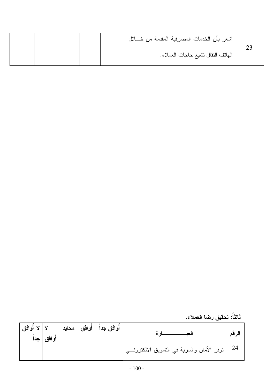|  |  | اشعر بأن الخدمات المصرفية المقدمة من خــــلال |  |
|--|--|-----------------------------------------------|--|
|  |  | الـهانف النقال تشبع حاجات الـعملاء.           |  |
|  |  |                                               |  |

ثالثاً: تحقيق رضا العملاء.

| لا   لا أوافق<br> <br>  جداً | أوافق | أوافق   محايد | أو افق جدا <sup>ا</sup> |                                                                   | الر قم |
|------------------------------|-------|---------------|-------------------------|-------------------------------------------------------------------|--------|
|                              |       |               |                         | 24     توفر  الأمان والسرية في النسويق الالكترونـــي <sup>ا</sup> |        |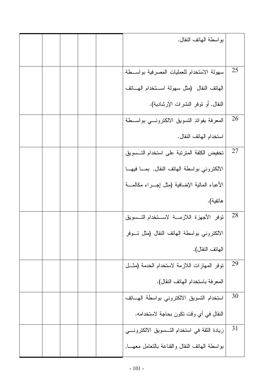|    | بواسطة المهاتف النقال.                            |  |  |
|----|---------------------------------------------------|--|--|
|    |                                                   |  |  |
| 25 | سهولة الاستخدام للعمليات المصرفية بواسـطة         |  |  |
|    | الهاتف النقال (مثل سهولة استخدام الهاتف           |  |  |
|    | النقال, أو نوفر النشرات الإرشادية).               |  |  |
| 26 | المعرفة بفوائد النسويق الالكترونسي بواســـطة      |  |  |
|    | استخدام الهاتف النقال.                            |  |  |
| 27 | تخفيض الكلفة المترتبة على استخدام التسسويق        |  |  |
|    | الالكتروني بواسطة الهاتف النقال, بمـا فيهـا       |  |  |
|    | الأعباء المالية الإضافية (مثل إجـــراء مكالمــــة |  |  |
|    | هانفية).                                          |  |  |
| 28 | توفر الأجهزة اللازمة لاستخدام التسويق             |  |  |
|    | الالكتروني بواسطة الهاتف النقال (مثل تسوفر        |  |  |
|    | الـهاتف النقال).                                  |  |  |
| 29 | توفر المهارات اللازمة لاستخدام الخدمة (مثــل      |  |  |
|    | المعرفة باستخدام الهاتف النقال).                  |  |  |
| 30 | استخدام التسويق الالكتروني بواسطة الهساتف         |  |  |
|    | النقال في أي وقت نكون بحاجة لاستخدامه.            |  |  |
| 31 | زيادة الثقة في استخدام التـــسويق الالكترونــــي  |  |  |
|    | بواسطة الهانف النقال والقناعة بالنعامل معهـــا,   |  |  |